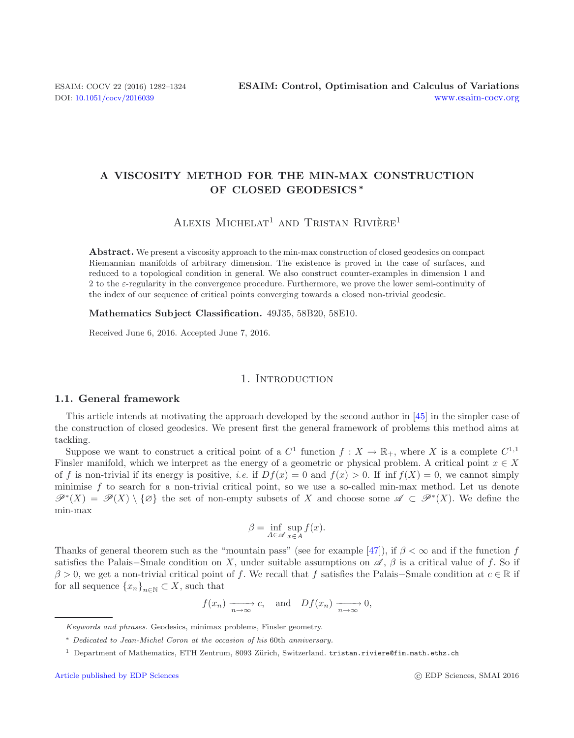# **A VISCOSITY METHOD FOR THE MIN-MAX CONSTRUCTION OF CLOSED GEODESICS** *∗*

ALEXIS MICHELAT<sup>1</sup> AND TRISTAN RIVIÈRE<sup>1</sup>

**Abstract.** We present a viscosity approach to the min-max construction of closed geodesics on compact Riemannian manifolds of arbitrary dimension. The existence is proved in the case of surfaces, and reduced to a topological condition in general. We also construct counter-examples in dimension 1 and 2 to the  $\varepsilon$ -regularity in the convergence procedure. Furthermore, we prove the lower semi-continuity of the index of our sequence of critical points converging towards a closed non-trivial geodesic.

**Mathematics Subject Classification.** 49J35, 58B20, 58E10.

Received June 6, 2016. Accepted June 7, 2016.

#### 1. INTRODUCTION

### **1.1. General framework**

This article intends at motivating the approach developed by the second author in [\[45\]](#page-42-0) in the simpler case of the construction of closed geodesics. We present first the general framework of problems this method aims at tackling.

Suppose we want to construct a critical point of a  $C^1$  function  $f: X \to \mathbb{R}_+$ , where X is a complete  $C^{1,1}$ Finsler manifold, which we interpret as the energy of a geometric or physical problem. A critical point  $x \in X$ of f is non-trivial if its energy is positive, *i.e.* if  $Df(x) = 0$  and  $f(x) > 0$ . If inf  $f(X) = 0$ , we cannot simply minimise f to search for a non-trivial critical point, so we use a so-called min-max method. Let us denote  $\mathscr{P}^*(X) = \mathscr{P}(X) \setminus \{\emptyset\}$  the set of non-empty subsets of X and choose some  $\mathscr{A} \subset \mathscr{P}^*(X)$ . We define the min-max

$$
\beta = \inf_{A \in \mathscr{A}} \sup_{x \in A} f(x).
$$

Thanks of general theorem such as the "mountain pass" (see for example [\[47\]](#page-42-1)), if  $\beta < \infty$  and if the function f satisfies the Palais–Smale condition on X, under suitable assumptions on  $\mathscr{A}, \beta$  is a critical value of f. So if  $\beta > 0$ , we get a non-trivial critical point of f. We recall that f satisfies the Palais–Smale condition at  $c \in \mathbb{R}$  if for all sequence  $\{x_n\}_{n\in\mathbb{N}}\subset X$ , such that

$$
f(x_n) \xrightarrow[n \to \infty]{} c
$$
, and  $Df(x_n) \xrightarrow[n \to \infty]{} 0$ ,

Keywords and phrases. Geodesics, minimax problems, Finsler geometry.

<sup>∗</sup> Dedicated to Jean-Michel Coron at the occasion of his 60th anniversary.

<sup>&</sup>lt;sup>1</sup> Department of Mathematics, ETH Zentrum, 8093 Zürich, Switzerland. tristan.riviere@fim.math.ethz.ch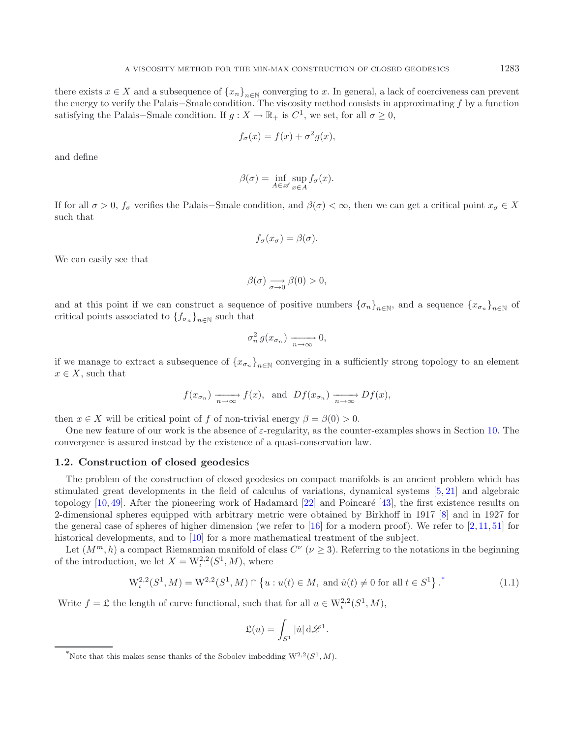there exists  $x \in X$  and a subsequence of  $\{x_n\}_{n\in\mathbb{N}}$  converging to x. In general, a lack of coerciveness can prevent the energy to verify the Palais−Smale condition. The viscosity method consists in approximating f by a function satisfying the Palais–Smale condition. If  $g: X \to \mathbb{R}_+$  is  $C^1$ , we set, for all  $\sigma \geq 0$ ,

$$
f_{\sigma}(x) = f(x) + \sigma^2 g(x),
$$

and define

$$
\beta(\sigma) = \inf_{A \in \mathscr{A}} \sup_{x \in A} f_{\sigma}(x).
$$

If for all  $\sigma > 0$ ,  $f_{\sigma}$  verifies the Palais–Smale condition, and  $\beta(\sigma) < \infty$ , then we can get a critical point  $x_{\sigma} \in X$ such that

$$
f_{\sigma}(x_{\sigma}) = \beta(\sigma).
$$

We can easily see that

$$
\beta(\sigma) \underset{\sigma \to 0}{\longrightarrow} \beta(0) > 0,
$$

and at this point if we can construct a sequence of positive numbers  ${\{\sigma_n\}}_{n\in\mathbb{N}}$ , and a sequence  ${x_{\sigma_n}}_{n\in\mathbb{N}}$  of critical points associated to  ${f_{\sigma_n}}_{n\in\mathbb{N}}$  such that

$$
\sigma_n^2 g(x_{\sigma_n}) \xrightarrow[n \to \infty]{} 0,
$$

if we manage to extract a subsequence of  ${x_{\sigma_n}}_{n\in\mathbb{N}}$  converging in a sufficiently strong topology to an element  $x \in X$ , such that

$$
f(x_{\sigma_n})
$$
  $\longrightarrow_{n \to \infty}$   $f(x)$ , and  $Df(x_{\sigma_n})$   $\longrightarrow_{n \to \infty}$   $Df(x)$ ,

then  $x \in X$  will be critical point of f of non-trivial energy  $\beta = \beta(0) > 0$ .

One new feature of our work is the absence of  $\varepsilon$ -regularity, as the counter-examples shows in Section [10.](#page-28-0) The convergence is assured instead by the existence of a quasi-conservation law.

### **1.2. Construction of closed geodesics**

The problem of the construction of closed geodesics on compact manifolds is an ancient problem which has stimulated great developments in the field of calculus of variations, dynamical systems [\[5,](#page-42-2) [21](#page-42-3)] and algebraic topology  $[10, 49]$  $[10, 49]$  $[10, 49]$  $[10, 49]$ . After the pioneering work of Hadamard  $[22]$  and Poincaré  $[43]$ , the first existence results on 2-dimensional spheres equipped with arbitrary metric were obtained by Birkhoff in 1917 [\[8](#page-42-8)] and in 1927 for the general case of spheres of higher dimension (we refer to  $[16]$  $[16]$  for a modern proof). We refer to  $[2, 11, 51]$  $[2, 11, 51]$  $[2, 11, 51]$  $[2, 11, 51]$  $[2, 11, 51]$  for historical developments, and to [\[10\]](#page-42-4) for a more mathematical treatment of the subject.

<span id="page-1-0"></span>Let  $(M^m, h)$  a compact Riemannian manifold of class  $C^{\nu}$  ( $\nu \geq 3$ ). Referring to the notations in the beginning of the introduction, we let  $X = W^{2,2}_\iota(S^1,M)$ , where

$$
W_{\iota}^{2,2}(S^1, M) = W^{2,2}(S^1, M) \cap \{u : u(t) \in M, \text{ and } \dot{u}(t) \neq 0 \text{ for all } t \in S^1\}^{\ast}
$$
 (1.1)

Write  $f = \mathfrak{L}$  the length of curve functional, such that for all  $u \in W^{2,2}_t(S^1,M)$ ,

$$
\mathfrak{L}(u) = \int_{S^1} |\dot{u}| \,\mathrm{d}\mathscr{L}^1.
$$

<sup>&</sup>lt;sup>\*</sup>Note that this makes sense thanks of the Sobolev imbedding  $W^{2,2}(S^1, M)$ .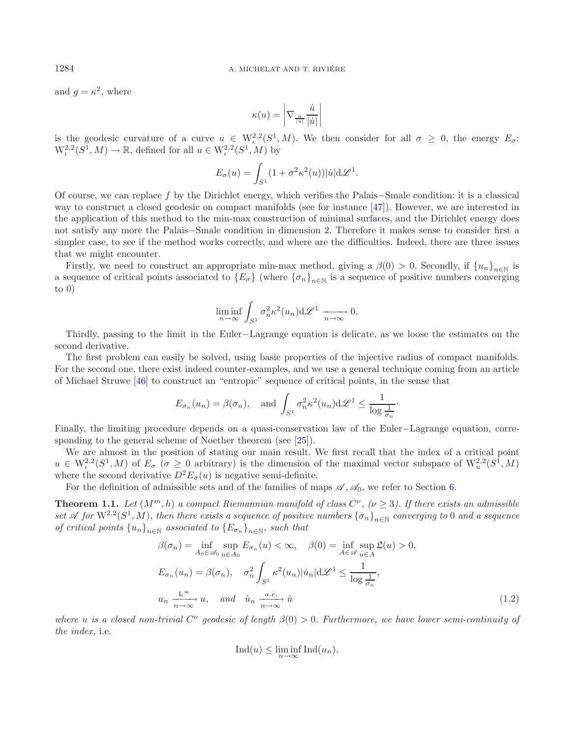and  $q = \kappa^2$ , where

$$
\kappa(u) = \left|\nabla_{\frac{\dot{u}}{\left|\dot{u}\right|}} \frac{\dot{u}}{\left|\dot{u}\right|} \right|
$$

is the geodesic curvature of a curve  $u \in W^{2,2}_\iota(S^1,M)$ . We then consider for all  $\sigma \geq 0$ , the energy  $E_\sigma$ :  $W^{2,2}_t(S^1, M) \to \mathbb{R}$ , defined for all  $u \in W^{2,2}_t(S^1, M)$  by

$$
E_{\sigma}(u) = \int_{S^1} (1 + \sigma^2 \kappa^2(u)) |\dot{u}| d\mathcal{L}^1.
$$

Of course, we can replace f by the Dirichlet energy, which verifies the Palais−Smale condition: it is a classical way to construct a closed geodesic on compact manifolds (see for instance [\[47\]](#page-42-1)). However, we are interested in the application of this method to the min-max construction of minimal surfaces, and the Dirichlet energy does not satisfy any more the Palais−Smale condition in dimension 2. Therefore it makes sense to consider first a simpler case, to see if the method works correctly, and where are the difficulties. Indeed, there are three issues that we might encounter.

Firstly, we need to construct an appropriate min-max method, giving a  $\beta(0) > 0$ . Secondly, if  ${u_n}_{n\in\mathbb{N}}$  is a sequence of critical points associated to  ${E_{\sigma}}$  (where  ${\{\sigma_n\}}_{n\in\mathbb{N}}$  is a sequence of positive numbers converging to  $0)$ 

<span id="page-2-0"></span>
$$
\liminf_{n \to \infty} \int_{S^1} \sigma_n^2 \kappa^2(u_n) \, d\mathcal{L}^1 \xrightarrow[n \to \infty]{} 0.
$$

Thirdly, passing to the limit in the Euler−Lagrange equation is delicate, as we loose the estimates on the second derivative.

The first problem can easily be solved, using basic properties of the injective radius of compact manifolds. For the second one, there exist indeed counter-examples, and we use a general technique coming from an article of Michael Struwe [\[46](#page-42-12)] to construct an "entropic" sequence of critical points, in the sense that

$$
E_{\sigma_n}(u_n) = \beta(\sigma_n)
$$
, and  $\int_{S^1} \sigma_n^2 \kappa^2(u_n) d\mathcal{L}^1 \le \frac{1}{\log \frac{1}{\sigma_n}}$ .

Finally, the limiting procedure depends on a quasi-conservation law of the Euler−Lagrange equation, corre-sponding to the general scheme of Noether theorem (see [\[25\]](#page-42-13)).

We are almost in the position of stating our main result. We first recall that the index of a critical point  $u \in W^{2,2}_\iota(S^1,M)$  of  $E_\sigma$  ( $\sigma \geq 0$  arbitrary) is the dimension of the maximal vector subspace of  $W^{2,2}_u(S^1,M)$ where the second derivative  $D^2E_{\sigma}(u)$  is negative semi-definite.

For the definition of admissible sets and of the families of maps  $\mathscr{A}, \mathscr{A}_0$ , we refer to Section [6.](#page-15-0)

**Theorem 1.1.** Let  $(M^m, h)$  a compact Riemannian manifold of class  $C^{\nu}$ ,  $(\nu \geq 3)$ . If there exists an admissible *set A for*  $W^{2,2}(S^1, M)$ *, then there exists a sequence of positive numbers*  $\{\sigma_n\}_{n\in\mathbb{N}}$  *converging to* 0 *and a sequence of critical points*  ${u_n}_{n\in\mathbb{N}}$  *associated to*  ${E_{\sigma_n}}_{n\in\mathbb{N}}$ *, such that* 

$$
\beta(\sigma_n) = \inf_{A_0 \in \mathscr{A}_0} \sup_{u \in A_0} E_{\sigma_n}(u) < \infty, \quad \beta(0) = \inf_{A \in \mathscr{A}} \sup_{u \in A} \mathfrak{L}(u) > 0,
$$
\n
$$
E_{\sigma_n}(u_n) = \beta(\sigma_n), \quad \sigma_n^2 \int_{S^1} \kappa^2(u_n) |u_n| \, d\mathcal{L}^1 \le \frac{1}{\log \frac{1}{\sigma_n}},
$$
\n
$$
u_n \xrightarrow[n \to \infty]{\mathbb{L}^\infty} u, \quad \text{and} \quad \dot{u}_n \xrightarrow[n \to \infty]{a.e.} \dot{u}
$$
\n
$$
(1.2)
$$

*where u is a closed non-trivial*  $C^{\nu}$  *geodesic of length*  $\beta(0) > 0$ *. Furthermore, we have lower semi-continuity of the index,* i.e.

$$
Ind(u) \le \liminf_{n \to \infty} Ind(u_n).
$$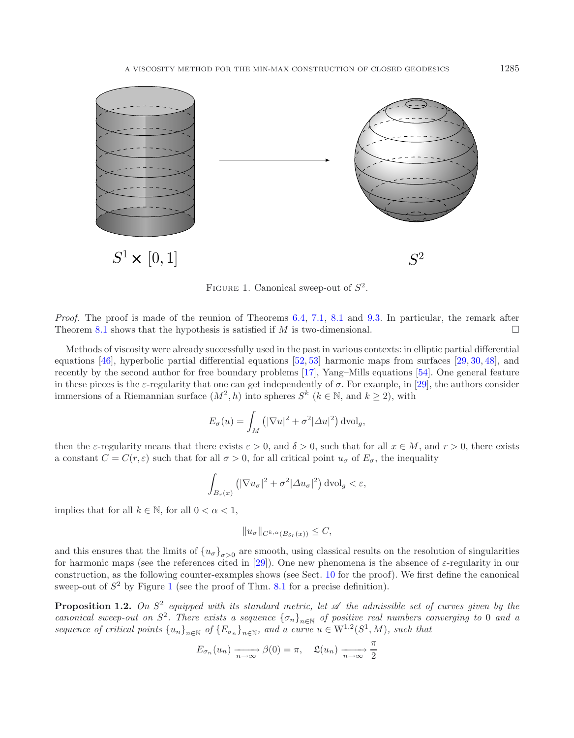<span id="page-3-0"></span>

FIGURE 1. Canonical sweep-out of  $S^2$ .

*Proof.* The proof is made of the reunion of Theorems [6.4,](#page-20-0) [7.1,](#page-21-0) [8.1](#page-24-0) and [9.3.](#page-27-0) In particular, the remark after Theorem [8.1](#page-24-0) shows that the hypothesis is satisfied if M is two-dimensional.  $\Box$ 

Methods of viscosity were already successfully used in the past in various contexts: in elliptic partial differential equations [\[46\]](#page-42-12), hyperbolic partial differential equations [\[52,](#page-42-14) [53](#page-42-15)] harmonic maps from surfaces [\[29,](#page-42-16) [30,](#page-42-17) [48\]](#page-42-18), and recently by the second author for free boundary problems [\[17\]](#page-42-19), Yang–Mills equations [\[54\]](#page-42-20). One general feature in these pieces is the  $\varepsilon$ -regularity that one can get independently of  $\sigma$ . For example, in [\[29\]](#page-42-16), the authors consider immersions of a Riemannian surface  $(M^2, h)$  into spheres  $S^k$  ( $k \in \mathbb{N}$ , and  $k \geq 2$ ), with

$$
E_{\sigma}(u) = \int_M \left( |\nabla u|^2 + \sigma^2 |\Delta u|^2 \right) \mathrm{dvol}_g,
$$

then the  $\varepsilon$ -regularity means that there exists  $\varepsilon > 0$ , and  $\delta > 0$ , such that for all  $x \in M$ , and  $r > 0$ , there exists a constant  $C = C(r, \varepsilon)$  such that for all  $\sigma > 0$ , for all critical point  $u_{\sigma}$  of  $E_{\sigma}$ , the inequality

$$
\int_{B_r(x)} \left( |\nabla u_\sigma|^2 + \sigma^2 |\Delta u_\sigma|^2 \right) d\text{vol}_g < \varepsilon,
$$

implies that for all  $k \in \mathbb{N}$ , for all  $0 < \alpha < 1$ ,

$$
||u_{\sigma}||_{C^{k,\alpha}(B_{\delta r}(x))} \leq C,
$$

and this ensures that the limits of  $\{u_{\sigma}\}_{\sigma>0}$  are smooth, using classical results on the resolution of singularities for harmonic maps (see the references cited in [\[29](#page-42-16)]). One new phenomena is the absence of  $\varepsilon$ -regularity in our construction, as the following counter-examples shows (see Sect. [10](#page-28-0) for the proof). We first define the canonical sweep-out of  $S^2$  by Figure [1](#page-3-0) (see the proof of Thm. [8.1](#page-24-0) for a precise definition).

**Proposition 1.2.** *On*  $S^2$  *equipped with its standard metric, let*  $\mathscr A$  *the admissible set of curves given by the canonical sweep-out on*  $S^2$ . There exists a sequence  ${\{\sigma_n\}}_{n\in\mathbb{N}}$  of positive real numbers converging to 0 and a *sequence of critical points*  $\{u_n\}_{n\in\mathbb{N}}$  *of*  $\{E_{\sigma_n}\}_{n\in\mathbb{N}}$ *, and a curve u*  $\in$  W<sup>1,2</sup>( $S^1$ ,  $M$ )*, such that* 

$$
E_{\sigma_n}(u_n) \xrightarrow[n \to \infty]{} \beta(0) = \pi, \quad \mathfrak{L}(u_n) \xrightarrow[n \to \infty]{} \frac{\pi}{2}
$$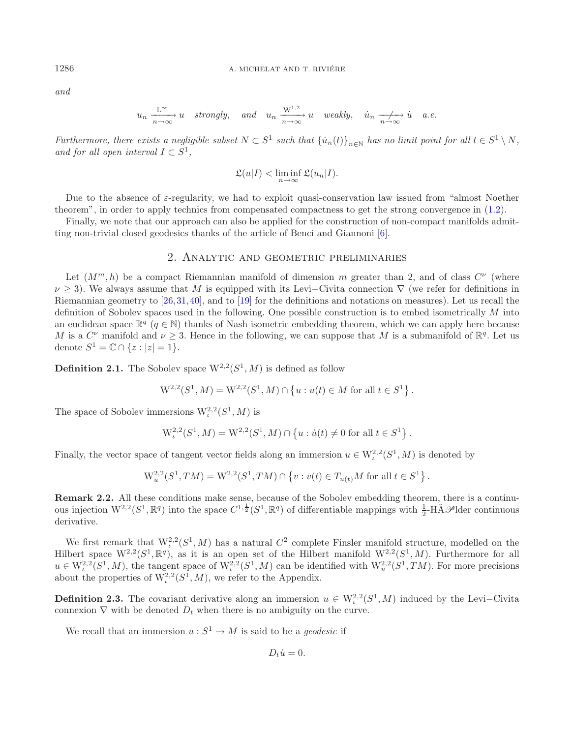*and*

$$
u_n \xrightarrow[n \to \infty]{L^{\infty}} u
$$
 strongly, and  $u_n \xrightarrow[n \to \infty]{W^{1,2}} u$  weakly,  $\dot{u}_n \xrightarrow[n \to \infty]{L^{\infty}} \dot{u}$  a.e.

*Furthermore, there exists a negligible subset*  $N \subset S^1$  *such that*  $\{\dot{u}_n(t)\}_{n \in \mathbb{N}}$  *has no limit point for all*  $t \in S^1 \setminus N$ *, and for all open interval*  $I \subset S^1$ ,

$$
\mathfrak{L}(u|I) < \liminf_{n \to \infty} \mathfrak{L}(u_n|I).
$$

Due to the absence of ε-regularity, we had to exploit quasi-conservation law issued from "almost Noether theorem", in order to apply technics from compensated compactness to get the strong convergence in [\(1.2\)](#page-2-0).

Finally, we note that our approach can also be applied for the construction of non-compact manifolds admitting non-trivial closed geodesics thanks of the article of Benci and Giannoni [\[6](#page-42-21)].

### 2. Analytic and geometric preliminaries

Let  $(M^m, h)$  be a compact Riemannian manifold of dimension m greater than 2, and of class  $C^{\nu}$  (where  $\nu$  > 3). We always assume that M is equipped with its Levi–Civita connection  $\nabla$  (we refer for definitions in Riemannian geometry to [\[26,](#page-42-22)[31](#page-42-23),[40\]](#page-42-24), and to [\[19\]](#page-42-25) for the definitions and notations on measures). Let us recall the definition of Sobolev spaces used in the following. One possible construction is to embed isometrically M into an euclidean space  $\mathbb{R}^q$  ( $q \in \mathbb{N}$ ) thanks of Nash isometric embedding theorem, which we can apply here because M is a  $C^{\nu}$  manifold and  $\nu \geq 3$ . Hence in the following, we can suppose that M is a submanifold of  $\mathbb{R}^{q}$ . Let us denote  $S^1 = \mathbb{C} \cap \{z : |z| = 1\}.$ 

**Definition 2.1.** The Sobolev space  $W^{2,2}(S^1, M)$  is defined as follow

$$
W^{2,2}(S^1, M) = W^{2,2}(S^1, M) \cap \{u : u(t) \in M \text{ for all } t \in S^1\}.
$$

The space of Sobolev immersions  $W^{2,2}_t(S^1, M)$  is

$$
W^{2,2}_\iota(S^1,M)=W^{2,2}(S^1,M)\cap \left\{u:\dot{u}(t)\neq 0\text{ for all }t\in S^1\right\}.
$$

Finally, the vector space of tangent vector fields along an immersion  $u \in W^{2,2}_t(S^1, M)$  is denoted by

$$
W_u^{2,2}(S^1, TM) = W^{2,2}(S^1, TM) \cap \{v : v(t) \in T_{u(t)}M \text{ for all } t \in S^1\}.
$$

**Remark 2.2.** All these conditions make sense, because of the Sobolev embedding theorem, there is a continuous injection  $W^{2,2}(S^1,\mathbb{R}^q)$  into the space  $C^{1,\frac{1}{2}}(S^1,\mathbb{R}^q)$  of differentiable mappings with  $\frac{1}{2}$ -H $\tilde{A}\mathscr{P}$ lder continuous derivative.

We first remark that  $W_c^{2,2}(S^1, M)$  has a natural  $C^2$  complete Finsler manifold structure, modelled on the Hilbert space  $W^{2,2}(S^1,\mathbb{R}^q)$ , as it is an open set of the Hilbert manifold  $W^{2,2}(S^1,M)$ . Furthermore for all  $u \in W^{2,2}_\iota(S^1,M)$ , the tangent space of  $W^{2,2}_\iota(S^1,M)$  can be identified with  $W^{2,2}_u(S^1,TM)$ . For more precisions about the properties of  $W^{2,2}_t(S^1, M)$ , we refer to the Appendix.

**Definition 2.3.** The covariant derivative along an immersion  $u \in W^{2,2}_t(S^1, M)$  induced by the Levi–Civita connexion  $\nabla$  with be denoted  $D_t$  when there is no ambiguity on the curve.

We recall that an immersion  $u : S^1 \to M$  is said to be a *geodesic* if

$$
D_t\dot{u}=0.
$$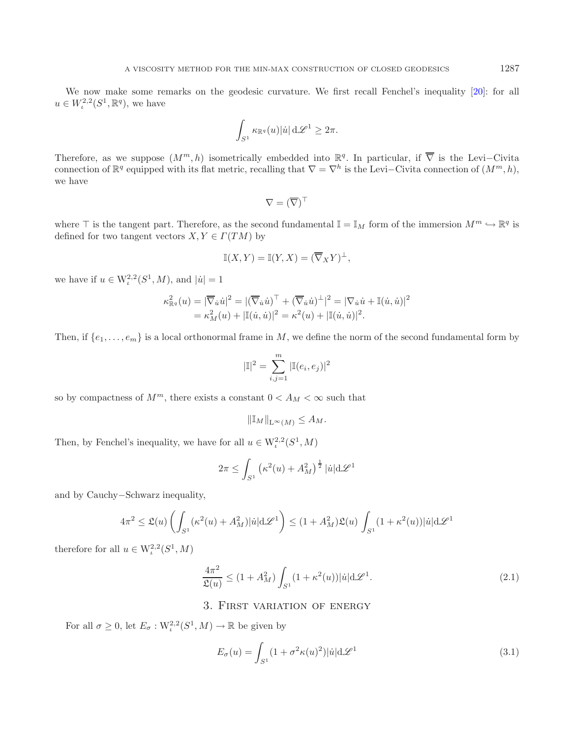We now make some remarks on the geodesic curvature. We first recall Fenchel's inequality [\[20\]](#page-42-26): for all  $u \in W^{2,2}_\iota(S^1,{\mathbb R}^q)$ , we have

$$
\int_{S^1} \kappa_{\mathbb{R}^q}(u) |\dot{u}| \,\mathrm{d} \mathscr{L}^1 \geq 2\pi.
$$

Therefore, as we suppose  $(M^m, h)$  isometrically embedded into  $\mathbb{R}^q$ . In particular, if  $\overline{\nabla}$  is the Levi–Civita connection of  $\mathbb{R}^q$  equipped with its flat metric, recalling that  $\nabla = \nabla^h$  is the Levi–Civita connection of  $(M^m, h)$ , we have

$$
\nabla=(\overline{\nabla})^\top
$$

where  $\top$  is the tangent part. Therefore, as the second fundamental  $\mathbb{I} = \mathbb{I}_M$  form of the immersion  $M^m \hookrightarrow \mathbb{R}^q$  is defined for two tangent vectors  $X, Y \in \Gamma(TM)$  by

$$
\mathbb{I}(X,Y) = \mathbb{I}(Y,X) = (\overline{\nabla}_X Y)^{\perp},
$$

we have if  $u \in W^{2,2}_t(S^1, M)$ , and  $|\dot{u}| = 1$ 

$$
\begin{split} \kappa^2_{\mathbb{R}^q}(u) &= |\overline{\nabla}_u \dot{u}|^2 = |(\overline{\nabla}_u \dot{u})^\top + (\overline{\nabla}_u \dot{u})^\perp|^2 = |\nabla_u \dot{u} + \mathbb{I}(\dot{u}, \dot{u})|^2 \\ &= \kappa^2_M(u) + |\mathbb{I}(\dot{u}, \dot{u})|^2 = \kappa^2(u) + |\mathbb{I}(\dot{u}, \dot{u})|^2. \end{split}
$$

Then, if  $\{e_1,\ldots,e_m\}$  is a local orthonormal frame in M, we define the norm of the second fundamental form by

$$
|\mathbb{I}|^2 = \sum_{i,j=1}^m |\mathbb{I}(e_i, e_j)|^2
$$

<span id="page-5-0"></span>so by compactness of  $M^m$ , there exists a constant  $0 < A_M < \infty$  such that

$$
\|\mathbb{I}_M\|_{\mathcal{L}^\infty(M)} \leq A_M.
$$

Then, by Fenchel's inequality, we have for all  $u \in W^{2,2}_\iota(S^1,M)$ 

$$
2\pi \le \int_{S^1} \left(\kappa^2(u) + A_M^2\right)^{\frac{1}{2}} |\dot{u}| \mathrm{d} \mathscr{L}^1
$$

and by Cauchy−Schwarz inequality,

$$
4\pi^2 \leq \mathfrak{L}(u) \left( \int_{S^1} (\kappa^2(u) + A_M^2) |\dot{u}| \mathrm{d}\mathscr{L}^1 \right) \leq (1 + A_M^2) \mathfrak{L}(u) \int_{S^1} (1 + \kappa^2(u)) |\dot{u}| \mathrm{d}\mathscr{L}^1
$$

therefore for all  $u \in W^{2,2}_\iota(S^1,M)$ 

$$
\frac{4\pi^2}{\mathfrak{L}(u)} \le (1 + A_M^2) \int_{S^1} (1 + \kappa^2(u)) |\dot{u}| d\mathcal{L}^1.
$$
 (2.1)

# 3. First variation of energy

For all  $\sigma \geq 0$ , let  $E_{\sigma}: W^{2,2}_t(S^1, M) \to \mathbb{R}$  be given by

$$
E_{\sigma}(u) = \int_{S^1} (1 + \sigma^2 \kappa(u)^2) |\dot{u}| d\mathcal{L}^1
$$
\n(3.1)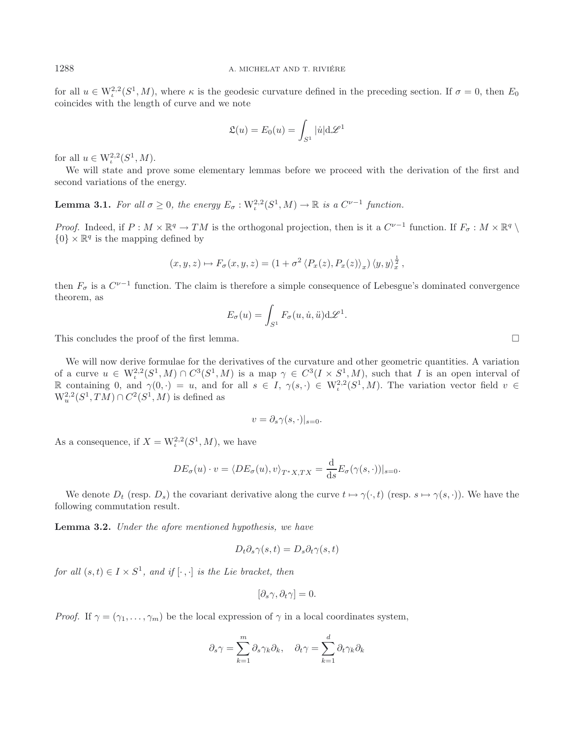for all  $u \in W^{2,2}_t(S^1,M)$ , where  $\kappa$  is the geodesic curvature defined in the preceding section. If  $\sigma = 0$ , then  $E_0$ coincides with the length of curve and we note

$$
\mathfrak{L}(u) = E_0(u) = \int_{S^1} |\dot{u}| \mathrm{d}\mathcal{L}^1
$$

for all  $u \in W^{2,2}_t(S^1, M)$ .

We will state and prove some elementary lemmas before we proceed with the derivation of the first and second variations of the energy.

**Lemma 3.1.** *For all*  $\sigma \geq 0$ *, the energy*  $E_{\sigma}$  : W<sub>i</sub><sup>2</sup>(S<sup>1</sup>, M)  $\rightarrow \mathbb{R}$  *is a* C<sup>ν-1</sup> *function.* 

*Proof.* Indeed, if  $P : M \times \mathbb{R}^q \to TM$  is the orthogonal projection, then is it a  $C^{\nu-1}$  function. If  $F_{\sigma} : M \times \mathbb{R}^q \setminus$  $\{0\} \times \mathbb{R}^q$  is the mapping defined by

$$
(x, y, z) \mapsto F_{\sigma}(x, y, z) = (1 + \sigma^2 \langle P_x(z), P_x(z) \rangle_x) \langle y, y \rangle_x^{\frac{1}{2}},
$$

then  $F_{\sigma}$  is a  $C^{\nu-1}$  function. The claim is therefore a simple consequence of Lebesgue's dominated convergence theorem, as

$$
E_{\sigma}(u) = \int_{S^1} F_{\sigma}(u, \dot{u}, \ddot{u}) d\mathscr{L}^1.
$$

This concludes the proof of the first lemma.  $\Box$ 

<span id="page-6-0"></span>We will now derive formulae for the derivatives of the curvature and other geometric quantities. A variation of a curve  $u \in W^{2,2}_\iota(S^1,M) \cap C^3(S^1,M)$  is a map  $\gamma \in C^3(I \times S^1,M)$ , such that I is an open interval of R containing 0, and  $\gamma(0, \cdot) = u$ , and for all  $s \in I$ ,  $\gamma(s, \cdot) \in W^{2,2}_t(S^1, M)$ . The variation vector field  $v \in$  $W_n^{2,2}(S^1, TM) \cap C^2(S^1, M)$  is defined as

$$
v = \partial_s \gamma(s, \cdot)|_{s=0}.
$$

As a consequence, if  $X = W^{2,2}_t(S^1, M)$ , we have

$$
DE_{\sigma}(u) \cdot v = \langle DE_{\sigma}(u), v \rangle_{T^*X, TX} = \frac{\mathrm{d}}{\mathrm{d}s} E_{\sigma}(\gamma(s, \cdot))|_{s=0}.
$$

We denote  $D_t$  (resp.  $D_s$ ) the covariant derivative along the curve  $t \mapsto \gamma(\cdot, t)$  (resp.  $s \mapsto \gamma(s, \cdot)$ ). We have the following commutation result.

**Lemma 3.2.** *Under the afore mentioned hypothesis, we have*

$$
D_t \partial_s \gamma(s, t) = D_s \partial_t \gamma(s, t)
$$

*for all*  $(s, t) \in I \times S^1$ *, and if*  $[\cdot, \cdot]$  *is the Lie bracket, then* 

$$
[\partial_s \gamma, \partial_t \gamma] = 0.
$$

*Proof.* If  $\gamma = (\gamma_1, \ldots, \gamma_m)$  be the local expression of  $\gamma$  in a local coordinates system,

$$
\partial_s \gamma = \sum_{k=1}^m \partial_s \gamma_k \partial_k, \quad \partial_t \gamma = \sum_{k=1}^d \partial_t \gamma_k \partial_k
$$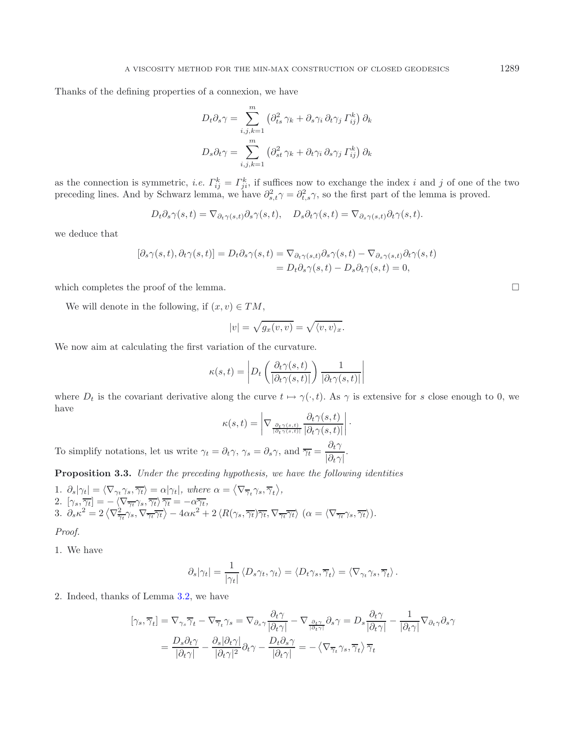Thanks of the defining properties of a connexion, we have

$$
D_t \partial_s \gamma = \sum_{i,j,k=1}^m \left( \partial_{ts}^2 \gamma_k + \partial_s \gamma_i \partial_t \gamma_j \Gamma_{ij}^k \right) \partial_k
$$

$$
D_s \partial_t \gamma = \sum_{i,j,k=1}^m \left( \partial_{st}^2 \gamma_k + \partial_t \gamma_i \partial_s \gamma_j \Gamma_{ij}^k \right) \partial_k
$$

as the connection is symmetric, *i.e.*  $\Gamma_{ij}^k = \Gamma_{ji}^k$ , if suffices now to exchange the index *i* and *j* of one of the two preceding lines. And by Schwarz lemma, we have  $\partial_{s,t}^2 \gamma = \partial_{t,s}^2 \gamma$ , so the first part of the lemma is proved.

$$
D_t \partial_s \gamma(s,t) = \nabla_{\partial_t \gamma(s,t)} \partial_s \gamma(s,t), \quad D_s \partial_t \gamma(s,t) = \nabla_{\partial_s \gamma(s,t)} \partial_t \gamma(s,t).
$$

we deduce that

$$
[\partial_s \gamma(s,t), \partial_t \gamma(s,t)] = D_t \partial_s \gamma(s,t) = \nabla_{\partial_t \gamma(s,t)} \partial_s \gamma(s,t) - \nabla_{\partial_s \gamma(s,t)} \partial_t \gamma(s,t)
$$
  
= 
$$
D_t \partial_s \gamma(s,t) - D_s \partial_t \gamma(s,t) = 0,
$$

which completes the proof of the lemma.

We will denote in the following, if  $(x, v) \in TM$ ,

<span id="page-7-0"></span>
$$
|v| = \sqrt{g_x(v,v)} = \sqrt{\langle v,v\rangle_x}.
$$

We now aim at calculating the first variation of the curvature.

$$
\kappa(s,t) = \left| D_t \left( \frac{\partial_t \gamma(s,t)}{|\partial_t \gamma(s,t)|} \right) \frac{1}{|\partial_t \gamma(s,t)|} \right|
$$

where  $D_t$  is the covariant derivative along the curve  $t \mapsto \gamma(\cdot, t)$ . As  $\gamma$  is extensive for s close enough to 0, we have

$$
\kappa(s,t) = \left| \nabla_{\frac{\partial_t \gamma(s,t)}{|\partial_t \gamma(s,t)|}} \frac{\partial_t \gamma(s,t)}{|\partial_t \gamma(s,t)|} \right|.
$$

To simplify notations, let us write  $\gamma_t = \partial_t \gamma$ ,  $\gamma_s = \partial_s \gamma$ , and  $\overline{\gamma_t} = \frac{\partial_t \gamma}{|\partial_t \gamma|}$ .

**Proposition 3.3.** *Under the preceding hypothesis, we have the following identities*

1. 
$$
\partial_s |\gamma_t| = \langle \nabla_{\gamma_t} \gamma_s, \overline{\gamma_t} \rangle = \alpha |\gamma_t|
$$
, where  $\alpha = \langle \nabla_{\overline{\gamma}_t} \gamma_s, \overline{\gamma}_t \rangle$ ,  
\n2.  $[\gamma_s, \overline{\gamma_t}] = -\langle \nabla_{\overline{\gamma_t}} \gamma_s, \overline{\gamma_t} \rangle \overline{\gamma_t} = -\alpha \overline{\gamma_t}$ ,  
\n3.  $\partial_s \kappa^2 = 2 \langle \nabla_{\overline{\gamma_t}}^2 \gamma_s, \nabla_{\overline{\gamma_t}} \overline{\gamma_t} \rangle - 4\alpha \kappa^2 + 2 \langle R(\gamma_s, \overline{\gamma_t}) \overline{\gamma_t}, \nabla_{\overline{\gamma_t}} \overline{\gamma_t} \rangle (\alpha = \langle \nabla_{\overline{\gamma_t}} \gamma_s, \overline{\gamma_t} \rangle).$ 

*Proof.*

1. We have

$$
\partial_s |\gamma_t| = \frac{1}{|\gamma_t|} \langle D_s \gamma_t, \gamma_t \rangle = \langle D_t \gamma_s, \overline{\gamma}_t \rangle = \langle \nabla_{\gamma_t} \gamma_s, \overline{\gamma}_t \rangle.
$$

2. Indeed, thanks of Lemma [3.2,](#page-6-0) we have

$$
[\gamma_s, \overline{\gamma}_t] = \nabla_{\gamma_s} \overline{\gamma}_t - \nabla_{\overline{\gamma}_t} \gamma_s = \nabla_{\partial_s \gamma} \frac{\partial_t \gamma}{|\partial_t \gamma|} - \nabla_{\frac{\partial_t \gamma}{|\partial_t \gamma|}} \partial_s \gamma = D_s \frac{\partial_t \gamma}{|\partial_t \gamma|} - \frac{1}{|\partial_t \gamma|} \nabla_{\partial_t \gamma} \partial_s \gamma
$$
  
= 
$$
\frac{D_s \partial_t \gamma}{|\partial_t \gamma|} - \frac{\partial_s |\partial_t \gamma|}{|\partial_t \gamma|} \partial_t \gamma - \frac{D_t \partial_s \gamma}{|\partial_t \gamma|} = -\langle \nabla_{\overline{\gamma}_t} \gamma_s, \overline{\gamma}_t \rangle \overline{\gamma}_t
$$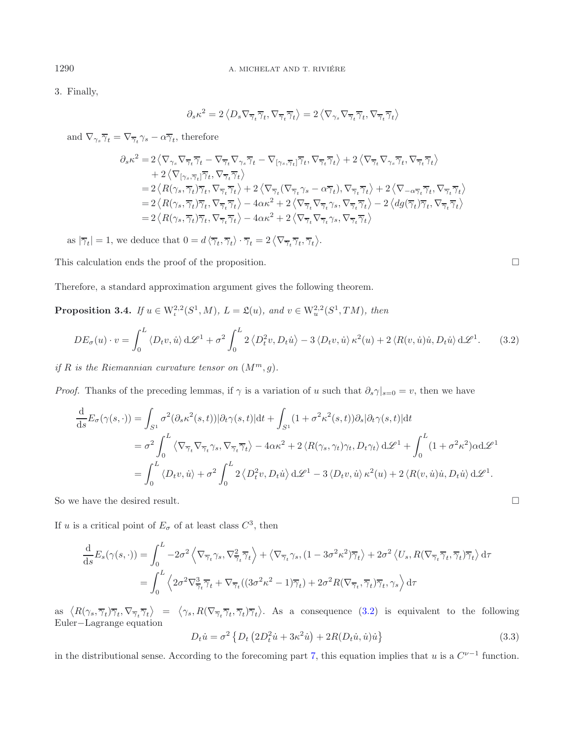3. Finally,

$$
\partial_s \kappa^2 = 2 \left\langle D_s \nabla_{\overline{\gamma}_t} \overline{\gamma}_t, \nabla_{\overline{\gamma}_t} \overline{\gamma}_t \right\rangle = 2 \left\langle \nabla_{\gamma_s} \nabla_{\overline{\gamma}_t} \overline{\gamma}_t, \nabla_{\overline{\gamma}_t} \overline{\gamma}_t \right\rangle
$$

and  $\nabla_{\gamma_s}\overline{\gamma}_t=\nabla_{\overline{\gamma}_t}\gamma_s-\alpha\overline{\gamma}_t,$  therefore

$$
\begin{split} \partial_s \kappa^2 =&\ 2\left\langle \nabla_{\gamma_s} \nabla_{\overline{\gamma}_t} \overline{\gamma}_t - \nabla_{\overline{\gamma}_t} \nabla_{\gamma_s} \overline{\gamma}_t - \nabla_{[\gamma_s, \overline{\gamma}_t]} \overline{\gamma}_t, \nabla_{\overline{\gamma}_t} \overline{\gamma}_t \right\rangle + 2\left\langle \nabla_{\overline{\gamma}_t} \nabla_{\gamma_s} \overline{\gamma}_t, \nabla_{\overline{\gamma}_t} \overline{\gamma}_t \right\rangle \\ &+ 2\left\langle \nabla_{[\gamma_s, \overline{\gamma}_t]} \overline{\gamma}_t, \nabla_{\overline{\gamma}_t} \overline{\gamma}_t \right\rangle \\ =& 2\left\langle R(\gamma_s, \overline{\gamma}_t) \overline{\gamma}_t, \nabla_{\overline{\gamma}_t} \overline{\gamma}_t \right\rangle + 2\left\langle \nabla_{\overline{\gamma}_t} (\nabla_{\overline{\gamma}_t} \gamma_s - \alpha \overline{\gamma}_t), \nabla_{\overline{\gamma}_t} \overline{\gamma}_t \right\rangle + 2\left\langle \nabla_{-\alpha \overline{\gamma}_t} \overline{\gamma}_t, \nabla_{\overline{\gamma}_t} \overline{\gamma}_t \right\rangle \\ =& 2\left\langle R(\gamma_s, \overline{\gamma}_t) \overline{\gamma}_t, \nabla_{\overline{\gamma}_t} \overline{\gamma}_t \right\rangle - 4\alpha \kappa^2 + 2\left\langle \nabla_{\overline{\gamma}_t} \nabla_{\overline{\gamma}_t} \gamma_s, \nabla_{\overline{\gamma}_t} \overline{\gamma}_t \right\rangle - 2\left\langle dg(\overline{\gamma}_t) \overline{\gamma}_t, \nabla_{\overline{\gamma}_t} \overline{\gamma}_t \right\rangle \\ =& 2\left\langle R(\gamma_s, \overline{\gamma}_t) \overline{\gamma}_t, \nabla_{\overline{\gamma}_t} \overline{\gamma}_t \right\rangle - 4\alpha \kappa^2 + 2\left\langle \nabla_{\overline{\gamma}_t} \nabla_{\overline{\gamma}_t} \gamma_s, \nabla_{\overline{\gamma}_t} \overline{\gamma}_t \right\rangle \end{split}
$$

as  $|\overline{\gamma}_t| = 1$ , we deduce that  $0 = d\langle \overline{\gamma}_t, \overline{\gamma}_t \rangle \cdot \overline{\gamma}_t = 2 \langle \nabla_{\overline{\gamma}_t} \overline{\gamma}_t, \overline{\gamma}_t \rangle$ .

This calculation ends the proof of the proposition.

Therefore, a standard approximation argument gives the following theorem.

**Proposition 3.4.** *If*  $u \in W^{2,2}_t(S^1, M)$ *,*  $L = \mathfrak{L}(u)$ *, and*  $v \in W^{2,2}_u(S^1, TM)$ *, then* 

$$
DE_{\sigma}(u) \cdot v = \int_0^L \langle D_t v, \dot{u} \rangle d\mathcal{L}^1 + \sigma^2 \int_0^L 2 \langle D_t^2 v, D_t \dot{u} \rangle - 3 \langle D_t v, \dot{u} \rangle \kappa^2(u) + 2 \langle R(v, \dot{u}) \dot{u}, D_t \dot{u} \rangle d\mathcal{L}^1. \tag{3.2}
$$

*if*  $R$  *is the Riemannian curvature tensor on*  $(M^m, q)$ *.* 

*Proof.* Thanks of the preceding lemmas, if  $\gamma$  is a variation of u such that  $\partial_s \gamma|_{s=0} = v$ , then we have

$$
\frac{d}{ds} E_{\sigma}(\gamma(s,\cdot)) = \int_{S^1} \sigma^2(\partial_s \kappa^2(s,t)) |\partial_t \gamma(s,t)| dt + \int_{S^1} (1 + \sigma^2 \kappa^2(s,t)) \partial_s |\partial_t \gamma(s,t)| dt \n= \sigma^2 \int_0^L \langle \nabla_{\overline{\gamma}_t} \nabla_{\overline{\gamma}_t} \gamma_s, \nabla_{\overline{\gamma}_t} \overline{\gamma}_t \rangle - 4\alpha \kappa^2 + 2 \langle R(\gamma_s, \gamma_t) \gamma_t, D_t \gamma_t \rangle d\mathscr{L}^1 + \int_0^L (1 + \sigma^2 \kappa^2) \alpha d\mathscr{L}^1 \n= \int_0^L \langle D_t v, \dot{u} \rangle + \sigma^2 \int_0^L 2 \langle D_t^2 v, D_t \dot{u} \rangle d\mathscr{L}^1 - 3 \langle D_t v, \dot{u} \rangle \kappa^2(u) + 2 \langle R(v, \dot{u}) \dot{u}, D_t \dot{u} \rangle d\mathscr{L}^1.
$$

<span id="page-8-1"></span>So we have the desired result.

If u is a critical point of  $E_{\sigma}$  of at least class  $C^3$ , then

$$
\frac{\mathrm{d}}{\mathrm{d}s}E_s(\gamma(s,\cdot)) = \int_0^L -2\sigma^2 \left\langle \nabla_{\overline{\gamma}_t} \gamma_s, \nabla_{\overline{\gamma}_t}^2 \overline{\gamma}_t \right\rangle + \left\langle \nabla_{\overline{\gamma}_t} \gamma_s, (1 - 3\sigma^2 \kappa^2) \overline{\gamma}_t \right\rangle + 2\sigma^2 \left\langle U_s, R(\nabla_{\overline{\gamma}_t} \overline{\gamma}_t, \overline{\gamma}_t) \overline{\gamma}_t \right\rangle d\tau
$$
\n
$$
= \int_0^L \left\langle 2\sigma^2 \nabla_{\overline{\gamma}_t}^2 \overline{\gamma}_t + \nabla_{\overline{\gamma}_t} ((3\sigma^2 \kappa^2 - 1)\overline{\gamma}_t) + 2\sigma^2 R(\nabla_{\overline{\gamma}_t}, \overline{\gamma}_t) \overline{\gamma}_t, \gamma_s \right\rangle d\tau
$$

as  $\langle R(\gamma_s, \overline{\gamma}_t) \overline{\gamma}_t, \nabla_{\overline{\gamma}_t} \overline{\gamma}_t \rangle = \langle \gamma_s, R(\nabla_{\overline{\gamma}_t} \overline{\gamma}_t, \overline{\gamma}_t) \overline{\gamma}_t \rangle$ . As a consequence  $(3.2)$  is equivalent to the following Euler−Lagrange equation

$$
D_t \dot{u} = \sigma^2 \left\{ D_t \left( 2D_t^2 \dot{u} + 3\kappa^2 \dot{u} \right) + 2R(D_t \dot{u}, \dot{u}) \dot{u} \right\}
$$
(3.3)

in the distributional sense. According to the forecoming part [7,](#page-21-1) this equation implies that u is a  $C^{\nu-1}$  function.

<span id="page-8-0"></span> $\Box$ 

 $\Box$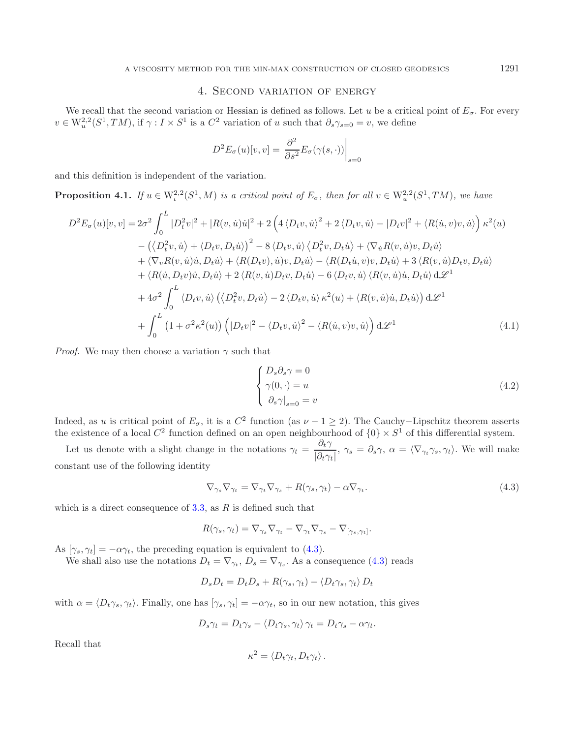# 4. Second variation of energy

We recall that the second variation or Hessian is defined as follows. Let u be a critical point of  $E_{\sigma}$ . For every  $v \in W_n^{2,2}(S^1, TM)$ , if  $\gamma : I \times S^1$  is a  $C^2$  variation of u such that  $\partial_s \gamma_{s=0} = v$ , we define

<span id="page-9-1"></span>
$$
D^{2}E_{\sigma}(u)[v,v] = \frac{\partial^{2}}{\partial s^{2}}E_{\sigma}(\gamma(s,\cdot))\Big|_{s=0}
$$

and this definition is independent of the variation.

**Proposition 4.1.** *If*  $u \in W^{2,2}_\iota(S^1,M)$  *is a critical point of*  $E_\sigma$ *, then for all*  $v \in W^{2,2}_u(S^1,TM)$ *, we have* 

$$
D^{2}E_{\sigma}(u)[v,v] = 2\sigma^{2} \int_{0}^{L} |D_{t}^{2}v|^{2} + |R(v,\dot{u})\dot{u}|^{2} + 2\left(4\langle D_{t}v,\dot{u}\rangle^{2} + 2\langle D_{t}v,\dot{u}\rangle - |D_{t}v|^{2} + \langle R(\dot{u},v)v,\dot{u}\rangle\right)\kappa^{2}(u) - \left(\langle D_{t}^{2}v,\dot{u}\rangle + \langle D_{t}v,D_{t}\dot{u}\rangle\right)^{2} - 8\langle D_{t}v,\dot{u}\rangle\langle D_{t}^{2}v,D_{t}\dot{u}\rangle + \langle \nabla_{\dot{u}}R(v,\dot{u})v,D_{t}\dot{u}\rangle + \langle \nabla_{v}R(v,\dot{u})\dot{u},D_{t}\dot{u}\rangle + \langle R(D_{t}v),\dot{u})v,D_{t}\dot{u}\rangle - \langle R(D_{t}\dot{u},v)v,D_{t}\dot{u}\rangle + 3\langle R(v,\dot{u})D_{t}v,D_{t}\dot{u}\rangle + \langle R(\dot{u},D_{t}v)\dot{u},D_{t}\dot{u}\rangle + 2\langle R(v,\dot{u})D_{t}v,D_{t}\dot{u}\rangle - 6\langle D_{t}v,\dot{u}\rangle\langle R(v,\dot{u})\dot{u},D_{t}\dot{u}\rangle d\mathcal{L}^{1} + 4\sigma^{2} \int_{0}^{L} \langle D_{t}v,\dot{u}\rangle \left(\langle D_{t}^{2}v,D_{t}\dot{u}\rangle - 2\langle D_{t}v,\dot{u}\rangle\kappa^{2}(u) + \langle R(v,\dot{u})\dot{u},D_{t}\dot{u}\rangle\right) d\mathcal{L}^{1} + \int_{0}^{L} (1 + \sigma^{2}\kappa^{2}(u)) \left( |D_{t}v|^{2} - \langle D_{t}v,\dot{u}\rangle^{2} - \langle R(\dot{u},v)v,\dot{u}\rangle \right) d\mathcal{L}^{1}
$$
(4.1)

<span id="page-9-0"></span>*Proof.* We may then choose a variation  $\gamma$  such that

$$
\begin{cases}\nD_s \partial_s \gamma = 0 \\
\gamma(0, \cdot) = u \\
\partial_s \gamma|_{s=0} = v\n\end{cases}
$$
\n(4.2)

Indeed, as u is critical point of  $E_{\sigma}$ , it is a  $C^2$  function (as  $\nu - 1 \ge 2$ ). The Cauchy–Lipschitz theorem asserts the existence of a local  $C^2$  function defined on an open neighbourhood of  $\{0\} \times S^1$  of this differential system.

Let us denote with a slight change in the notations  $\gamma_t = \frac{\partial_t \gamma}{|\partial_t \gamma_t|}, \gamma_s = \partial_s \gamma, \alpha = \langle \nabla_{\gamma_t} \gamma_s, \gamma_t \rangle$ . We will make constant use of the following identity

$$
\nabla_{\gamma_s} \nabla_{\gamma_t} = \nabla_{\gamma_t} \nabla_{\gamma_s} + R(\gamma_s, \gamma_t) - \alpha \nabla_{\gamma_t}.
$$
\n(4.3)

which is a direct consequence of  $3.3$ , as R is defined such that

$$
R(\gamma_s, \gamma_t) = \nabla_{\gamma_s} \nabla_{\gamma_t} - \nabla_{\gamma_t} \nabla_{\gamma_s} - \nabla_{[\gamma_s, \gamma_t]}.
$$

As  $[\gamma_s, \gamma_t] = -\alpha \gamma_t$ , the preceding equation is equivalent to [\(4.3\)](#page-9-0).

We shall also use the notations  $D_t = \nabla_{\gamma_t}$ ,  $D_s = \nabla_{\gamma_s}$ . As a consequence [\(4.3\)](#page-9-0) reads

$$
D_s D_t = D_t D_s + R(\gamma_s, \gamma_t) - \langle D_t \gamma_s, \gamma_t \rangle D_t
$$

with  $\alpha = \langle D_t \gamma_s, \gamma_t \rangle$ . Finally, one has  $[\gamma_s, \gamma_t] = -\alpha \gamma_t$ , so in our new notation, this gives

$$
D_s \gamma_t = D_t \gamma_s - \langle D_t \gamma_s, \gamma_t \rangle \gamma_t = D_t \gamma_s - \alpha \gamma_t.
$$

Recall that

$$
\kappa^2 = \langle D_t \gamma_t, D_t \gamma_t \rangle.
$$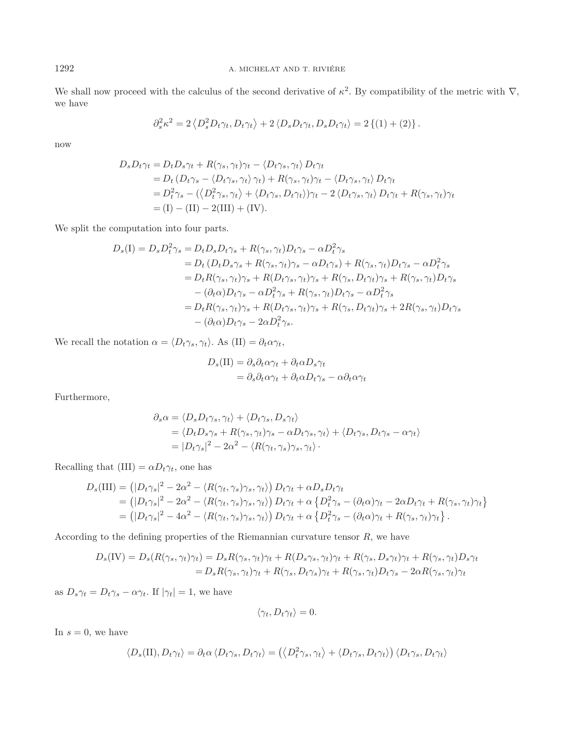1292 A. MICHELAT AND T. RIVIÉRE

We shall now proceed with the calculus of the second derivative of  $\kappa^2$ . By compatibility of the metric with  $\nabla$ , we have

$$
\partial_s^2 \kappa^2 = 2 \left\langle D_s^2 D_t \gamma_t, D_t \gamma_t \right\rangle + 2 \left\langle D_s D_t \gamma_t, D_s D_t \gamma_t \right\rangle = 2 \left\{ (1) + (2) \right\}.
$$

now

$$
D_s D_t \gamma_t = D_t D_s \gamma_t + R(\gamma_s, \gamma_t) \gamma_t - \langle D_t \gamma_s, \gamma_t \rangle D_t \gamma_t
$$
  
= 
$$
D_t (D_t \gamma_s - \langle D_t \gamma_s, \gamma_t \rangle \gamma_t) + R(\gamma_s, \gamma_t) \gamma_t - \langle D_t \gamma_s, \gamma_t \rangle D_t \gamma_t
$$
  
= 
$$
D_t^2 \gamma_s - (\langle D_t^2 \gamma_s, \gamma_t \rangle + \langle D_t \gamma_s, D_t \gamma_t \rangle) \gamma_t - 2 \langle D_t \gamma_s, \gamma_t \rangle D_t \gamma_t + R(\gamma_s, \gamma_t) \gamma_t
$$
  
= 
$$
(I) - (II) - 2(III) + (IV).
$$

We split the computation into four parts.

$$
D_s(I) = D_s D_t^2 \gamma_s = D_t D_s D_t \gamma_s + R(\gamma_s, \gamma_t) D_t \gamma_s - \alpha D_t^2 \gamma_s
$$
  
\n
$$
= D_t (D_t D_s \gamma_s + R(\gamma_s, \gamma_t) \gamma_s - \alpha D_t \gamma_s) + R(\gamma_s, \gamma_t) D_t \gamma_s - \alpha D_t^2 \gamma_s
$$
  
\n
$$
= D_t R(\gamma_s, \gamma_t) \gamma_s + R(D_t \gamma_s, \gamma_t) \gamma_s + R(\gamma_s, D_t \gamma_t) \gamma_s + R(\gamma_s, \gamma_t) D_t \gamma_s
$$
  
\n
$$
- (\partial_t \alpha) D_t \gamma_s - \alpha D_t^2 \gamma_s + R(\gamma_s, \gamma_t) D_t \gamma_s - \alpha D_t^2 \gamma_s
$$
  
\n
$$
= D_t R(\gamma_s, \gamma_t) \gamma_s + R(D_t \gamma_s, \gamma_t) \gamma_s + R(\gamma_s, D_t \gamma_t) \gamma_s + 2R(\gamma_s, \gamma_t) D_t \gamma_s
$$
  
\n
$$
- (\partial_t \alpha) D_t \gamma_s - 2\alpha D_t^2 \gamma_s.
$$

We recall the notation  $\alpha = \langle D_t \gamma_s, \gamma_t \rangle$ . As  $(II) = \partial_t \alpha \gamma_t$ ,

$$
D_s(\text{II}) = \partial_s \partial_t \alpha \gamma_t + \partial_t \alpha D_s \gamma_t
$$
  
=  $\partial_s \partial_t \alpha \gamma_t + \partial_t \alpha D_t \gamma_s - \alpha \partial_t \alpha \gamma_t$ 

Furthermore,

$$
\partial_s \alpha = \langle D_s D_t \gamma_s, \gamma_t \rangle + \langle D_t \gamma_s, D_s \gamma_t \rangle \n= \langle D_t D_s \gamma_s + R(\gamma_s, \gamma_t) \gamma_s - \alpha D_t \gamma_s, \gamma_t \rangle + \langle D_t \gamma_s, D_t \gamma_s - \alpha \gamma_t \rangle \n= |D_t \gamma_s|^2 - 2\alpha^2 - \langle R(\gamma_t, \gamma_s) \gamma_s, \gamma_t \rangle.
$$

Recalling that  $(III) = \alpha D_t \gamma_t$ , one has

$$
D_s(\text{III}) = (|D_t \gamma_s|^2 - 2\alpha^2 - \langle R(\gamma_t, \gamma_s) \gamma_s, \gamma_t \rangle) D_t \gamma_t + \alpha D_s D_t \gamma_t
$$
  
= 
$$
(|D_t \gamma_s|^2 - 2\alpha^2 - \langle R(\gamma_t, \gamma_s) \gamma_s, \gamma_t \rangle) D_t \gamma_t + \alpha \{ D_t^2 \gamma_s - (\partial_t \alpha) \gamma_t - 2\alpha D_t \gamma_t + R(\gamma_s, \gamma_t) \gamma_t \}
$$
  
= 
$$
(|D_t \gamma_s|^2 - 4\alpha^2 - \langle R(\gamma_t, \gamma_s) \gamma_s, \gamma_t \rangle) D_t \gamma_t + \alpha \{ D_t^2 \gamma_s - (\partial_t \alpha) \gamma_t + R(\gamma_s, \gamma_t) \gamma_t \}.
$$

According to the defining properties of the Riemannian curvature tensor  $R$ , we have

$$
D_s(\text{IV}) = D_s(R(\gamma_s, \gamma_t)\gamma_t) = D_sR(\gamma_s, \gamma_t)\gamma_t + R(D_s\gamma_s, \gamma_t)\gamma_t + R(\gamma_s, D_s\gamma_t)\gamma_t + R(\gamma_s, \gamma_t)D_s\gamma_t
$$
  
= 
$$
D_sR(\gamma_s, \gamma_t)\gamma_t + R(\gamma_s, D_t\gamma_s)\gamma_t + R(\gamma_s, \gamma_t)D_t\gamma_s - 2\alpha R(\gamma_s, \gamma_t)\gamma_t
$$

as  $D_s \gamma_t = D_t \gamma_s - \alpha \gamma_t$ . If  $|\gamma_t| = 1$ , we have

$$
\langle \gamma_t, D_t \gamma_t \rangle = 0.
$$

In  $s = 0$ , we have

$$
\langle D_s(\text{II}), D_t\gamma_t \rangle = \partial_t \alpha \langle D_t\gamma_s, D_t\gamma_t \rangle = \left( \langle D_t^2 \gamma_s, \gamma_t \rangle + \langle D_t\gamma_s, D_t\gamma_t \rangle \right) \langle D_t\gamma_s, D_t\gamma_t \rangle
$$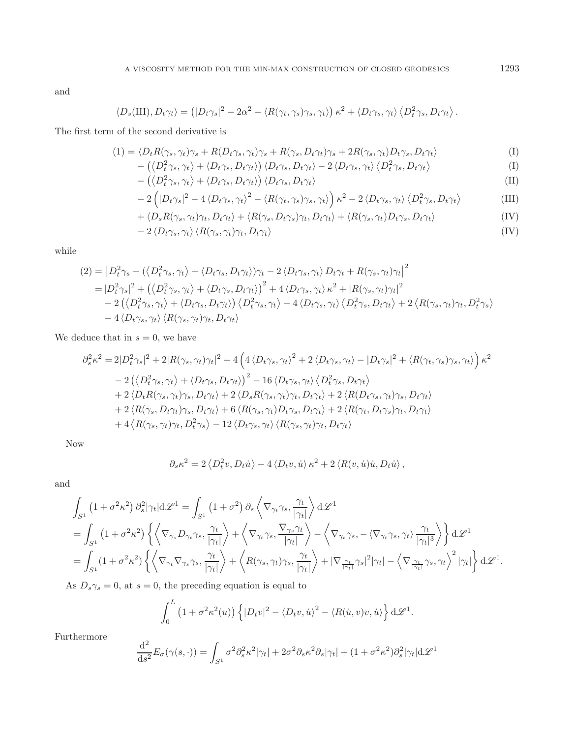and

$$
\langle D_s(\text{III}), D_t \gamma_t \rangle = \left( |D_t \gamma_s|^2 - 2\alpha^2 - \langle R(\gamma_t, \gamma_s) \gamma_s, \gamma_t \rangle \right) \kappa^2 + \langle D_t \gamma_s, \gamma_t \rangle \langle D_t^2 \gamma_s, D_t \gamma_t \rangle.
$$

The first term of the second derivative is

$$
(1) = \langle D_t R(\gamma_s, \gamma_t) \gamma_s + R(D_t \gamma_s, \gamma_t) \gamma_s + R(\gamma_s, D_t \gamma_t) \gamma_s + 2R(\gamma_s, \gamma_t) D_t \gamma_s, D_t \gamma_t \rangle \tag{I}
$$

$$
- \left( \left\langle D_t^2 \gamma_s, \gamma_t \right\rangle + \left\langle D_t \gamma_s, D_t \gamma_t \right\rangle \right) \langle D_t \gamma_s, D_t \gamma_t \rangle - 2 \langle D_t \gamma_s, \gamma_t \rangle \langle D_t^2 \gamma_s, D_t \gamma_t \rangle \tag{I}
$$

$$
- \left( \left\langle D_t^2 \gamma_s, \gamma_t \right\rangle + \left\langle D_t \gamma_s, D_t \gamma_t \right\rangle \right) \left\langle D_t \gamma_s, D_t \gamma_t \right\rangle \tag{II}
$$

$$
-2\left(|D_t\gamma_s|^2 - 4\langle D_t\gamma_s, \gamma_t \rangle^2 - \langle R(\gamma_t, \gamma_s)\gamma_s, \gamma_t \rangle\right)\kappa^2 - 2\langle D_t\gamma_s, \gamma_t \rangle \langle D_t^2\gamma_s, D_t\gamma_t \rangle \tag{III}
$$

+ 
$$
\langle D_s R(\gamma_s, \gamma_t) \gamma_t, D_t \gamma_t \rangle + \langle R(\gamma_s, D_t \gamma_s) \gamma_t, D_t \gamma_t \rangle + \langle R(\gamma_s, \gamma_t) D_t \gamma_s, D_t \gamma_t \rangle
$$
 (IV)

$$
-2\langle D_t\gamma_s,\gamma_t\rangle\langle R(\gamma_s,\gamma_t)\gamma_t,D_t\gamma_t\rangle
$$
 (IV)

while

$$
(2) = |D_t^2 \gamma_s - (\langle D_t^2 \gamma_s, \gamma_t \rangle + \langle D_t \gamma_s, D_t \gamma_t \rangle) \gamma_t - 2 \langle D_t \gamma_s, \gamma_t \rangle D_t \gamma_t + R(\gamma_s, \gamma_t) \gamma_t|^2
$$
  
\n
$$
= |D_t^2 \gamma_s|^2 + (\langle D_t^2 \gamma_s, \gamma_t \rangle + \langle D_t \gamma_s, D_t \gamma_t \rangle)^2 + 4 \langle D_t \gamma_s, \gamma_t \rangle \kappa^2 + |R(\gamma_s, \gamma_t) \gamma_t|^2
$$
  
\n
$$
- 2 (\langle D_t^2 \gamma_s, \gamma_t \rangle + \langle D_t \gamma_s, D_t \gamma_t \rangle) \langle D_t^2 \gamma_s, \gamma_t \rangle - 4 \langle D_t \gamma_s, \gamma_t \rangle \langle D_t^2 \gamma_s, D_t \gamma_t \rangle + 2 \langle R(\gamma_s, \gamma_t) \gamma_t, D_t^2 \gamma_s \rangle
$$
  
\n
$$
- 4 \langle D_t \gamma_s, \gamma_t \rangle \langle R(\gamma_s, \gamma_t) \gamma_t, D_t \gamma_t \rangle
$$

We deduce that in  $s = 0$ , we have

$$
\partial_s^2 \kappa^2 = 2|D_t^2 \gamma_s|^2 + 2|R(\gamma_s, \gamma_t)\gamma_t|^2 + 4\left(4\langle D_t \gamma_s, \gamma_t \rangle^2 + 2\langle D_t \gamma_s, \gamma_t \rangle - |D_t \gamma_s|^2 + \langle R(\gamma_t, \gamma_s) \gamma_s, \gamma_t \rangle\right) \kappa^2
$$
  
\n
$$
- 2\left(\langle D_t^2 \gamma_s, \gamma_t \rangle + \langle D_t \gamma_s, D_t \gamma_t \rangle\right)^2 - 16\langle D_t \gamma_s, \gamma_t \rangle \langle D_t^2 \gamma_s, D_t \gamma_t \rangle
$$
  
\n
$$
+ 2\langle D_t R(\gamma_s, \gamma_t) \gamma_s, D_t \gamma_t \rangle + 2\langle D_s R(\gamma_s, \gamma_t) \gamma_t, D_t \gamma_t \rangle + 2\langle R(D_t \gamma_s, \gamma_t) \gamma_s, D_t \gamma_t \rangle
$$
  
\n
$$
+ 2\langle R(\gamma_s, D_t \gamma_t) \gamma_s, D_t \gamma_t \rangle + 6\langle R(\gamma_s, \gamma_t) D_t \gamma_s, D_t \gamma_t \rangle + 2\langle R(\gamma_t, D_t \gamma_s) \gamma_t, D_t \gamma_t \rangle
$$
  
\n
$$
+ 4\langle R(\gamma_s, \gamma_t) \gamma_t, D_t^2 \gamma_s \rangle - 12\langle D_t \gamma_s, \gamma_t \rangle \langle R(\gamma_s, \gamma_t) \gamma_t, D_t \gamma_t \rangle
$$

Now

$$
\partial_s \kappa^2 = 2 \left\langle D_t^2 v, D_t \dot{u} \right\rangle - 4 \left\langle D_t v, \dot{u} \right\rangle \kappa^2 + 2 \left\langle R(v, \dot{u}) \dot{u}, D_t \dot{u} \right\rangle,
$$

and

$$
\int_{S^1} (1 + \sigma^2 \kappa^2) \partial_s^2 |\gamma_t| d\mathcal{L}^1 = \int_{S^1} (1 + \sigma^2) \partial_s \left\langle \nabla_{\gamma_t} \gamma_s, \frac{\gamma_t}{|\gamma_t|} \right\rangle d\mathcal{L}^1
$$
\n
$$
= \int_{S^1} (1 + \sigma^2 \kappa^2) \left\{ \left\langle \nabla_{\gamma_s} D_{\gamma_t} \gamma_s, \frac{\gamma_t}{|\gamma_t|} \right\rangle + \left\langle \nabla_{\gamma_t} \gamma_s, \frac{\nabla_{\gamma_s} \gamma_t}{|\gamma_t|} \right\rangle - \left\langle \nabla_{\gamma_t} \gamma_s, - \langle \nabla_{\gamma_t} \gamma_s, \gamma_t \rangle \frac{\gamma_t}{|\gamma_t|^3} \right\rangle \right\} d\mathcal{L}^1
$$
\n
$$
= \int_{S^1} (1 + \sigma^2 \kappa^2) \left\{ \left\langle \nabla_{\gamma_t} \nabla_{\gamma_s} \gamma_s, \frac{\gamma_t}{|\gamma_t|} \right\rangle + \left\langle R(\gamma_s, \gamma_t) \gamma_s, \frac{\gamma_t}{|\gamma_t|} \right\rangle + |\nabla_{\frac{\gamma_t}{|\gamma_t|}} \gamma_s|^2 |\gamma_t| - \left\langle \nabla_{\frac{\gamma_t}{|\gamma_t|}} \gamma_s, \gamma_t \right\rangle^2 |\gamma_t| \right\} d\mathcal{L}^1.
$$

As  $D_s \gamma_s = 0$ , at  $s = 0$ , the preceding equation is equal to

$$
\int_0^L \left(1 + \sigma^2 \kappa^2(u)\right) \left\{ |D_t v|^2 - \langle D_t v, \dot{u} \rangle^2 - \langle R(\dot{u}, v)v, \dot{u} \rangle \right\} d\mathcal{L}^1.
$$

Furthermore

$$
\frac{\mathrm{d}^2}{\mathrm{d}s^2}E_{\sigma}(\gamma(s,\cdot)) = \int_{S^1}\sigma^2\partial_s^2\kappa^2|\gamma_t| + 2\sigma^2\partial_s\kappa^2\partial_s|\gamma_t| + (1+\sigma^2\kappa^2)\partial_s^2|\gamma_t|\mathrm{d}\mathscr{L}^1
$$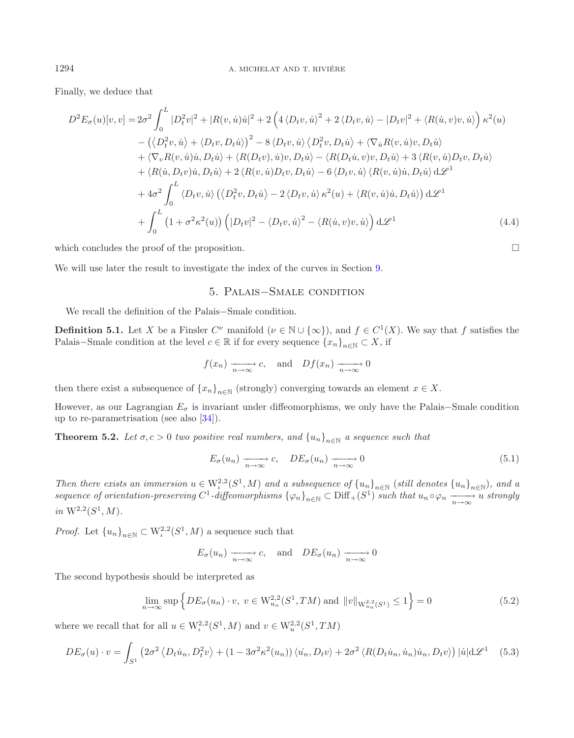Finally, we deduce that

$$
D^{2}E_{\sigma}(u)[v,v] = 2\sigma^{2} \int_{0}^{L} |D_{t}^{2}v|^{2} + |R(v,\dot{u})\dot{u}|^{2} + 2\left(4\langle D_{t}v,\dot{u}\rangle^{2} + 2\langle D_{t}v,\dot{u}\rangle - |D_{t}v|^{2} + \langle R(\dot{u},v)v,\dot{u}\rangle\right)\kappa^{2}(u) - \left(\langle D_{t}^{2}v,\dot{u}\rangle + \langle D_{t}v,D_{t}\dot{u}\rangle\right)^{2} - 8\langle D_{t}v,\dot{u}\rangle\langle D_{t}^{2}v,D_{t}\dot{u}\rangle + \langle \nabla_{\dot{u}}R(v,\dot{u})v,D_{t}\dot{u}\rangle + \langle \nabla_{v}R(v,\dot{u})\dot{u},D_{t}\dot{u}\rangle + \langle R(D_{t}v),\dot{u})v,D_{t}\dot{u}\rangle - \langle R(D_{t}\dot{u},v)v,D_{t}\dot{u}\rangle + 3\langle R(v,\dot{u})D_{t}v,D_{t}\dot{u}\rangle + \langle R(\dot{u},D_{t}v)\dot{u},D_{t}\dot{u}\rangle + 2\langle R(v,\dot{u})D_{t}v,D_{t}\dot{u}\rangle - 6\langle D_{t}v,\dot{u}\rangle\langle R(v,\dot{u})\dot{u},D_{t}\dot{u}\rangle d\mathcal{L}^{1} + 4\sigma^{2} \int_{0}^{L} \langle D_{t}v,\dot{u}\rangle \left(\langle D_{t}^{2}v,D_{t}\dot{u}\rangle - 2\langle D_{t}v,\dot{u}\rangle\kappa^{2}(u) + \langle R(v,\dot{u})\dot{u},D_{t}\dot{u}\rangle\right) d\mathcal{L}^{1} + \int_{0}^{L} (1 + \sigma^{2}\kappa^{2}(u)) \left(|D_{t}v|^{2} - \langle D_{t}v,\dot{u}\rangle^{2} - \langle R(\dot{u},v)v,\dot{u}\rangle\right) d\mathcal{L}^{1}
$$
(4.4)

which concludes the proof of the proposition.  $\Box$ 

We will use later the result to investigate the index of the curves in Section [9.](#page-25-0)

# <span id="page-12-0"></span>5. Palais−Smale condition

We recall the definition of the Palais−Smale condition.

**Definition 5.1.** Let X be a Finsler  $C^{\nu}$  manifold  $(\nu \in \mathbb{N} \cup \{\infty\})$ , and  $f \in C^{1}(X)$ . We say that f satisfies the Palais–Smale condition at the level  $c \in \mathbb{R}$  if for every sequence  $\{x_n\}_{n\in\mathbb{N}} \subset X$ , if

$$
f(x_n) \xrightarrow[n \to \infty]{} c
$$
, and  $Df(x_n) \xrightarrow[n \to \infty]{} 0$ 

then there exist a subsequence of  $\{x_n\}_{n\in\mathbb{N}}$  (strongly) converging towards an element  $x \in X$ .

However, as our Lagrangian  $E_{\sigma}$  is invariant under diffeomorphisms, we only have the Palais–Smale condition up to re-parametrisation (see also [\[34\]](#page-42-27)).

**Theorem 5.2.** *Let*  $\sigma$ ,  $c > 0$  *two positive real numbers, and*  $\{u_n\}_{n\in\mathbb{N}}$  *a sequence such that* 

$$
E_{\sigma}(u_n) \xrightarrow[n \to \infty]{} c, \quad DE_{\sigma}(u_n) \xrightarrow[n \to \infty]{} 0 \tag{5.1}
$$

*Then there exists an immersion*  $u \in W^{2,2}_t(S^1, M)$  *and a subsequence of*  $\{u_n\}_{n \in \mathbb{N}}$  *(still denotes*  $\{u_n\}_{n \in \mathbb{N}}$ *), and a*  $sequence of orientation-preserving C<sup>1</sup>-diffeomorphisms  $\{\varphi_n\}_{n\in\mathbb{N}} \subset \text{Diff}_+(S^1)$  *such that*  $u_n \circ \varphi_n \xrightarrow[n \to \infty]{n \to \infty} u$  *strongly*$ *in*  $W^{2,2}(S^1, M)$ *.* 

*Proof.* Let  ${u_n}_{n\in\mathbb{N}} \subset W^{2,2}_\iota(S^1,M)$  a sequence such that

$$
E_{\sigma}(u_n) \xrightarrow[n \to \infty]{} c
$$
, and  $DE_{\sigma}(u_n) \xrightarrow[n \to \infty]{} 0$ 

The second hypothesis should be interpreted as

$$
\lim_{n \to \infty} \sup \left\{ DE_{\sigma}(u_n) \cdot v, \ v \in W_{u_n}^{2,2}(S^1, TM) \text{ and } ||v||_{W_{u_n}^{2,2}(S^1)} \le 1 \right\} = 0 \tag{5.2}
$$

where we recall that for all  $u \in W^{2,2}_t(S^1,M)$  and  $v \in W^{2,2}_u(S^1, TM)$ 

$$
DE_{\sigma}(u) \cdot v = \int_{S^1} \left( 2\sigma^2 \left\langle D_t \dot{u}_n, D_t^2 v \right\rangle + (1 - 3\sigma^2 \kappa^2(u_n)) \left\langle \dot{u}_n, D_t v \right\rangle + 2\sigma^2 \left\langle R(D_t \dot{u}_n, \dot{u}_n) \dot{u}_n, D_t v \right\rangle \right) |\dot{u}| d\mathcal{L}^1 \quad (5.3)
$$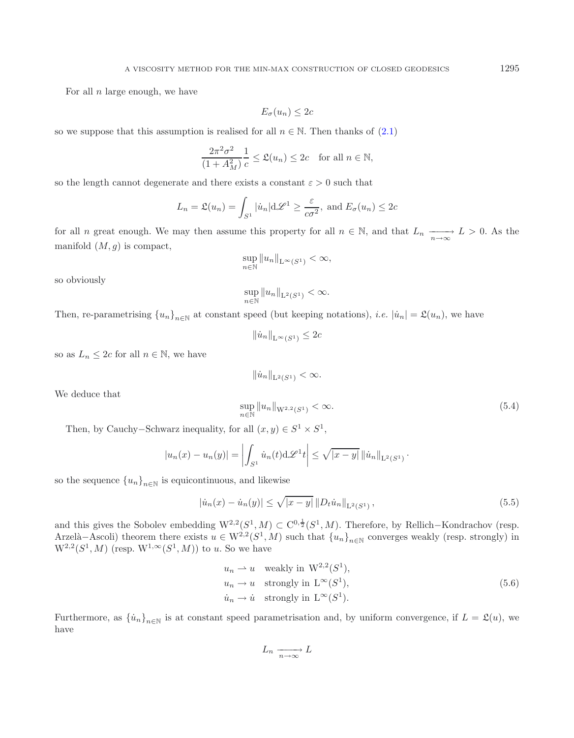For all  $n$  large enough, we have

$$
E_{\sigma}(u_n) \leq 2c
$$

so we suppose that this assumption is realised for all  $n \in \mathbb{N}$ . Then thanks of [\(2.1\)](#page-5-0)

$$
\frac{2\pi^2\sigma^2}{(1+A_M^2)}\frac{1}{c} \le \mathfrak{L}(u_n) \le 2c \quad \text{for all } n \in \mathbb{N},
$$

so the length cannot degenerate and there exists a constant  $\varepsilon > 0$  such that

$$
L_n = \mathfrak{L}(u_n) = \int_{S^1} |\dot{u}_n| \mathrm{d}\mathscr{L}^1 \ge \frac{\varepsilon}{c\sigma^2}, \text{ and } E_{\sigma}(u_n) \le 2c
$$

for all n great enough. We may then assume this property for all  $n \in \mathbb{N}$ , and that  $L_n \longrightarrow L > 0$ . As the manifold  $(M, g)$  is compact,

$$
\sup_{n\in\mathbb{N}}\|u_n\|_{\mathcal{L}^\infty(S^1)}<\infty,
$$

so obviously

We deduce that

$$
\sup_{n\in\mathbb{N}}\|u_n\|_{\mathrm{L}^2(S^1)}<\infty.
$$

Then, re-parametrising  ${u_n}_{n\in\mathbb{N}}$  at constant speed (but keeping notations), *i.e.*  $|\dot{u}_n| = \mathfrak{L}(u_n)$ , we have

$$
\|\dot{u}_n\|_{\mathcal{L}^\infty(S^1)} \le 2c
$$

so as  $L_n \leq 2c$  for all  $n \in \mathbb{N}$ , we have

<span id="page-13-0"></span>
$$
\|u_n\|_{\mathcal{L}^2(S^1)} < \infty.
$$
\n
$$
\sup_{n \in \mathbb{N}} \|u_n\|_{\mathcal{W}^{2,2}(S^1)} < \infty.
$$
\n(5.4)

Then, by Cauchy–Schwarz inequality, for all  $(x, y) \in S^1 \times S^1$ ,

$$
|u_n(x) - u_n(y)| = \left| \int_{S^1} \dot{u}_n(t) d\mathscr{L}^1 t \right| \leq \sqrt{|x-y|} ||\dot{u}_n||_{L^2(S^1)}.
$$

so the sequence  ${u_n}_{n\in\mathbb{N}}$  is equicontinuous, and likewise

$$
|\dot{u}_n(x) - \dot{u}_n(y)| \le \sqrt{|x - y|} \|D_t \dot{u}_n\|_{\mathcal{L}^2(S^1)},
$$
\n(5.5)

and this gives the Sobolev embedding  $W^{2,2}(S^1, M) \subset C^{0,\frac{1}{2}}(S^1, M)$ . Therefore, by Rellich–Kondrachov (resp. Arzelà–Ascoli) theorem there exists  $u \in W^{2,2}(S^1, M)$  such that  $\{u_n\}_{n \in \mathbb{N}}$  converges weakly (resp. strongly) in  $W^{2,2}(S^1, M)$  (resp.  $W^{1,\infty}(S^1, M)$ ) to u. So we have

$$
u_n \rightharpoonup u \quad \text{weakly in } W^{2,2}(S^1),
$$
  
\n
$$
u_n \to u \quad \text{strongly in } \mathcal{L}^{\infty}(S^1),
$$
  
\n
$$
\dot{u}_n \to \dot{u} \quad \text{strongly in } \mathcal{L}^{\infty}(S^1).
$$
\n
$$
(5.6)
$$

Furthermore, as  $\{\dot{u}_n\}_{n\in\mathbb{N}}$  is at constant speed parametrisation and, by uniform convergence, if  $L = \mathfrak{L}(u)$ , we have

$$
L_n \xrightarrow[n \to \infty]{} L
$$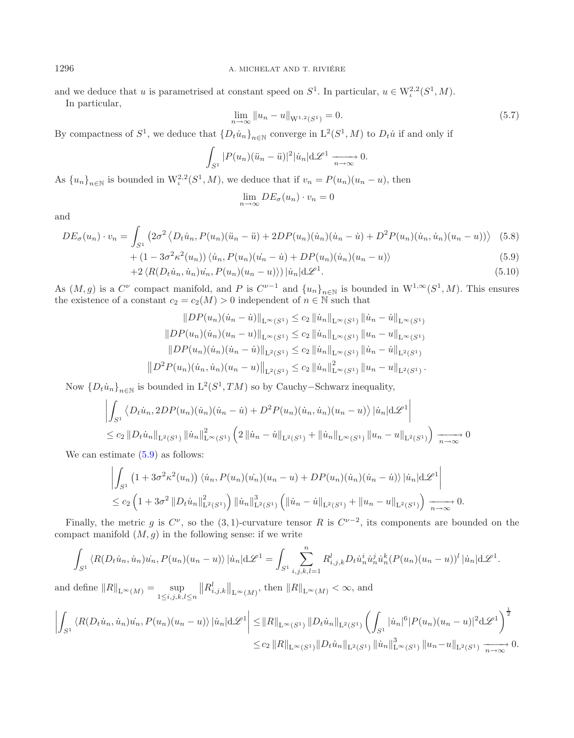and we deduce that u is parametrised at constant speed on  $S^1$ . In particular,  $u \in W^{2,2}_\iota(S^1,M)$ . In particular,

<span id="page-14-1"></span><span id="page-14-0"></span>
$$
\lim_{n \to \infty} \|u_n - u\|_{\mathcal{W}^{1,2}(S^1)} = 0. \tag{5.7}
$$

By compactness of  $S^1$ , we deduce that  $\{D_t\dot{u}_n\}_{n\in\mathbb{N}}$  converge in  $L^2(S^1, M)$  to  $D_t\dot{u}$  if and only if

$$
\int_{S^1} |P(u_n)(\ddot{u}_n - \ddot{u})|^2 |\dot{u}_n| \, d\mathscr{L}^1 \xrightarrow[n \to \infty]{} 0.
$$

As  ${u_n}_{n\in\mathbb{N}}$  is bounded in  $\mathcal{W}_t^{2,2}(S^1, M)$ , we deduce that if  $v_n = P(u_n)(u_n - u)$ , then

$$
\lim_{n \to \infty} DE_{\sigma}(u_n) \cdot v_n = 0
$$

and

$$
DE_{\sigma}(u_n) \cdot v_n = \int_{S^1} \left( 2\sigma^2 \left\langle D_t \dot{u}_n, P(u_n)(\ddot{u}_n - \ddot{u}) + 2DP(u_n)(\dot{u}_n)(\dot{u}_n - \dot{u}) + D^2 P(u_n)(\dot{u}_n, \dot{u}_n)(u_n - u) \right\rangle \right) \tag{5.8}
$$

+ 
$$
(1 - 3\sigma^2 \kappa^2(u_n)) \langle \dot{u}_n, P(u_n)(\dot{u}_n - \dot{u}) + DP(u_n)(\dot{u}_n)(u_n - u) \rangle
$$
 (5.9)  
+2  $\langle R(D_1 \dot{u}_n, \dot{u}_n) \dot{u}_n, P(u_n)(u_n - u) \rangle$  | $\dot{u}_n | d \mathcal{L}^1$  (5.10)

$$
-2\langle R(D_t\dot{u}_n,\dot{u}_n)\dot{u}_n, P(u_n)(u_n-u)\rangle)|\dot{u}_n|\mathrm{d}\mathcal{L}^1. \tag{5.10}
$$

As  $(M, g)$  is a  $C^{\nu}$  compact manifold, and P is  $C^{\nu-1}$  and  $\{u_n\}_{n\in\mathbb{N}}$  is bounded in  $W^{1,\infty}(S^1, M)$ . This ensures the existence of a constant  $c_2 = c_2(M) > 0$  independent of  $n \in \mathbb{N}$  such that

$$
||DP(u_n)(\dot{u}_n - \dot{u})||_{L^{\infty}(S^1)} \le c_2 ||\dot{u}_n||_{L^{\infty}(S^1)} ||\dot{u}_n - \dot{u}||_{L^{\infty}(S^1)}
$$
  
\n
$$
||DP(u_n)(\dot{u}_n)(u_n - u)||_{L^{\infty}(S^1)} \le c_2 ||\dot{u}_n||_{L^{\infty}(S^1)} ||u_n - u||_{L^{\infty}(S^1)}
$$
  
\n
$$
||DP(u_n)(\dot{u}_n)(\dot{u}_n - \dot{u})||_{L^2(S^1)} \le c_2 ||\dot{u}_n||_{L^{\infty}(S^1)} ||\dot{u}_n - \dot{u}||_{L^2(S^1)}
$$
  
\n
$$
||D^2P(u_n)(\dot{u}_n, \dot{u}_n)(u_n - u)||_{L^2(S^1)} \le c_2 ||\dot{u}_n||_{L^{\infty}(S^1)}^2 ||u_n - u||_{L^2(S^1)}.
$$

Now  $\{D_t\dot{u}_n\}_{n\in\mathbb{N}}$  is bounded in  $L^2(S^1, TM)$  so by Cauchy–Schwarz inequality,

$$
\left| \int_{S^1} \left\langle D_t \dot{u}_n, 2DP(u_n)(\dot{u}_n)(\dot{u}_n - \dot{u}) + D^2 P(u_n)(\dot{u}_n, \dot{u}_n)(u_n - u) \right\rangle |\dot{u}_n| d\mathcal{L}^1 \right|
$$
  
\n
$$
\leq c_2 \| D_t \dot{u}_n \|_{L^2(S^1)} \| \dot{u}_n \|_{L^{\infty}(S^1)}^2 \left( 2 \| \dot{u}_n - \dot{u} \|_{L^2(S^1)} + \| \dot{u}_n \|_{L^{\infty}(S^1)} \| u_n - u \|_{L^2(S^1)} \right) \xrightarrow[n \to \infty]{} 0
$$

We can estimate  $(5.9)$  as follows:

$$
\left| \int_{S^1} \left( 1 + 3\sigma^2 \kappa^2(u_n) \right) \langle \dot{u}_n, P(u_n)(\dot{u}_n)(u_n - u) + DP(u_n)(\dot{u}_n)(\dot{u}_n - \dot{u}) \rangle |\dot{u}_n| d\mathcal{L}^1 \right|
$$
  
\n
$$
\leq c_2 \left( 1 + 3\sigma^2 \| D_t \dot{u}_n \|_{\mathcal{L}^2(S^1)}^2 \right) \| \dot{u}_n \|_{\mathcal{L}^2(S^1)}^3 \left( \| \dot{u}_n - \dot{u} \|_{\mathcal{L}^2(S^1)} + \| u_n - u \|_{\mathcal{L}^2(S^1)} \right) \xrightarrow[n \to \infty]{} 0.
$$

Finally, the metric g is  $C^{\nu}$ , so the (3, 1)-curvature tensor R is  $C^{\nu-2}$ , its components are bounded on the compact manifold  $(M, g)$  in the following sense: if we write

$$
\int_{S^1} \left\langle R(D_t \dot{u}_n, \dot{u}_n) \dot{u}_n, P(u_n) (u_n - u) \right\rangle |\dot{u}_n| \, d\mathcal{L}^1 = \int_{S^1} \sum_{i,j,k,l=1}^n R_{i,j,k}^l D_t \dot{u}_n^i \dot{u}_n^j \dot{u}_n^k (P(u_n) (u_n - u))^l |\dot{u}_n| \, d\mathcal{L}^1.
$$

and define  $||R||_{L^{\infty}(M)} = \sup_{1 \leq i,j,k,l \leq n}$  $||R^l_{i,j,k}||_{\mathcal{L}^\infty(M)}$ , then  $||R||_{\mathcal{L}^\infty(M)} < \infty$ , and

$$
\left| \int_{S^1} \langle R(D_t \dot{u}_n, \dot{u}_n) \dot{u}_n, P(u_n)(u_n - u) \rangle |\dot{u}_n| d\mathcal{L}^1 \right| \leq ||R||_{L^{\infty}(S^1)} ||D_t \dot{u}_n||_{L^2(S^1)} \left( \int_{S^1} |\dot{u}_n|^6 |P(u_n)(u_n - u)|^2 d\mathcal{L}^1 \right)^{\frac{1}{2}} \leq c_2 ||R||_{L^{\infty}(S^1)} ||D_t \dot{u}_n||_{L^2(S^1)} ||\dot{u}_n||_{L^{\infty}(S^1)}^3 ||u_n - u||_{L^2(S^1)} \xrightarrow[n \to \infty]{} 0.
$$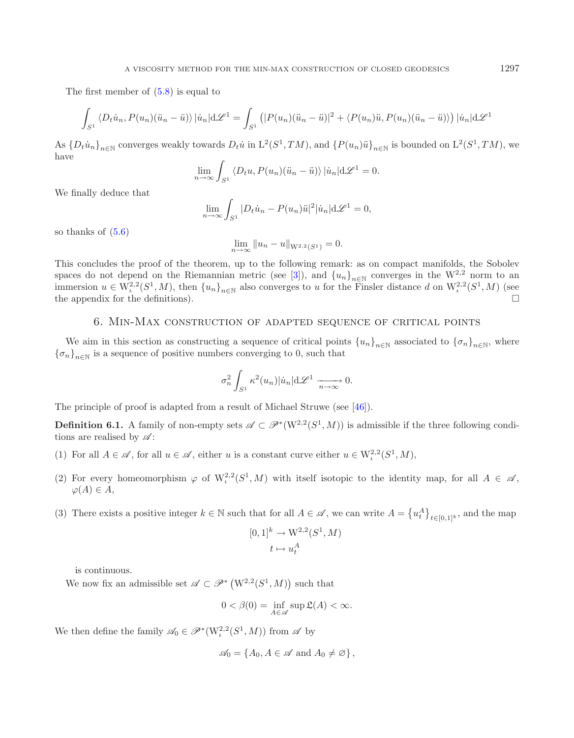The first member of [\(5.8\)](#page-14-1) is equal to

$$
\int_{S^1} \langle D_t \dot{u}_n, P(u_n) (\ddot{u}_n - \ddot{u}) \rangle |\dot{u}_n| d\mathcal{L}^1 = \int_{S^1} (|P(u_n)(\ddot{u}_n - \ddot{u})|^2 + \langle P(u_n)\ddot{u}, P(u_n)(\ddot{u}_n - \ddot{u}) \rangle) |\dot{u}_n| d\mathcal{L}^1
$$

As  ${D_t \dot{u}_n}_{n \in \mathbb{N}}$  converges weakly towards  $D_t \dot{u}$  in  $L^2(S^1, TM)$ , and  ${P(u_n)\ddot{u}}_{n \in \mathbb{N}}$  is bounded on  $L^2(S^1, TM)$ , we have

$$
\lim_{n \to \infty} \int_{S^1} \langle D_t u, P(u_n)(\ddot{u}_n - \ddot{u}) \rangle |\dot{u}_n| d\mathcal{L}^1 = 0.
$$

We finally deduce that

$$
\lim_{n \to \infty} \int_{S^1} |D_t \dot{u}_n - P(u_n) \ddot{u}|^2 |\dot{u}_n| d\mathcal{L}^1 = 0,
$$

so thanks of  $(5.6)$ 

<span id="page-15-1"></span>
$$
\lim_{n \to \infty} ||u_n - u||_{W^{2,2}(S^1)} = 0.
$$

This concludes the proof of the theorem, up to the following remark: as on compact manifolds, the Sobolev spaces do not depend on the Riemannian metric (see [\[3](#page-41-1)]), and  ${u_n}_{n\in\mathbb{N}}$  converges in the W<sup>2,2</sup> norm to an immersion  $u \in W^{2,2}_\iota(S^1,M)$ , then  $\{u_n\}_{n\in\mathbb{N}}$  also converges to u for the Finsler distance d on  $W^{2,2}_\iota(S^1,M)$  (see the appendix for the definitions). the appendix for the definitions).

### 6. Min-Max construction of adapted sequence of critical points

<span id="page-15-0"></span>We aim in this section as constructing a sequence of critical points  ${u_n}_{n\in\mathbb{N}}$  associated to  ${\lbrace \sigma_n \rbrace}_{n\in\mathbb{N}}$ , where  ${\lbrace \sigma_n \rbrace}_{n \in \mathbb{N}}$  is a sequence of positive numbers converging to 0, such that

$$
\sigma_n^2 \int_{S^1} \kappa^2(u_n) |\dot{u}_n| \mathrm{d} \mathscr{L}^1 \xrightarrow[n \to \infty]{} 0.
$$

The principle of proof is adapted from a result of Michael Struwe (see [\[46\]](#page-42-12)).

**Definition 6.1.** A family of non-empty sets  $\mathscr{A} \subset \mathscr{P}^*(W^{2,2}(S^1,M))$  is admissible if the three following conditions are realised by *A* :

- (1) For all  $A \in \mathscr{A}$ , for all  $u \in \mathscr{A}$ , either u is a constant curve either  $u \in W^{2,2}_t(S^1,M)$ ,
- (2) For every homeomorphism  $\varphi$  of  $W^{2,2}_k(S^1,M)$  with itself isotopic to the identity map, for all  $A \in \mathscr{A}$ ,  $\varphi(A) \in A$ ,
- (3) There exists a positive integer  $k \in \mathbb{N}$  such that for all  $A \in \mathscr{A}$ , we can write  $A = \{u_t^A\}_{t \in [0,1]^k}$ , and the map

$$
[0,1]^k \to \mathcal{W}^{2,2}(S^1, M)
$$

$$
t \mapsto u_t^A
$$

is continuous.

We now fix an admissible set  $\mathscr{A} \subset \mathscr{P}^*$   $(W^{2,2}(S^1, M))$  such that

$$
0 < \beta(0) = \inf_{A \in \mathscr{A}} \sup \mathfrak{L}(A) < \infty.
$$

We then define the family  $\mathscr{A}_0 \in \mathscr{P}^*(W^{2,2}_\iota(S^1,M))$  from  $\mathscr{A}$  by

$$
\mathscr{A}_0 = \{A_0, A \in \mathscr{A} \text{ and } A_0 \neq \varnothing\},\
$$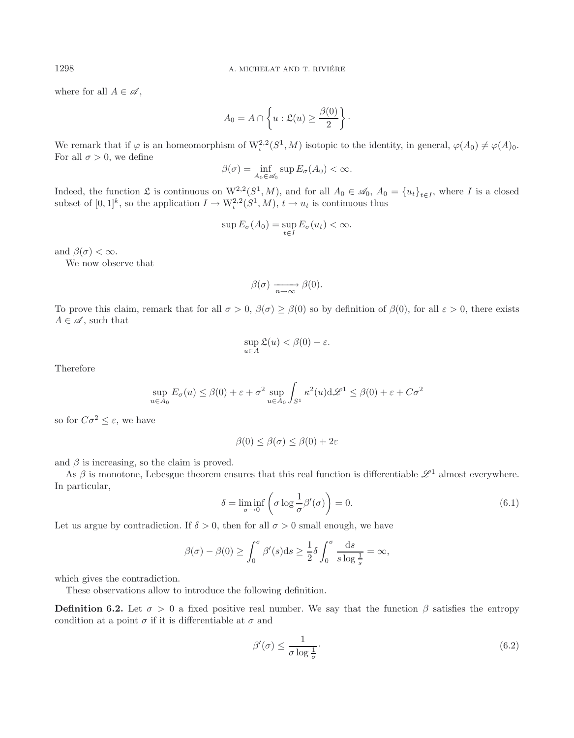where for all  $A \in \mathscr{A}$ ,

$$
A_0 = A \cap \left\{ u : \mathfrak{L}(u) \ge \frac{\beta(0)}{2} \right\}.
$$

We remark that if  $\varphi$  is an homeomorphism of  $W^{2,2}_t(S^1, M)$  isotopic to the identity, in general,  $\varphi(A_0) \neq \varphi(A_0)$ . For all  $\sigma > 0$ , we define

$$
\beta(\sigma) = \inf_{A_0 \in \mathscr{A}_0} \sup E_{\sigma}(A_0) < \infty.
$$

Indeed, the function  $\mathfrak{L}$  is continuous on  $W^{2,2}(S^1, M)$ , and for all  $A_0 \in \mathcal{A}_0$ ,  $A_0 = \{u_t\}_{t \in I}$ , where I is a closed subset of  $[0,1]^k$ , so the application  $I \to W^{2,2}_t(S^1, M)$ ,  $t \to u_t$  is continuous thus

$$
\sup E_{\sigma}(A_0) = \sup_{t \in I} E_{\sigma}(u_t) < \infty.
$$

and  $\beta(\sigma) < \infty$ .

We now observe that

$$
\beta(\sigma) \xrightarrow[n \to \infty]{} \beta(0).
$$

To prove this claim, remark that for all  $\sigma > 0$ ,  $\beta(\sigma) \geq \beta(0)$  so by definition of  $\beta(0)$ , for all  $\varepsilon > 0$ , there exists  $A \in \mathscr{A}$ , such that

$$
\sup_{u \in A} \mathfrak{L}(u) < \beta(0) + \varepsilon.
$$

<span id="page-16-1"></span>Therefore

$$
\sup_{u \in A_0} E_{\sigma}(u) \le \beta(0) + \varepsilon + \sigma^2 \sup_{u \in A_0} \int_{S^1} \kappa^2(u) d\mathcal{L}^1 \le \beta(0) + \varepsilon + C\sigma^2
$$

so for  $C\sigma^2 < \varepsilon$ , we have

<span id="page-16-0"></span>
$$
\beta(0) \le \beta(\sigma) \le \beta(0) + 2\varepsilon
$$

and  $\beta$  is increasing, so the claim is proved.

As  $\beta$  is monotone, Lebesgue theorem ensures that this real function is differentiable  $\mathscr{L}^1$  almost everywhere. In particular,

$$
\delta = \liminf_{\sigma \to 0} \left( \sigma \log \frac{1}{\sigma} \beta'(\sigma) \right) = 0. \tag{6.1}
$$

Let us argue by contradiction. If  $\delta > 0$ , then for all  $\sigma > 0$  small enough, we have

$$
\beta(\sigma) - \beta(0) \ge \int_0^{\sigma} \beta'(s) ds \ge \frac{1}{2} \delta \int_0^{\sigma} \frac{ds}{s \log \frac{1}{s}} = \infty,
$$

which gives the contradiction.

These observations allow to introduce the following definition.

**Definition 6.2.** Let  $\sigma > 0$  a fixed positive real number. We say that the function  $\beta$  satisfies the entropy condition at a point  $\sigma$  if it is differentiable at  $\sigma$  and

$$
\beta'(\sigma) \le \frac{1}{\sigma \log \frac{1}{\sigma}}.\tag{6.2}
$$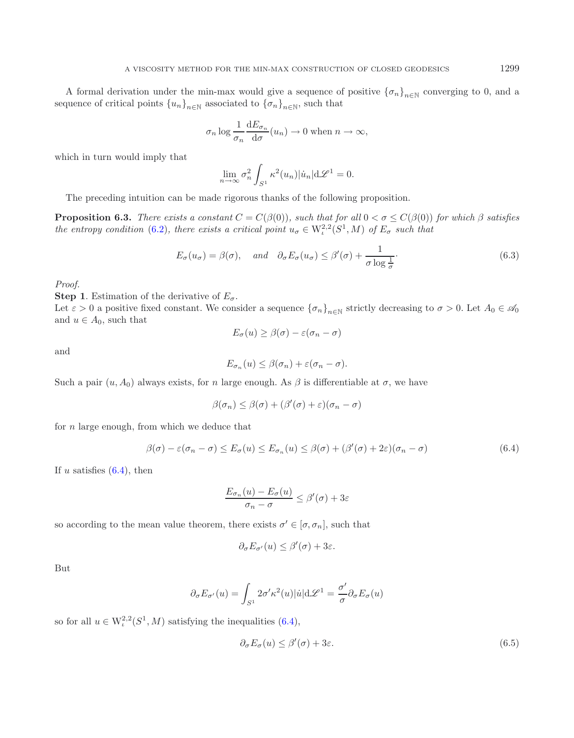A formal derivation under the min-max would give a sequence of positive  ${\lbrace \sigma_n \rbrace}_{n\in\mathbb{N}}$  converging to 0, and a sequence of critical points  ${u_n}_{n\in\mathbb{N}}$  associated to  ${\lbrace \sigma_n \rbrace}_{n\in\mathbb{N}}$ , such that

$$
\sigma_n \log \frac{1}{\sigma_n} \frac{dE_{\sigma_n}}{d\sigma}(u_n) \to 0
$$
 when  $n \to \infty$ ,

which in turn would imply that

$$
\lim_{n \to \infty} \sigma_n^2 \int_{S^1} \kappa^2(u_n) |\dot{u}_n| \mathrm{d} \mathcal{L}^1 = 0.
$$

The preceding intuition can be made rigorous thanks of the following proposition.

**Proposition 6.3.** *There exists a constant*  $C = C(\beta(0))$ *, such that for all*  $0 < \sigma \leq C(\beta(0))$  *for which*  $\beta$  *satisfies the entropy condition* [\(6.2\)](#page-16-0)*, there exists a critical point*  $u_{\sigma} \in W^{2,2}_t(S^1, M)$  *of*  $E_{\sigma}$  *such that* 

<span id="page-17-0"></span>
$$
E_{\sigma}(u_{\sigma}) = \beta(\sigma), \quad \text{and} \quad \partial_{\sigma} E_{\sigma}(u_{\sigma}) \le \beta'(\sigma) + \frac{1}{\sigma \log \frac{1}{\sigma}}.
$$

*Proof.*

**Step 1.** Estimation of the derivative of  $E_{\sigma}$ .

Let  $\varepsilon > 0$  a positive fixed constant. We consider a sequence  ${\{\sigma_n\}}_{n\in\mathbb{N}}$  strictly decreasing to  $\sigma > 0$ . Let  $A_0 \in \mathcal{A}_0$ and  $u \in A_0$ , such that

$$
E_{\sigma}(u) \geq \beta(\sigma) - \varepsilon(\sigma_n - \sigma)
$$

and

$$
E_{\sigma_n}(u) \leq \beta(\sigma_n) + \varepsilon(\sigma_n - \sigma).
$$

Such a pair  $(u, A_0)$  always exists, for n large enough. As  $\beta$  is differentiable at  $\sigma$ , we have

$$
\beta(\sigma_n) \leq \beta(\sigma) + (\beta'(\sigma) + \varepsilon)(\sigma_n - \sigma)
$$

for  $n$  large enough, from which we deduce that

$$
\beta(\sigma) - \varepsilon(\sigma_n - \sigma) \le E_{\sigma}(u) \le E_{\sigma_n}(u) \le \beta(\sigma) + (\beta'(\sigma) + 2\varepsilon)(\sigma_n - \sigma) \tag{6.4}
$$

If u satisfies  $(6.4)$ , then

<span id="page-17-1"></span>
$$
\frac{E_{\sigma_n}(u) - E_{\sigma}(u)}{\sigma_n - \sigma} \le \beta'(\sigma) + 3\varepsilon
$$

so according to the mean value theorem, there exists  $\sigma' \in [\sigma, \sigma_n]$ , such that

$$
\partial_{\sigma} E_{\sigma'}(u) \leq \beta'(\sigma) + 3\varepsilon.
$$

But

$$
\partial_{\sigma} E_{\sigma'}(u) = \int_{S^1} 2\sigma' \kappa^2(u) |\dot{u}| d\mathcal{L}^1 = \frac{\sigma'}{\sigma} \partial_{\sigma} E_{\sigma}(u)
$$

so for all  $u \in W^{2,2}_t(S^1, M)$  satisfying the inequalities [\(6.4\)](#page-17-0),

$$
\partial_{\sigma} E_{\sigma}(u) \le \beta'(\sigma) + 3\varepsilon. \tag{6.5}
$$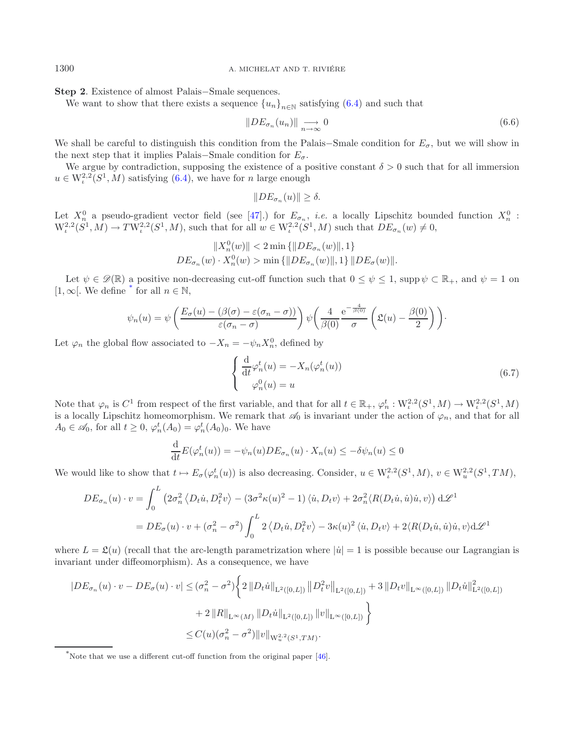#### 1300 **A. MICHELAT AND T. RIVIÉRE**

**Step 2**. Existence of almost Palais−Smale sequences.

We want to show that there exists a sequence  ${u_n}_{n\in\mathbb{N}}$  satisfying [\(6.4\)](#page-17-0) and such that

$$
||DE_{\sigma_n}(u_n)|| \xrightarrow[n \to \infty]{} 0 \tag{6.6}
$$

We shall be careful to distinguish this condition from the Palais–Smale condition for  $E_{\sigma}$ , but we will show in the next step that it implies Palais–Smale condition for  $E_{\sigma}$ .

We argue by contradiction, supposing the existence of a positive constant  $\delta > 0$  such that for all immersion  $u \in W^{2,2}_s(S^1,M)$  satisfying [\(6.4\)](#page-17-0), we have for n large enough

$$
||DE_{\sigma_n}(u)|| \ge \delta.
$$

Let  $X_n^0$  a pseudo-gradient vector field (see [\[47](#page-42-1)].) for  $E_{\sigma_n}$ , *i.e.* a locally Lipschitz bounded function  $X_n^0$ :  $W^{2,2}_\iota(S^1,M) \to TW^{2,2}_\iota(S^1,M)$ , such that for all  $w \in W^{2,2}_\iota(S^1,M)$  such that  $DE_{\sigma_n}(w) \neq 0$ ,

$$
\label{eq:2} \begin{split} \|X_n^0(w)\|&<2\min\left\{\|DE_{\sigma_n}(w)\|,1\right\}\\ DE_{\sigma_n}(w)\cdot X_n^0(w)&>\min\left\{\|DE_{\sigma_n}(w)\|,1\right\}\|DE_{\sigma}(w)\|. \end{split}
$$

Let  $\psi \in \mathscr{D}(\mathbb{R})$  a positive non-decreasing cut-off function such that  $0 \leq \psi \leq 1$ , supp  $\psi \subset \mathbb{R}_+$ , and  $\psi = 1$  on  $[1, \infty]$ . We define <sup>[\\*](#page-18-0)</sup> for all  $n \in \mathbb{N}$ ,

$$
\psi_n(u) = \psi\left(\frac{E_{\sigma}(u) - (\beta(\sigma) - \varepsilon(\sigma_n - \sigma))}{\varepsilon(\sigma_n - \sigma)}\right) \psi\left(\frac{4}{\beta(0)} e^{-\frac{4}{\beta(0)}} \left(\mathfrak{L}(u) - \frac{\beta(0)}{2}\right)\right).
$$

Let  $\varphi_n$  the global flow associated to  $-X_n = -\psi_n X_n^0$ , defined by

$$
\begin{cases}\n\frac{\mathrm{d}}{\mathrm{d}t} \varphi_n^t(u) = -X_n(\varphi_n^t(u)) \\
\varphi_n^0(u) = u\n\end{cases}
$$
\n(6.7)

Note that  $\varphi_n$  is  $C^1$  from respect of the first variable, and that for all  $t \in \mathbb{R}_+$ ,  $\varphi_n^t : W_t^{2,2}(S^1, M) \to W_t^{2,2}(S^1, M)$ is a locally Lipschitz homeomorphism. We remark that  $\mathscr{A}_0$  is invariant under the action of  $\varphi_n$ , and that for all  $A_0 \in \mathscr{A}_0$ , for all  $t \geq 0$ ,  $\varphi_n^t(A_0) = \varphi_n^t(A_0)_0$ . We have

$$
\frac{\mathrm{d}}{\mathrm{d}t}E(\varphi_n^t(u)) = -\psi_n(u)DE_{\sigma_n}(u) \cdot X_n(u) \le -\delta\psi_n(u) \le 0
$$

We would like to show that  $t \mapsto E_{\sigma}(\varphi_n^t(u))$  is also decreasing. Consider,  $u \in W^{2,2}_\iota(S^1,M)$ ,  $v \in W^{2,2}_u(S^1,TM)$ ,

$$
DE_{\sigma_n}(u) \cdot v = \int_0^L \left(2\sigma_n^2 \left\langle D_t \dot{u}, D_t^2 v \right\rangle - \left(3\sigma^2 \kappa(u)^2 - 1\right) \langle \dot{u}, D_t v \rangle + 2\sigma_n^2 \langle R(D_t \dot{u}, \dot{u}) \dot{u}, v \rangle \right) d\mathscr{L}^1
$$
  
= 
$$
DE_{\sigma}(u) \cdot v + (\sigma_n^2 - \sigma^2) \int_0^L 2 \left\langle D_t \dot{u}, D_t^2 v \right\rangle - 3\kappa(u)^2 \left\langle \dot{u}, D_t v \right\rangle + 2 \langle R(D_t \dot{u}, \dot{u}) \dot{u}, v \rangle d\mathscr{L}^1
$$

<span id="page-18-0"></span>where  $L = \mathfrak{L}(u)$  (recall that the arc-length parametrization where  $|\dot{u}| = 1$  is possible because our Lagrangian is invariant under diffeomorphism). As a consequence, we have

$$
|DE_{\sigma_n}(u) \cdot v - DE_{\sigma}(u) \cdot v| \leq (\sigma_n^2 - \sigma^2) \left\{ 2 ||D_t \dot{u}||_{\mathcal{L}^2([0,L])} ||D_t^2 v||_{\mathcal{L}^2([0,L])} + 3 ||D_t v||_{\mathcal{L}^\infty([0,L])} ||D_t \dot{u}||_{\mathcal{L}^2([0,L])}^2 \right\}
$$
  
+ 
$$
2 ||R||_{\mathcal{L}^\infty(M)} ||D_t \dot{u}||_{\mathcal{L}^2([0,L])} ||v||_{\mathcal{L}^\infty([0,L])} \left\}
$$
  

$$
\leq C(u)(\sigma_n^2 - \sigma^2) ||v||_{\mathcal{W}_u^{2,2}(S^1,TM)}.
$$

<sup>\*</sup>Note that we use a different cut-off function from the original paper [\[46\]](#page-42-12).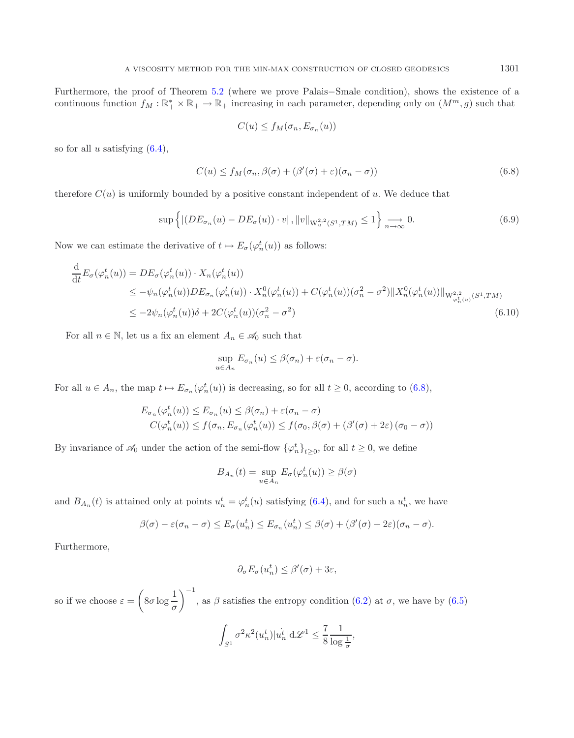Furthermore, the proof of Theorem [5.2](#page-12-0) (where we prove Palais−Smale condition), shows the existence of a continuous function  $f_M : \mathbb{R}_+^* \times \mathbb{R}_+ \to \mathbb{R}_+$  increasing in each parameter, depending only on  $(M^m, g)$  such that

<span id="page-19-2"></span><span id="page-19-1"></span><span id="page-19-0"></span>
$$
C(u) \le f_M(\sigma_n, E_{\sigma_n}(u))
$$

so for all u satisfying  $(6.4)$ ,

$$
C(u) \le f_M(\sigma_n, \beta(\sigma) + (\beta'(\sigma) + \varepsilon)(\sigma_n - \sigma))
$$
\n(6.8)

therefore  $C(u)$  is uniformly bounded by a positive constant independent of u. We deduce that

$$
\sup\left\{ \left| \left( DE_{\sigma_n}(u) - DE_{\sigma}(u) \right) \cdot v \right|, \|v\|_{\mathcal{W}_u^{2,2}(S^1, TM)} \le 1 \right\} \underset{n \to \infty}{\longrightarrow} 0. \tag{6.9}
$$

Now we can estimate the derivative of  $t \mapsto E_{\sigma}(\varphi_n^t(u))$  as follows:

$$
\frac{d}{dt} E_{\sigma}(\varphi_n^t(u)) = DE_{\sigma}(\varphi_n^t(u)) \cdot X_n(\varphi_n^t(u))
$$
\n
$$
\leq -\psi_n(\varphi_n^t(u))DE_{\sigma_n}(\varphi_n^t(u)) \cdot X_n^0(\varphi_n^t(u)) + C(\varphi_n^t(u))(\sigma_n^2 - \sigma^2) \|X_n^0(\varphi_n^t(u))\|_{W_{\varphi_n^t(u)}^{2,2}(S^1, TM)}
$$
\n
$$
\leq -2\psi_n(\varphi_n^t(u))\delta + 2C(\varphi_n^t(u))(\sigma_n^2 - \sigma^2)
$$
\n(6.10)

For all  $n \in \mathbb{N}$ , let us a fix an element  $A_n \in \mathcal{A}_0$  such that

$$
\sup_{u \in A_n} E_{\sigma_n}(u) \leq \beta(\sigma_n) + \varepsilon(\sigma_n - \sigma).
$$

For all  $u \in A_n$ , the map  $t \mapsto E_{\sigma_n}(\varphi_n^t(u))$  is decreasing, so for all  $t \geq 0$ , according to  $(6.8)$ ,

$$
E_{\sigma_n}(\varphi_n^t(u)) \le E_{\sigma_n}(u) \le \beta(\sigma_n) + \varepsilon(\sigma_n - \sigma)
$$
  

$$
C(\varphi_n^t(u)) \le f(\sigma_n, E_{\sigma_n}(\varphi_n^t(u)) \le f(\sigma_0, \beta(\sigma) + (\beta'(\sigma) + 2\varepsilon)(\sigma_0 - \sigma))
$$

By invariance of  $\mathscr{A}_0$  under the action of the semi-flow  $\{\varphi_n^t\}_{t\geq 0}$ , for all  $t\geq 0$ , we define

$$
B_{A_n}(t) = \sup_{u \in A_n} E_{\sigma}(\varphi_n^t(u)) \ge \beta(\sigma)
$$

and  $B_{A_n}(t)$  is attained only at points  $u_n^t = \varphi_n^t(u)$  satisfying [\(6.4\)](#page-17-0), and for such a  $u_n^t$ , we have

$$
\beta(\sigma) - \varepsilon(\sigma_n - \sigma) \le E_{\sigma}(u_n^t) \le E_{\sigma_n}(u_n^t) \le \beta(\sigma) + (\beta'(\sigma) + 2\varepsilon)(\sigma_n - \sigma).
$$

Furthermore,

$$
\partial_{\sigma} E_{\sigma}(u_n^t) \le \beta'(\sigma) + 3\varepsilon,
$$

so if we choose  $\varepsilon =$  $\left(8\sigma\log\frac{1}{\sigma}\right)$  $\setminus$ <sup>-1</sup> , as  $\beta$  satisfies the entropy condition [\(6.2\)](#page-16-0) at  $\sigma$ , we have by [\(6.5\)](#page-17-1)

$$
\int_{S^1}\sigma^2\kappa^2(u_n^t)|u_n^t|\mathrm{d}\mathscr{L}^1\leq \frac{7}{8}\frac{1}{\log \frac{1}{\sigma}},
$$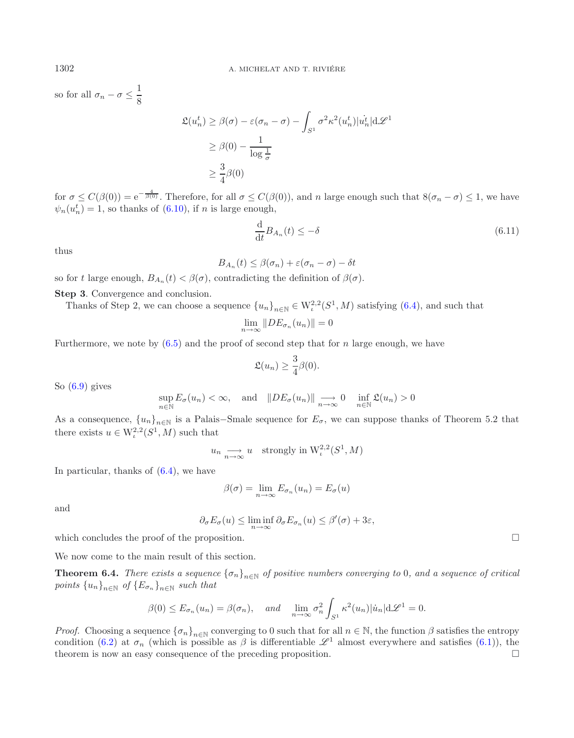so for all  $\sigma_n - \sigma \leq \frac{1}{8}$ 8

$$
\mathfrak{L}(u_n^t) \ge \beta(\sigma) - \varepsilon(\sigma_n - \sigma) - \int_{S^1} \sigma^2 \kappa^2(u_n^t) |u_n^t| d\mathcal{L}^1
$$
  

$$
\ge \beta(0) - \frac{1}{\log \frac{1}{\sigma}}
$$
  

$$
\ge \frac{3}{4}\beta(0)
$$

for  $\sigma \leq C(\beta(0)) = e^{-\frac{4}{\beta(0)}}$ . Therefore, for all  $\sigma \leq C(\beta(0))$ , and n large enough such that  $8(\sigma_n - \sigma) \leq 1$ , we have  $\psi_n(u_n^t) = 1$ , so thanks of [\(6.10\)](#page-19-1), if *n* is large enough,

$$
\frac{\mathrm{d}}{\mathrm{d}t}B_{A_n}(t) \le -\delta \tag{6.11}
$$

thus

$$
B_{A_n}(t) \leq \beta(\sigma_n) + \varepsilon(\sigma_n - \sigma) - \delta t
$$

so for t large enough,  $B_{A_n}(t) < \beta(\sigma)$ , contradicting the definition of  $\beta(\sigma)$ .

**Step 3**. Convergence and conclusion.

Thanks of Step 2, we can choose a sequence  ${u_n}_{n\in\mathbb{N}} \in W^{2,2}_\iota(S^1,M)$  satisfying  $(6.4)$ , and such that

$$
\lim_{n \to \infty} \|DE_{\sigma_n}(u_n)\| = 0
$$

Furthermore, we note by  $(6.5)$  and the proof of second step that for n large enough, we have

$$
\mathfrak{L}(u_n) \geq \frac{3}{4}\beta(0).
$$

So  $(6.9)$  gives

$$
\sup_{n\in\mathbb{N}} E_{\sigma}(u_n) < \infty, \quad \text{and} \quad \|DE_{\sigma}(u_n)\| \underset{n\to\infty}{\longrightarrow} 0 \quad \inf_{n\in\mathbb{N}} \mathfrak{L}(u_n) > 0
$$

As a consequence,  ${u_n}_{n\in\mathbb{N}}$  is a Palais–Smale sequence for  $E_{\sigma}$ , we can suppose thanks of Theorem 5.2 that there exists  $u \in W^{2,2}_t(S^1, M)$  such that

$$
u_n \longrightarrow u
$$
 strongly in  $W^{2,2}_\iota(S^1, M)$ 

In particular, thanks of [\(6.4\)](#page-17-0), we have

$$
\beta(\sigma) = \lim_{n \to \infty} E_{\sigma_n}(u_n) = E_{\sigma}(u)
$$

and

$$
\partial_{\sigma} E_{\sigma}(u) \le \liminf_{n \to \infty} \partial_{\sigma} E_{\sigma_n}(u) \le \beta'(\sigma) + 3\varepsilon,
$$

which concludes the proof of the proposition.

<span id="page-20-0"></span>We now come to the main result of this section.

**Theorem 6.4.** *There exists a sequence*  ${\lbrace \sigma_n \rbrace}_{n \in \mathbb{N}}$  *of positive numbers converging to* 0*, and a sequence of critical points*  ${u_n}_{n \in \mathbb{N}}$  *of*  ${E_{\sigma_n}}_{n \in \mathbb{N}}$  *such that* 

$$
\beta(0) \le E_{\sigma_n}(u_n) = \beta(\sigma_n), \quad \text{and} \quad \lim_{n \to \infty} \sigma_n^2 \int_{S^1} \kappa^2(u_n) |\dot{u}_n| d\mathcal{L}^1 = 0.
$$

*Proof.* Choosing a sequence  ${\{\sigma_n\}}_{n\in\mathbb{N}}$  converging to 0 such that for all  $n \in \mathbb{N}$ , the function  $\beta$  satisfies the entropy condition [\(6.2\)](#page-16-0) at  $\sigma_n$  (which is possible as  $\beta$  is differentiable  $\mathscr{L}^1$  almost everywhere and satisfies [\(6.1\)](#page-16-1)), the theorem is now an easy consequence of the preceding proposition.  $\Box$ 

 $\Box$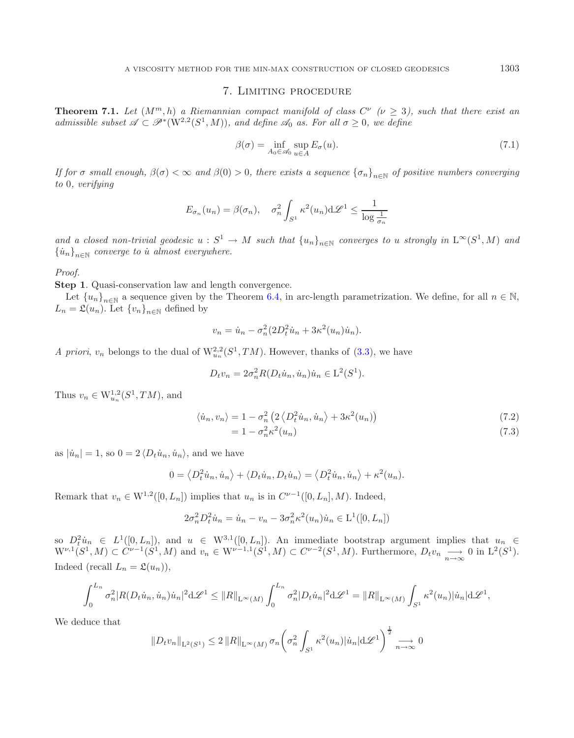### 7. Limiting procedure

<span id="page-21-1"></span><span id="page-21-0"></span>**Theorem 7.1.** *Let*  $(M^m, h)$  *a Riemannian compact manifold of class*  $C^{\nu}$  ( $\nu \geq 3$ ), such that there exist an *admissible subset*  $\mathscr{A} \subset \mathscr{P}^*(W^{2,2}(S^1,M))$ *, and define*  $\mathscr{A}_0$  *as. For all*  $\sigma \geq 0$ *, we define* 

$$
\beta(\sigma) = \inf_{A_0 \in \mathscr{A}_0} \sup_{u \in A} E_{\sigma}(u). \tag{7.1}
$$

*If for*  $\sigma$  *small enough,*  $\beta(\sigma) < \infty$  *and*  $\beta(0) > 0$ *, there exists a sequence*  $\{\sigma_n\}_{n\in\mathbb{N}}$  *of positive numbers converging to* 0*, verifying*

$$
E_{\sigma_n}(u_n) = \beta(\sigma_n), \quad \sigma_n^2 \int_{S^1} \kappa^2(u_n) d\mathcal{L}^1 \le \frac{1}{\log \frac{1}{\sigma_n}}
$$

and a closed non-trivial geodesic  $u : S^1 \to M$  such that  $\{u_n\}_{n\in\mathbb{N}}$  converges to u strongly in  $L^\infty(S^1, M)$  and  ${\{\dot{u}_n\}}_{n\in\mathbb{N}}$  *converge to ù almost everywhere.* 

*Proof.*

**Step 1**. Quasi-conservation law and length convergence.

Let  ${u_n}_{n\in\mathbb{N}}$  a sequence given by the Theorem [6.4,](#page-20-0) in arc-length parametrization. We define, for all  $n \in \mathbb{N}$ ,  $L_n = \mathfrak{L}(u_n)$ . Let  $\{v_n\}_{n \in \mathbb{N}}$  defined by

<span id="page-21-2"></span>
$$
v_n = \dot{u}_n - \sigma_n^2 (2D_t^2 \dot{u}_n + 3\kappa^2 (u_n) \dot{u}_n).
$$

*A priori, v<sub>n</sub>* belongs to the dual of  $W_{u_n}^{2,2}(S^1, TM)$ . However, thanks of [\(3.3\)](#page-8-1), we have

$$
D_t v_n = 2\sigma_n^2 R(D_t \dot{u}_n, \dot{u}_n) \dot{u}_n \in \mathcal{L}^2(S^1).
$$

Thus  $v_n \in W_{u_n}^{1,2}(S^1, TM)$ , and

$$
\langle \dot{u}_n, v_n \rangle = 1 - \sigma_n^2 \left( 2 \langle D_t^2 \dot{u}_n, \dot{u}_n \rangle + 3\kappa^2 (u_n) \right)
$$
  
= 1 - \sigma\_n^2 \kappa^2 (u\_n) (7.3)

as 
$$
|\dot{u}_n| = 1
$$
, so  $0 = 2 \langle D_t \dot{u}_n, \dot{u}_n \rangle$ , and we have

$$
0 = \left\langle D_t^2 \dot{u}_n, \dot{u}_n \right\rangle + \left\langle D_t \dot{u}_n, D_t \dot{u}_n \right\rangle = \left\langle D_t^2 \dot{u}_n, \dot{u}_n \right\rangle + \kappa^2 (u_n).
$$

Remark that  $v_n \in W^{1,2}([0, L_n])$  implies that  $u_n$  is in  $C^{\nu-1}([0, L_n], M)$ . Indeed,

$$
2\sigma_n^2 D_t^2 \dot{u}_n = \dot{u}_n - v_n - 3\sigma_n^2 \kappa^2 (u_n) \dot{u}_n \in \mathcal{L}^1([0, L_n])
$$

so  $D_t^2 u_n \in L^1([0, L_n])$ , and  $u \in W^{3,1}([0, L_n])$ . An immediate bootstrap argument implies that  $u_n \in$  $W^{\nu,1}(S^1, M) \subset \widetilde{C}^{\nu-1}(S^1, M)$  and  $v_n \in W^{\nu-1,1}(S^1, M) \subset C^{\nu-2}(S^1, M)$ . Furthermore,  $D_t v_n \longrightarrow 0$  in  $L^2(S^1)$ . Indeed (recall  $L_n = \mathfrak{L}(u_n)$ ),

$$
\int_0^{L_n} \sigma_n^2 |R(D_t \dot{u}_n, \dot{u}_n) \dot{u}_n|^2 \, d\mathcal{L}^1 \leq ||R||_{L^\infty(M)} \int_0^{L_n} \sigma_n^2 |D_t \dot{u}_n|^2 \, d\mathcal{L}^1 = ||R||_{L^\infty(M)} \int_{S^1} \kappa^2(u_n) |\dot{u}_n| \, d\mathcal{L}^1,
$$

We deduce that

$$
||D_t v_n||_{\mathcal{L}^2(S^1)} \leq 2 ||R||_{\mathcal{L}^{\infty}(M)} \sigma_n \left( \sigma_n^2 \int_{S^1} \kappa^2(u_n) |\dot{u}_n| \mathrm{d}\mathscr{L}^1 \right)^{\frac{1}{2}} \underset{n \to \infty}{\longrightarrow} 0
$$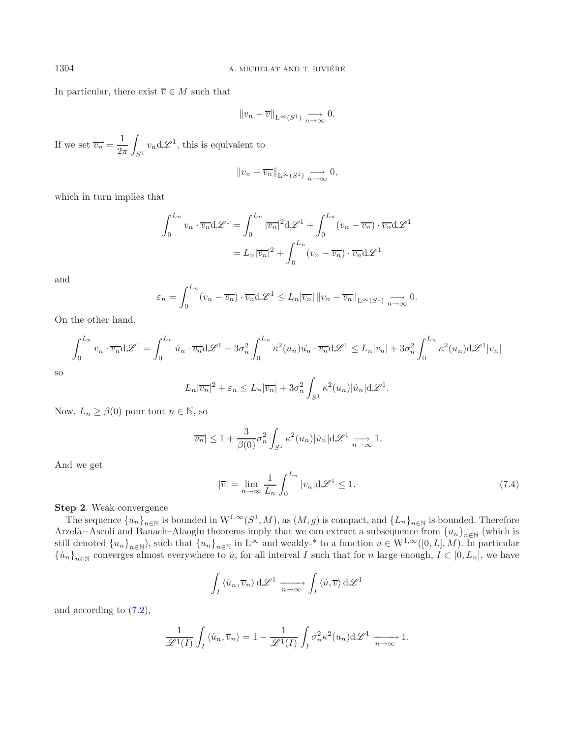In particular, there exist  $\overline{v} \in M$  such that

$$
||v_n - \overline{v}||_{L^{\infty}(S^1)} \underset{n \to \infty}{\longrightarrow} 0.
$$

If we set  $\overline{v_n} = \frac{1}{2\pi}$   $\int_{S^1} v_n \, d\mathscr{L}^1$ , this is equivalent to

$$
||v_n - \overline{v_n}||_{L^{\infty}(S^1)} \underset{n \to \infty}{\longrightarrow} 0,
$$

which in turn implies that

$$
\int_0^{L_n} v_n \cdot \overline{v_n} d\mathcal{L}^1 = \int_0^{L_n} |\overline{v_n}|^2 d\mathcal{L}^1 + \int_0^{L_n} (v_n - \overline{v_n}) \cdot \overline{v_n} d\mathcal{L}^1
$$

$$
= L_n |\overline{v_n}|^2 + \int_0^{L_n} (v_n - \overline{v_n}) \cdot \overline{v_n} d\mathcal{L}^1
$$

and

$$
\varepsilon_n = \int_0^{L_n} (v_n - \overline{v_n}) \cdot \overline{v_n} \, d\mathcal{L}^1 \le L_n |\overline{v_n}| \, ||v_n - \overline{v_n}||_{L^\infty(S^1)} \underset{n \to \infty}{\longrightarrow} 0.
$$

<span id="page-22-0"></span>On the other hand,

$$
\int_0^{L_n} v_n \cdot \overline{v_n} d\mathcal{L}^1 = \int_0^{L_n} \dot{u}_n \cdot \overline{v_n} d\mathcal{L}^1 - 3\sigma_n^2 \int_0^{L_n} \kappa^2(u_n) \dot{u}_n \cdot \overline{v_n} d\mathcal{L}^1 \le L_n |v_n| + 3\sigma_n^2 \int_0^{L_n} \kappa^2(u_n) d\mathcal{L}^1 |v_n|
$$

$$
_{\rm SO}
$$

$$
L_n |\overline{v_n}|^2 + \varepsilon_n \le L_n |\overline{v_n}| + 3\sigma_n^2 \int_{S^1} \kappa^2(u_n) |\dot{u}_n| \mathrm{d}\mathscr{L}^1.
$$

Now,  $L_n \geq \beta(0)$  pour tout  $n \in \mathbb{N}$ , so

$$
|\overline{v_n}| \le 1 + \frac{3}{\beta(0)} \sigma_n^2 \int_{S^1} \kappa^2(u_n) |\dot{u}_n| \mathrm{d} \mathscr{L}^1 \underset{n \to \infty}{\longrightarrow} 1.
$$

And we get

$$
|\overline{v}| = \lim_{n \to \infty} \frac{1}{L_n} \int_0^{L_n} |v_n| \, d\mathcal{L}^1 \le 1. \tag{7.4}
$$

### **Step 2**. Weak convergence

The sequence  $\{u_n\}_{n\in\mathbb{N}}$  is bounded in  $W^{1,\infty}(S^1, M)$ , as  $(M, g)$  is compact, and  $\{L_n\}_{n\in\mathbb{N}}$  is bounded. Therefore Arzelà–Ascoli and Banach–Alaoglu theorems imply that we can extract a subsequence from  ${u_n}_{n\in\mathbb{N}}$  (which is still denoted  ${u_n}_{n\in\mathbb{N}}$ , such that  ${u_n}_{n\in\mathbb{N}}$  in L<sup>∞</sup> and weakly-\* to a function  $u \in W^{1,\infty}([0,L],M)$ . In particular  ${\lbrace \dot{u}_n \rbrace}_{n \in \mathbb{N}}$  converges almost everywhere to  $\dot{u}$ , for all interval I such that for n large enough,  $I \subset [0, L_n]$ , we have

$$
\int_I \langle \dot{u}_n, \overline{v}_n \rangle \, d\mathscr{L}^1 \xrightarrow[n \to \infty]{} \int_I \langle \dot{u}, \overline{v} \rangle \, d\mathscr{L}^1
$$

and according to [\(7.2\)](#page-21-2),

$$
\frac{1}{\mathscr{L}^1(I)} \int_I \langle \dot{u}_n, \overline{v}_n \rangle = 1 - \frac{1}{\mathscr{L}^1(I)} \int_I \sigma_n^2 \kappa^2(u_n) d\mathscr{L}^1 \xrightarrow[n \to \infty]{} 1.
$$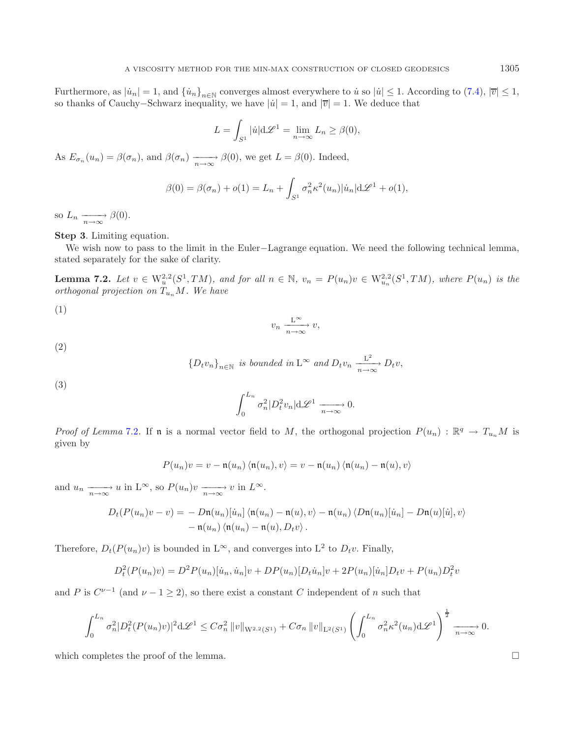Furthermore, as  $|\dot{u}_n| = 1$ , and  $\{\dot{u}_n\}_{n \in \mathbb{N}}$  converges almost everywhere to  $\dot{u}$  so  $|\dot{u}| \leq 1$ . According to [\(7.4\)](#page-22-0),  $|\overline{v}| \leq 1$ , so thanks of Cauchy–Schwarz inequality, we have  $|\dot{u}| = 1$ , and  $|\overline{v}| = 1$ . We deduce that

<span id="page-23-0"></span>
$$
L = \int_{S^1} |\dot{u}| d\mathcal{L}^1 = \lim_{n \to \infty} L_n \ge \beta(0),
$$

As  $E_{\sigma_n}(u_n) = \beta(\sigma_n)$ , and  $\beta(\sigma_n) \xrightarrow[n \to \infty]{} \beta(0)$ , we get  $L = \beta(0)$ . Indeed,

$$
\beta(0) = \beta(\sigma_n) + o(1) = L_n + \int_{S^1} \sigma_n^2 \kappa^2(u_n) |\dot{u}_n| d\mathcal{L}^1 + o(1),
$$

so  $L_n \xrightarrow[n \to \infty]{} \beta(0)$ .

**Step 3**. Limiting equation.

We wish now to pass to the limit in the Euler−Lagrange equation. We need the following technical lemma, stated separately for the sake of clarity.

**Lemma 7.2.** *Let*  $v \in W_u^{2,2}(S^1, TM)$ *, and for all*  $n \in \mathbb{N}$ *,*  $v_n = P(u_n)v \in W_{u_n}^{2,2}(S^1, TM)$ *, where*  $P(u_n)$  *is the orthogonal projection on*  $T_{u_n}M$ *. We have* 

(1)

$$
v_n \xrightarrow[n \to \infty]{\mathcal{L}^{\infty}} v,
$$

(2)

$$
\{D_t v_n\}_{n\in\mathbb{N}} \text{ is bounded in } \mathcal{L}^{\infty} \text{ and } D_t v_n \xrightarrow[n \to \infty]{\mathcal{L}^2} D_t v,
$$

(3)

$$
\int_0^{L_n} \sigma_n^2 |D_t^2 v_n| \mathrm{d} \mathscr{L}^1 \xrightarrow[n \to \infty]{} 0.
$$

*Proof of Lemma* [7.2](#page-23-0). If **n** is a normal vector field to M, the orthogonal projection  $P(u_n)$ :  $\mathbb{R}^q \to T_{u_n}M$  is given by

$$
P(u_n)v = v - \mathfrak{n}(u_n) \langle \mathfrak{n}(u_n), v \rangle = v - \mathfrak{n}(u_n) \langle \mathfrak{n}(u_n) - \mathfrak{n}(u), v \rangle
$$

and  $u_n \xrightarrow[n \to \infty]{} u$  in  $L^{\infty}$ , so  $P(u_n)v \xrightarrow[n \to \infty]{} v$  in  $L^{\infty}$ .

$$
D_t(P(u_n)v - v) = -Dn(u_n)[\dot{u}_n] \langle n(u_n) - n(u), v \rangle - n(u_n) \langle Dn(u_n)[\dot{u}_n] - Dn(u)[\dot{u}], v \rangle
$$
  
- n(u\_n) \langle n(u\_n) - n(u), D\_t v \rangle.

Therefore,  $D_t(P(u_n)v)$  is bounded in  $L^{\infty}$ , and converges into  $L^2$  to  $D_tv$ . Finally,

$$
D_t^2(P(u_n)v) = D^2P(u_n)[\dot{u}_n, \dot{u}_n]v + DP(u_n)[D_t\dot{u}_n]v + 2P(u_n)[\dot{u}_n]D_t v + P(u_n)D_t^2 v
$$

and P is  $C^{\nu-1}$  (and  $\nu-1\geq 2$ ), so there exist a constant C independent of n such that

$$
\int_0^{L_n} \sigma_n^2 |D_t^2(P(u_n)v)|^2 d\mathcal{L}^1 \leq C \sigma_n^2 ||v||_{W^{2,2}(S^1)} + C \sigma_n ||v||_{L^2(S^1)} \left( \int_0^{L_n} \sigma_n^2 \kappa^2(u_n) d\mathcal{L}^1 \right)^{\frac{1}{2}} \xrightarrow[n \to \infty]{} 0.
$$

which completes the proof of the lemma.  $\Box$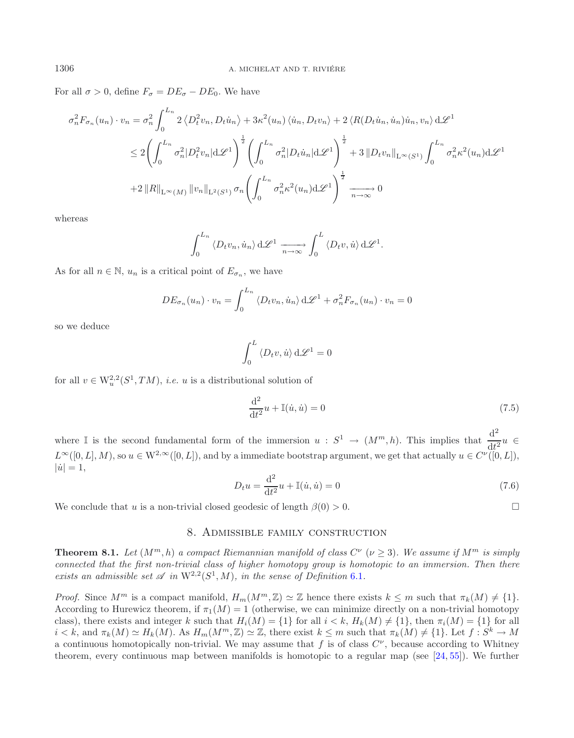For all  $\sigma > 0$ , define  $F_{\sigma} = DE_{\sigma} - DE_0$ . We have

$$
\sigma_n^2 F_{\sigma_n}(u_n) \cdot v_n = \sigma_n^2 \int_0^{L_n} 2 \langle D_t^2 v_n, D_t \dot{u}_n \rangle + 3\kappa^2 (u_n) \langle \dot{u}_n, D_t v_n \rangle + 2 \langle R(D_t \dot{u}_n, \dot{u}_n) \dot{u}_n, v_n \rangle d\mathcal{L}^1
$$
  

$$
\leq 2 \left( \int_0^{L_n} \sigma_n^2 |D_t^2 v_n| d\mathcal{L}^1 \right)^{\frac{1}{2}} \left( \int_0^{L_n} \sigma_n^2 |D_t \dot{u}_n| d\mathcal{L}^1 \right)^{\frac{1}{2}} + 3 \|D_t v_n\|_{L^\infty(S^1)} \int_0^{L_n} \sigma_n^2 \kappa^2 (u_n) d\mathcal{L}^1
$$
  
+2 \|R\|\_{L^\infty(M)} \|v\_n\|\_{L^2(S^1)} \sigma\_n \left( \int\_0^{L\_n} \sigma\_n^2 \kappa^2 (u\_n) d\mathcal{L}^1 \right)^{\frac{1}{2}} \xrightarrow[n \to \infty]{} 0

whereas

$$
\int_0^{L_n} \langle D_t v_n, \dot{u}_n \rangle d\mathscr{L}^1 \xrightarrow[n \to \infty]{} \int_0^L \langle D_t v, \dot{u} \rangle d\mathscr{L}^1.
$$

As for all  $n \in \mathbb{N}$ ,  $u_n$  is a critical point of  $E_{\sigma_n}$ , we have

$$
DE_{\sigma_n}(u_n) \cdot v_n = \int_0^{L_n} \langle D_t v_n, \dot{u}_n \rangle d\mathcal{L}^1 + \sigma_n^2 F_{\sigma_n}(u_n) \cdot v_n = 0
$$

so we deduce

$$
\int_0^L \langle D_t v, \dot{u} \rangle \, d\mathscr{L}^1 = 0
$$

for all  $v \in W_u^{2,2}(S^1, TM)$ , *i.e.* u is a distributional solution of

$$
\frac{\mathrm{d}^2}{\mathrm{d}t^2}u + \mathbb{I}(\dot{u}, \dot{u}) = 0\tag{7.5}
$$

where I is the second fundamental form of the immersion  $u : S^1 \to (M^m, h)$ . This implies that  $\frac{d^2}{dt^2}u \in$  $L^{\infty}([0, L], M)$ , so  $u \in W^{2,\infty}([0, L])$ , and by a immediate bootstrap argument, we get that actually  $u \in C^{\nu}([0, L]),$  $|\dot{u}| = 1,$ 

$$
D_t u = \frac{d^2}{dt^2} u + \mathbb{I}(\dot{u}, \dot{u}) = 0
$$
\n(7.6)

We conclude that u is a non-trivial closed geodesic of length  $\beta(0) > 0$ .

$$
\Box
$$

# 8. Admissible family construction

<span id="page-24-0"></span>**Theorem 8.1.** *Let*  $(M^m, h)$  *a compact Riemannian manifold of class*  $C^{\nu}$  ( $\nu > 3$ )*. We assume if*  $M^m$  *is simply connected that the first non-trivial class of higher homotopy group is homotopic to an immersion. Then there exists an admissible set*  $\mathscr A$  *in*  $W^{2,2}(S^1, M)$ *, in the sense of Definition* [6.1](#page-15-1)*.* 

*Proof.* Since  $M^m$  is a compact manifold,  $H_m(M^m, \mathbb{Z}) \simeq \mathbb{Z}$  hence there exists  $k \leq m$  such that  $\pi_k(M) \neq \{1\}$ . According to Hurewicz theorem, if  $\pi_1(M) = 1$  (otherwise, we can minimize directly on a non-trivial homotopy class), there exists and integer k such that  $H_i(M) = \{1\}$  for all  $i < k$ ,  $H_k(M) \neq \{1\}$ , then  $\pi_i(M) = \{1\}$  for all  $i < k$ , and  $\pi_k(M) \simeq H_k(M)$ . As  $H_m(M^m, \mathbb{Z}) \simeq \mathbb{Z}$ , there exist  $k \leq m$  such that  $\pi_k(M) \neq \{1\}$ . Let  $f : S^k \to M$ a continuous homotopically non-trivial. We may assume that f is of class  $C^{\nu}$ , because according to Whitney theorem, every continuous map between manifolds is homotopic to a regular map (see [\[24,](#page-42-28) [55\]](#page-42-29)). We further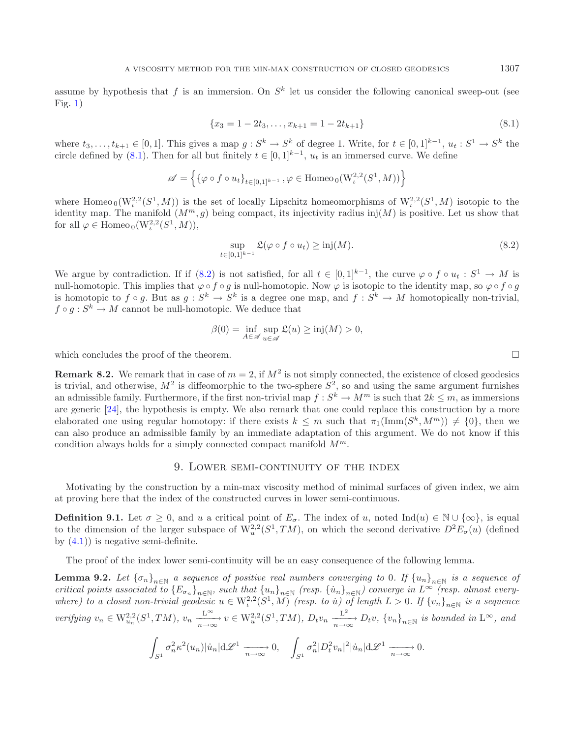assume by hypothesis that f is an immersion. On  $S<sup>k</sup>$  let us consider the following canonical sweep-out (see  $Fig. 1)$  $Fig. 1)$ 

<span id="page-25-2"></span><span id="page-25-1"></span>
$$
\{x_3 = 1 - 2t_3, \dots, x_{k+1} = 1 - 2t_{k+1}\}\tag{8.1}
$$

where  $t_3,\ldots,t_{k+1} \in [0,1]$ . This gives a map  $g: S^k \to S^k$  of degree 1. Write, for  $t \in [0,1]^{k-1}$ ,  $u_t: S^1 \to S^k$  the circle defined by  $(8.1)$ . Then for all but finitely  $t \in [0,1]^{k-1}$ ,  $u_t$  is an immersed curve. We define

$$
\mathscr{A} = \Bigl \{ \{\varphi \circ f \circ u_t\}_{t \in [0,1]^{k-1}} \,, \varphi \in \mathrm{Homeo}_0(W^{2,2}_\iota(S^1,M)) \Bigr \}
$$

where Homeo  $_0(W^{2,2}_t(S^1,M))$  is the set of locally Lipschitz homeomorphisms of  $W^{2,2}_t(S^1,M)$  isotopic to the identity map. The manifold  $(M^m, q)$  being compact, its injectivity radius inj $(M)$  is positive. Let us show that for all  $\varphi \in \text{Homeo}_0(\mathcal{W}^{2,2}_t(S^1,M)),$ 

$$
\sup_{t \in [0,1]^{k-1}} \mathfrak{L}(\varphi \circ f \circ u_t) \ge \text{inj}(M). \tag{8.2}
$$

We argue by contradiction. If if [\(8.2\)](#page-25-2) is not satisfied, for all  $t \in [0,1]^{k-1}$ , the curve  $\varphi \circ f \circ u_t : S^1 \to M$  is null-homotopic. This implies that  $\varphi \circ f \circ g$  is null-homotopic. Now  $\varphi$  is isotopic to the identity map, so  $\varphi \circ f \circ g$ is homotopic to  $f \circ g$ . But as  $g : S^k \to S^k$  is a degree one map, and  $f : S^k \to M$  homotopically non-trivial,  $f \circ q : S^k \to M$  cannot be null-homotopic. We deduce that

$$
\beta(0) = \inf_{A \in \mathscr{A}} \sup_{u \in \mathscr{A}} \mathfrak{L}(u) \ge \operatorname{inj}(M) > 0,
$$

which concludes the proof of the theorem.  $\Box$ 

**Remark 8.2.** We remark that in case of  $m = 2$ , if  $M^2$  is not simply connected, the existence of closed geodesics is trivial, and otherwise,  $M^2$  is diffeomorphic to the two-sphere  $S^2$ , so and using the same argument furnishes an admissible family. Furthermore, if the first non-trivial map  $f : S^k \to M^m$  is such that  $2k \leq m$ , as immersions are generic [\[24](#page-42-28)], the hypothesis is empty. We also remark that one could replace this construction by a more elaborated one using regular homotopy: if there exists  $k \leq m$  such that  $\pi_1(\text{Imm}(S^k, M^m)) \neq \{0\}$ , then we can also produce an admissible family by an immediate adaptation of this argument. We do not know if this condition always holds for a simply connected compact manifold  $M^m$ .

#### 9. Lower semi-continuity of the index

<span id="page-25-0"></span>Motivating by the construction by a min-max viscosity method of minimal surfaces of given index, we aim at proving here that the index of the constructed curves in lower semi-continuous.

**Definition 9.1.** Let  $\sigma \geq 0$ , and u a critical point of  $E_{\sigma}$ . The index of u, noted Ind $(u) \in \mathbb{N} \cup \{\infty\}$ , is equal to the dimension of the larger subspace of  $W_n^{2,2}(S^1, TM)$ , on which the second derivative  $D^2E_\sigma(u)$  (defined by  $(4.1)$  is negative semi-definite.

The proof of the index lower semi-continuity will be an easy consequence of the following lemma.

**Lemma 9.2.** *Let*  ${\{\sigma_n\}}_{n\in\mathbb{N}}$  *a sequence of positive real numbers converging to* 0*. If*  ${u_n}_{n\in\mathbb{N}}$  *is a sequence of critical points associated to*  ${E_{\sigma_n}}_{n \in \mathbb{N}}$ , such that  ${u_n}_{n \in \mathbb{N}}$  *(resp.*  ${u_n}_{n \in \mathbb{N}}$ *) converge in*  $L^{\infty}$  *(resp. almost everywhere)* to a closed non-trivial geodesic  $u \in W^{2,2}_t(S^1, M)$  *(resp. to u)* of length  $L > 0$ . If  $\{v_n\}_{n \in \mathbb{N}}$  is a sequence verifying  $v_n \in W_{u_n}^{2,2}(S^1, TM)$ ,  $v_n \xrightarrow[n \to \infty]{L^{\infty}} v \in W_u^{2,2}(S^1, TM)$ ,  $D_t v_n \xrightarrow[n \to \infty]{L^2} D_t v$ ,  $\{v_n\}_{n \in \mathbb{N}}$  is bounded in  $L^{\infty}$ , and

$$
\int_{S^1} \sigma_n^2 \kappa^2(u_n) |\dot{u}_n| \, d\mathcal{L}^1 \xrightarrow[n \to \infty]{} 0, \quad \int_{S^1} \sigma_n^2 |D_t^2 v_n|^2 |\dot{u}_n| \, d\mathcal{L}^1 \xrightarrow[n \to \infty]{} 0.
$$

<span id="page-25-3"></span>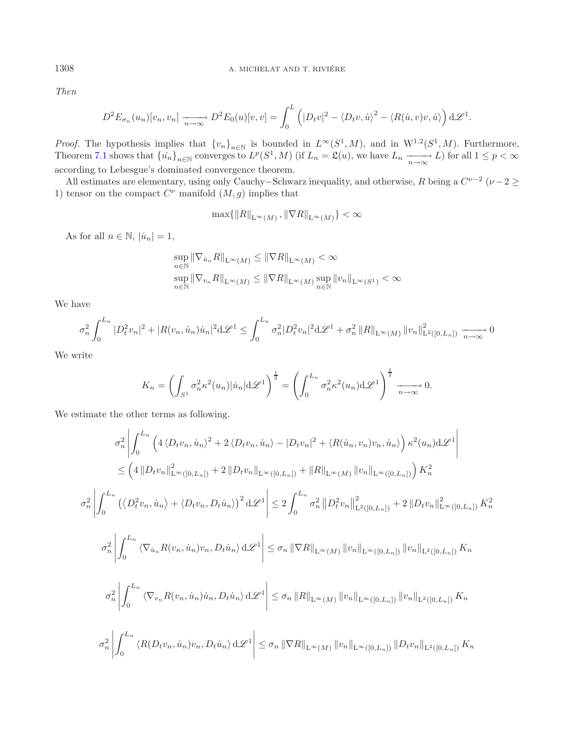*Then*

$$
D^{2}E_{\sigma_{n}}(u_{n})[v_{n},v_{n}] \xrightarrow[n \to \infty]{} D^{2}E_{0}(u)[v,v] = \int_{0}^{L} (|D_{t}v|^{2} - \langle D_{t}v, \dot{u}\rangle^{2} - \langle R(\dot{u},v)v, \dot{u}\rangle) d\mathcal{L}^{1}.
$$

*Proof.* The hypothesis implies that  ${v_n}_{n\in\mathbb{N}}$  is bounded in  $L^{\infty}(S^1, M)$ , and in  $W^{1,2}(S^1, M)$ . Furthermore, Theorem [7.1](#page-21-0) shows that  $\{u_n\}_{n\in\mathbb{N}}$  converges to  $L^p(S^1, M)$  (if  $L_n = \mathfrak{L}(u)$ , we have  $L_n \xrightarrow[n\to\infty]{} L$ ) for all  $1 \leq p < \infty$ according to Lebesgue's dominated convergence theorem.

All estimates are elementary, using only Cauchy–Schwarz inequality, and otherwise, R being a  $C^{\nu-2}$  ( $\nu-2 \geq$ 1) tensor on the compact  $C^{\nu}$  manifold  $(M,g)$  implies that

$$
\max\{\|R\|_{\mathcal{L}^{\infty}(M)}, \|\nabla R\|_{\mathcal{L}^{\infty}(M)}\} < \infty
$$

As for all  $n \in \mathbb{N}$ ,  $|\dot{u}_n| = 1$ ,

$$
\sup_{n \in \mathbb{N}} \|\nabla_{\dot{u}_n} R\|_{\mathcal{L}^\infty(M)} \le \|\nabla R\|_{\mathcal{L}^\infty(M)} < \infty
$$
\n
$$
\sup_{n \in \mathbb{N}} \|\nabla_{v_n} R\|_{\mathcal{L}^\infty(M)} \le \|\nabla R\|_{\mathcal{L}^\infty(M)} \sup_{n \in \mathbb{N}} \|v_n\|_{\mathcal{L}^\infty(S^1)} < \infty
$$

We have

$$
\sigma_n^2 \int_0^{L_n} |D_t^2 v_n|^2 + |R(v_n, \dot{u}_n)\dot{u}_n|^2 d\mathcal{L}^1 \le \int_0^{L_n} \sigma_n^2 |D_t^2 v_n|^2 d\mathcal{L}^1 + \sigma_n^2 ||R||_{L^\infty(M)} ||v_n||_{L^2([0, L_n])}^2 \xrightarrow[n \to \infty]{} 0
$$

We write

$$
K_n = \left(\int_{S^1} \sigma_n^2 \kappa^2(u_n) |\dot{u}_n| \mathrm{d}\mathscr{L}^1\right)^{\frac{1}{2}} = \left(\int_0^{L_n} \sigma_n^2 \kappa^2(u_n) \mathrm{d}\mathscr{L}^1\right)^{\frac{1}{2}} \xrightarrow[n \to \infty]{} 0.
$$

We estimate the other terms as following.

$$
\sigma_n^2 \left| \int_0^{L_n} \left( 4 \langle D_t v_n, \dot{u}_n \rangle^2 + 2 \langle D_t v_n, \dot{u}_n \rangle - |D_t v_n|^2 + \langle R(\dot{u}_n, v_n) v_n, \dot{u}_n \rangle \right) \kappa^2 (u_n) \mathrm{d} \mathscr{L}^1 \right|
$$
  
\n
$$
\leq \left( 4 \left\| D_t v_n \right\|_{L^{\infty}([0, L_n])}^2 + 2 \left\| D_t v_n \right\|_{L^{\infty}([0, L_n])} + \left\| R \right\|_{L^{\infty}(M)} \left\| v_n \right\|_{L^{\infty}([0, L_n])} \right) K_n^2
$$
  
\n
$$
\sigma_n^2 \left| \int_0^{L_n} \left( \langle D_t^2 v_n, \dot{u}_n \rangle + \langle D_t v_n, D_t \dot{u}_n \rangle \right)^2 \mathrm{d} \mathscr{L}^1 \right| \leq 2 \int_0^{L_n} \sigma_n^2 \left\| D_t^2 v_n \right\|_{L^2([0, L_n])}^2 + 2 \left\| D_t v_n \right\|_{L^{\infty}([0, L_n])}^2 K_n^2
$$
  
\n
$$
\sigma_n^2 \left| \int_0^{L_n} \left\langle \nabla_{\dot{u}_n} R(v_n, \dot{u}_n) v_n, D_t \dot{u}_n \right\rangle \mathrm{d} \mathscr{L}^1 \right| \leq \sigma_n \left\| \nabla R \right\|_{L^{\infty}(M)} \left\| v_n \right\|_{L^{\infty}([0, L_n])} \left\| v_n \right\|_{L^2([0, L_n])} K_n
$$
  
\n
$$
\sigma_n^2 \left| \int_0^{L_n} \left\langle \nabla_{v_n} R(v_n, \dot{u}_n) \dot{u}_n, D_t \dot{u}_n \right\rangle \mathrm{d} \mathscr{L}^1 \right| \leq \sigma_n \left\| R \right\|_{L^{\infty}(M)} \left\| v_n \right\|_{L^{\infty}([0, L_n])} \left\| v_n \right\|_{L^2([0, L_n])} K_n
$$
  
\n
$$
\sigma_n^2 \left| \int_0^{L_n} \left\langle R(D_t v_n
$$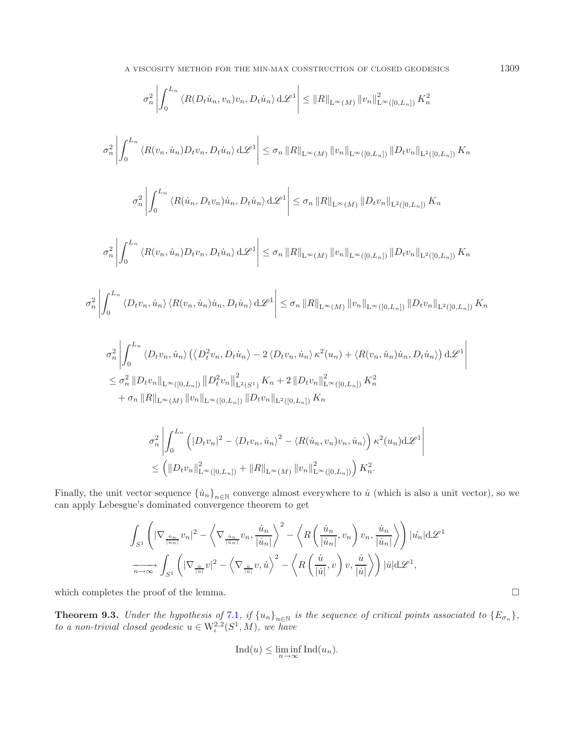$$
\sigma_n^2 \left| \int_0^{L_n} \langle R(D_t \dot{u}_n, v_n) v_n, D_t \dot{u}_n \rangle d\mathcal{L}^1 \right| \leq ||R||_{\mathcal{L}^{\infty}(M)} ||v_n||_{\mathcal{L}^{\infty}([0, L_n])}^2 K_n^2
$$
  

$$
\sigma_n^2 \left| \int_0^{L_n} \langle R(v_n, \dot{u}_n) D_t v_n, D_t \dot{u}_n \rangle d\mathcal{L}^1 \right| \leq \sigma_n ||R||_{\mathcal{L}^{\infty}(M)} ||v_n||_{\mathcal{L}^{\infty}([0, L_n])} ||D_t v_n||_{\mathcal{L}^2([0, L_n])} K_n
$$
  

$$
\sigma_n^2 \left| \int_0^{L_n} \langle R(\dot{u}_n, D_t v_n) \dot{u}_n, D_t \dot{u}_n \rangle d\mathcal{L}^1 \right| \leq \sigma_n ||R||_{\mathcal{L}^{\infty}(M)} ||D_t v_n||_{\mathcal{L}^2([0, L_n])} K_n
$$
  

$$
\sigma_n^2 \left| \int_0^{L_n} \langle R(v_n, \dot{u}_n) D_t v_n, D_t \dot{u}_n \rangle d\mathcal{L}^1 \right| \leq \sigma_n ||R||_{\mathcal{L}^{\infty}(M)} ||v_n||_{\mathcal{L}^{\infty}([0, L_n])} ||D_t v_n||_{\mathcal{L}^2([0, L_n])} K_n
$$
  

$$
\left| \int_0^{L_n} \langle D_t v_n, \dot{u}_n \rangle \langle R(v_n, \dot{u}_n) \dot{u}_n, D_t \dot{u}_n \rangle d\mathcal{L}^1 \right| \leq \sigma_n ||R||_{\mathcal{L}^{\infty}(M)} ||v_n||_{\mathcal{L}^{\infty}([0, L_n])} ||D_t v_n||_{\mathcal{L}^2([0, L_n])} K_n
$$
  

$$
\sigma_n^2 \left| \int_0^{L_n} \langle D_t v_n, \dot{u}_n \rangle \langle (D_t^2 v_n, D_t \dot{u}_n \rangle - 2 \langle D_t v_n, \dot{u}_n \rangle \kappa^2 (u_n) + \langle R(v_n, \dot{u}_n) \dot{u}_n, D_t \dot{u}_n \rangle \right) d
$$

$$
+ \sigma_n \|R\|_{\mathcal{L}^\infty(M)} \|v_n\|_{\mathcal{L}^\infty([0,L_n])} \|D_t v_n\|_{\mathcal{L}^2([0,L_n])} K_n
$$

$$
\sigma_n^2 \left| \int_0^{L_n} \left( |D_t v_n|^2 - \langle D_t v_n, \dot{u}_n \rangle^2 - \langle R(\dot{u}_n, v_n) v_n, \dot{u}_n \rangle \right) \kappa^2(u_n) d\mathscr{L}^1 \right|
$$
  

$$
\leq \left( \| D_t v_n \|_{\mathcal{L}^\infty([0, L_n])}^2 + \| R \|_{\mathcal{L}^\infty(M)} \| v_n \|_{\mathcal{L}^\infty([0, L_n])}^2 \right) K_n^2.
$$

Finally, the unit vector sequence  $\{\dot{u}_n\}_{n\in\mathbb{N}}$  converge almost everywhere to  $\dot{u}$  (which is also a unit vector), so we can apply Lebesgue's dominated convergence theorem to get

$$
\int_{S^1} \left( |\nabla_{\frac{\dot{u}_n}{|\dot{u}_n|}} v_n|^2 - \left\langle \nabla_{\frac{\dot{u}_n}{|\dot{u}_n|}} v_n, \frac{\dot{u}_n}{|\dot{u}_n|} \right\rangle^2 - \left\langle R\left(\frac{\dot{u}_n}{|\dot{u}_n|}, v_n\right) v_n, \frac{\dot{u}_n}{|\dot{u}_n|} \right\rangle \right) |u_n| \, d\mathcal{L}^1
$$

$$
\xrightarrow[n \to \infty]{} \int_{S^1} \left( |\nabla_{\frac{\dot{u}}{|\dot{u}|}} v|^2 - \left\langle \nabla_{\frac{\dot{u}}{|\dot{u}|}} v, \dot{u} \right\rangle^2 - \left\langle R\left(\frac{\dot{u}}{|\dot{u}|}, v\right) v, \frac{\dot{u}}{|\dot{u}|} \right\rangle \right) |\dot{u}| \, d\mathcal{L}^1,
$$

<span id="page-27-0"></span>which completes the proof of the lemma.

 $\sigma_n^2$ 

**Theorem 9.3.** *Under the hypothesis of* [7.1](#page-21-0)*, if*  $\{u_n\}_{n\in\mathbb{N}}$  *is the sequence of critical points associated to*  $\{E_{\sigma_n}\},$ *to a non-trivial closed geodesic*  $u \in W^{2,2}_\iota(S^1,M)$ *, we have* 

$$
Ind(u) \le \liminf_{n \to \infty} Ind(u_n).
$$

 $\Box$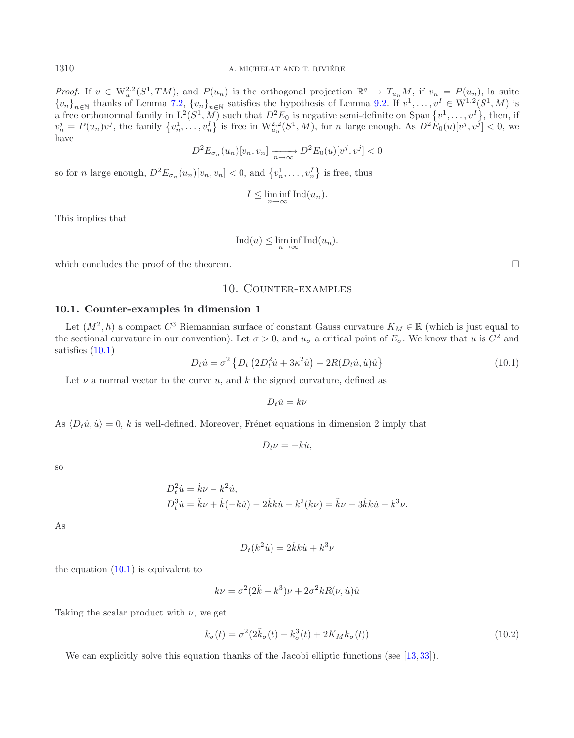*Proof.* If  $v \in W_u^{2,2}(S^1, TM)$ , and  $P(u_n)$  is the orthogonal projection  $\mathbb{R}^q \to T_{u_n}M$ , if  $v_n = P(u_n)$ , la suite  ${v_n}_{n\in\mathbb{N}}$  thanks of Lemma [7.2,](#page-23-0)  ${v_n}_{n\in\mathbb{N}}$  satisfies the hypothesis of Lemma [9.2.](#page-25-3) If  $v^1,\ldots,v^I\in W^{1,2}(S^1,M)$  is a free orthonormal family in  $L^2(S^1, M)$  such that  $D^2E_0$  is negative semi-definite on Span  $\{v^1, \ldots, v^I\}$ , then, if  $v_n^j = P(u_n)v^j$ , the family  $\{v_n^1, \ldots, v_n^I\}$  is free in  $\mathcal{W}_{u_n}^{2,2}(S^1, M)$ , for n large enough. As  $D^2E_0(u)[v^j, v^j] < 0$ , we have

$$
D^{2}E_{\sigma_{n}}(u_{n})[v_{n}, v_{n}] \xrightarrow[n \to \infty]{} D^{2}E_{0}(u)[v^{j}, v^{j}] < 0
$$

so for *n* large enough,  $D^2 E_{\sigma_n}(u_n)[v_n, v_n] < 0$ , and  $\{v_n^1, \ldots, v_n^I\}$  is free, thus

$$
I \le \liminf_{n \to \infty} \text{Ind}(u_n).
$$

<span id="page-28-1"></span>This implies that

$$
Ind(u) \le \liminf_{n \to \infty} Ind(u_n).
$$

<span id="page-28-0"></span>which concludes the proof of the theorem.  $\Box$ 

### 10. Counter-examples

### **10.1. Counter-examples in dimension 1**

Let  $(M^2, h)$  a compact  $C^3$  Riemannian surface of constant Gauss curvature  $K_M \in \mathbb{R}$  (which is just equal to the sectional curvature in our convention). Let  $\sigma > 0$ , and  $u_{\sigma}$  a critical point of  $E_{\sigma}$ . We know that u is  $C^2$  and satisfies [\(10.1\)](#page-28-1)

$$
D_t \dot{u} = \sigma^2 \left\{ D_t \left( 2D_t^2 \dot{u} + 3\kappa^2 \dot{u} \right) + 2R(D_t \dot{u}, \dot{u}) \dot{u} \right\}
$$
(10.1)

Let  $\nu$  a normal vector to the curve u, and k the signed curvature, defined as

$$
D_t \dot{u} = k\nu
$$

As  $\langle D_t \dot{u}, \dot{u} \rangle = 0$ , k is well-defined. Moreover, Frénet equations in dimension 2 imply that

$$
D_t \nu = -k\dot{u},
$$

so

$$
D_t^2 \dot{u} = \dot{k}\nu - k^2 \dot{u}, \nD_t^3 \dot{u} = \ddot{k}\nu + \dot{k}(-k\dot{u}) - 2\dot{k}\kappa \dot{u} - k^2(k\nu) = \ddot{k}\nu - 3\dot{k}\kappa \dot{u} - k^3 \nu.
$$

As

$$
D_t(k^2\dot{u}) = 2\dot{k}k\dot{u} + k^3\nu
$$

the equation  $(10.1)$  is equivalent to

$$
k\nu = \sigma^2 (2\ddot{k} + k^3)\nu + 2\sigma^2 k R(\nu, \dot{u})\dot{u}
$$

Taking the scalar product with  $\nu$ , we get

$$
k_{\sigma}(t) = \sigma^2 (2\ddot{k}_{\sigma}(t) + k_{\sigma}^3(t) + 2K_M k_{\sigma}(t))
$$
\n(10.2)

We can explicitly solve this equation thanks of the Jacobi elliptic functions (see [\[13,](#page-42-30) [33\]](#page-42-31)).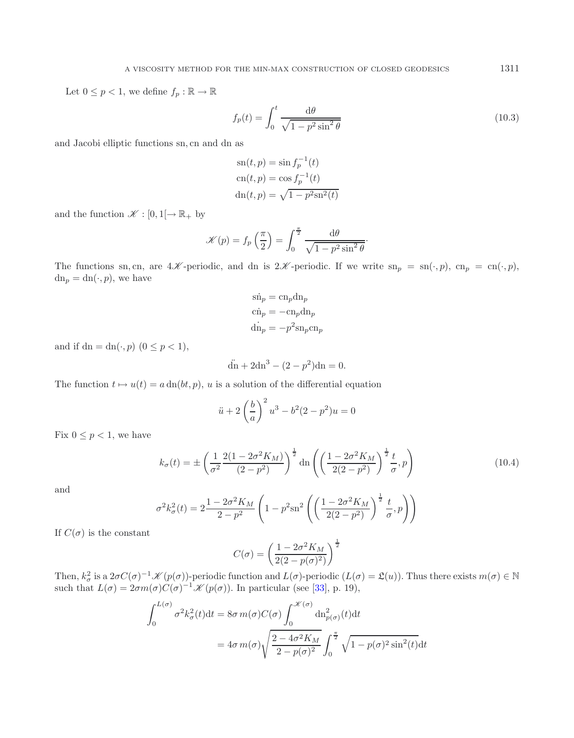Let  $0 \leq p < 1$ , we define  $f_p : \mathbb{R} \to \mathbb{R}$ 

$$
f_p(t) = \int_0^t \frac{\mathrm{d}\theta}{\sqrt{1 - p^2 \sin^2 \theta}}\tag{10.3}
$$

and Jacobi elliptic functions sn, cn and dn as

$$
sn(t, p) = sin fp-1(t)
$$
  
\n
$$
cn(t, p) = cos fp-1(t)
$$
  
\n
$$
dn(t, p) = \sqrt{1 - p2 sn2(t)}
$$

and the function  $\mathscr{K} : [0,1] \rightarrow \mathbb{R}_+$  by

$$
\mathcal{K}(p) = f_p\left(\frac{\pi}{2}\right) = \int_0^{\frac{\pi}{2}} \frac{\mathrm{d}\theta}{\sqrt{1 - p^2 \sin^2 \theta}}.
$$

<span id="page-29-0"></span>The functions sn, cn, are  $4\mathscr{K}$ -periodic, and dn is  $2\mathscr{K}$ -periodic. If we write  $\text{sn}_p = \text{sn}(\cdot, p)$ ,  $\text{cn}_p = \text{cn}(\cdot, p)$ ,  $dn_p = dn(\cdot, p)$ , we have

$$
\sin_p = \cosh_p
$$
  
\n
$$
\sin_p = -\cosh_p
$$
  
\n
$$
\sin_p = -p^2 \sin_p \cosh_p
$$

and if  $dn = dn(\cdot, p)$   $(0 \le p < 1)$ ,

$$
\ddot{d}n + 2dn^3 - (2 - p^2)dn = 0.
$$

The function  $t \mapsto u(t) = a \, \text{dn}(bt, p)$ , u is a solution of the differential equation

$$
\ddot{u} + 2\left(\frac{b}{a}\right)^2 u^3 - b^2(2 - p^2)u = 0
$$

Fix  $0 \leq p < 1$ , we have

$$
k_{\sigma}(t) = \pm \left(\frac{1}{\sigma^2} \frac{2(1 - 2\sigma^2 K_M)}{(2 - p^2)}\right)^{\frac{1}{2}} \text{dn}\left(\left(\frac{1 - 2\sigma^2 K_M}{2(2 - p^2)}\right)^{\frac{1}{2}} \frac{t}{\sigma}, p\right)
$$
(10.4)

and

$$
\sigma^2 k_{\sigma}^2(t) = 2 \frac{1 - 2\sigma^2 K_M}{2 - p^2} \left( 1 - p^2 \sin^2 \left( \left( \frac{1 - 2\sigma^2 K_M}{2(2 - p^2)} \right)^{\frac{1}{2}} \frac{t}{\sigma}, p \right) \right)
$$

If  $C(\sigma)$  is the constant

$$
C(\sigma) = \left(\frac{1 - 2\sigma^2 K_M}{2(2 - p(\sigma)^2)}\right)^{\frac{1}{2}}
$$

Then,  $k_{\sigma}^2$  is a  $2\sigma C(\sigma)^{-1} \mathscr{K}(p(\sigma))$ -periodic function and  $L(\sigma)$ -periodic  $(L(\sigma) = \mathfrak{L}(u))$ . Thus there exists  $m(\sigma) \in \mathbb{N}$ such that  $L(\sigma)=2\sigma m(\sigma)\tilde{C}(\sigma)^{-1}K(p(\sigma))$ . In particular (see [\[33\]](#page-42-31), p. 19),

$$
\int_0^{L(\sigma)} \sigma^2 k_{\sigma}^2(t) dt = 8\sigma \, m(\sigma) C(\sigma) \int_0^{\mathcal{K}(\sigma)} \mathrm{dn}_{p(\sigma)}^2(t) dt
$$

$$
= 4\sigma \, m(\sigma) \sqrt{\frac{2 - 4\sigma^2 K_M}{2 - p(\sigma)^2}} \int_0^{\frac{\pi}{2}} \sqrt{1 - p(\sigma)^2 \sin^2(t)} dt
$$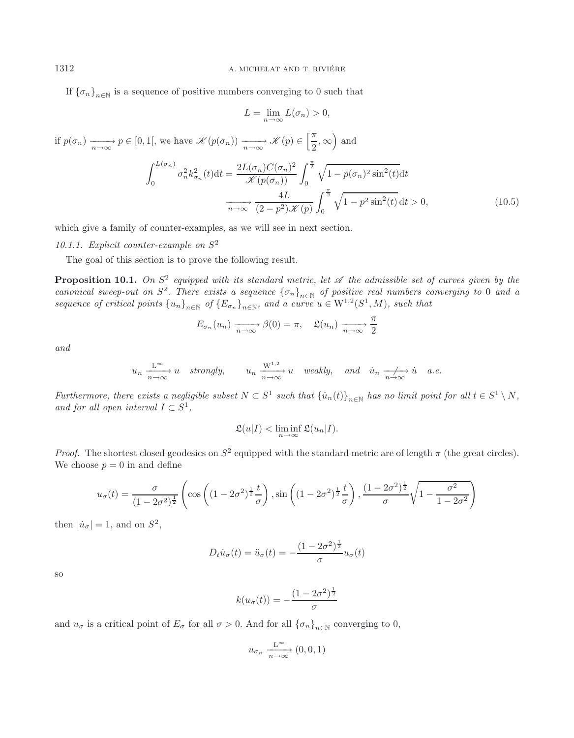If  ${\lbrace \sigma_n \rbrace}_{n \in \mathbb{N}}$  is a sequence of positive numbers converging to 0 such that

$$
L = \lim_{n \to \infty} L(\sigma_n) > 0,
$$

if  $p(\sigma_n) \xrightarrow[n \to \infty]{} p \in [0, 1[,$  we have  $\mathscr{K}(p(\sigma_n)) \xrightarrow[n \to \infty]{} \mathscr{K}(p) \in \left[\frac{\pi}{2}\right]$  $\frac{\pi}{2}$ ,  $\infty$  and  $\int^{L(\sigma_n)}$  $\int_0^{L(\sigma_n)} \sigma_n^2 k_{\sigma_n}^2(t) dt = \frac{2L(\sigma_n)C(\sigma_n)^2}{\mathcal{K}(p(\sigma_n))} \int_0^{\frac{\pi}{2}}$  $\sqrt{1-p(\sigma_n)^2\sin^2(t)}dt$ 

$$
\sigma_n^{\pi} \kappa_{\sigma_n}(t) dt = \frac{4L}{\mathscr{K}(p(\sigma_n))} \int_0^{\pi} \sqrt{1 - p(\sigma_n)^2} \sin^2(t) dt
$$

$$
\frac{4L}{n \to \infty} \frac{4L}{(2 - p^2)\mathscr{K}(p)} \int_0^{\frac{\pi}{2}} \sqrt{1 - p^2 \sin^2(t)} dt > 0,
$$
(10.5)

which give a family of counter-examples, as we will see in next section.

*10.1.1. Explicit counter-example on* S<sup>2</sup>

The goal of this section is to prove the following result.

<span id="page-30-0"></span>**Proposition 10.1.** *On*  $S^2$  *equipped with its standard metric, let*  $\mathcal A$  *the admissible set of curves given by the canonical sweep-out on*  $S^2$ . There exists a sequence  ${\{\sigma_n\}}_{n\in\mathbb{N}}$  of positive real numbers converging to 0 and a *sequence of critical points*  $\{u_n\}_{n\in\mathbb{N}}$  *of*  $\{E_{\sigma_n}\}_{n\in\mathbb{N}}$ *, and a curve u*  $\in$   $W^{1,2}(S^1, M)$ *, such that* 

$$
E_{\sigma_n}(u_n) \xrightarrow[n \to \infty]{} \beta(0) = \pi, \quad \mathfrak{L}(u_n) \xrightarrow[n \to \infty]{} \frac{\pi}{2}
$$

*and*

$$
u_n \xrightarrow[n \to \infty]{L^{\infty}} u
$$
 strongly,  $u_n \xrightarrow[n \to \infty]{W^{1,2}} u$  weakly, and  $\dot{u}_n \xrightarrow[n \to \infty]{L^{\infty}} \dot{u}$  a.e.

*Furthermore, there exists a negligible subset*  $N \subset S^1$  *such that*  $\{\dot{u}_n(t)\}_{n \in \mathbb{N}}$  *has no limit point for all*  $t \in S^1 \setminus N$ *, and for all open interval*  $I \subset S^1$ ,

$$
\mathfrak{L}(u|I) < \liminf_{n \to \infty} \mathfrak{L}(u_n|I).
$$

*Proof.* The shortest closed geodesics on  $S^2$  equipped with the standard metric are of length  $\pi$  (the great circles). We choose  $p = 0$  in and define

$$
u_{\sigma}(t) = \frac{\sigma}{(1 - 2\sigma^2)^{\frac{1}{2}}} \left( \cos\left( (1 - 2\sigma^2)^{\frac{1}{2}} \frac{t}{\sigma} \right), \sin\left( (1 - 2\sigma^2)^{\frac{1}{2}} \frac{t}{\sigma} \right), \frac{(1 - 2\sigma^2)^{\frac{1}{2}}}{\sigma} \sqrt{1 - \frac{\sigma^2}{1 - 2\sigma^2}} \right)
$$

then  $|\dot{u}_{\sigma}| = 1$ , and on  $S^2$ ,

$$
D_t \dot{u}_{\sigma}(t) = \ddot{u}_{\sigma}(t) = -\frac{(1 - 2\sigma^2)^{\frac{1}{2}}}{\sigma} u_{\sigma}(t)
$$

so

$$
k(u_{\sigma}(t)) = -\frac{(1 - 2\sigma^2)^{\frac{1}{2}}}{\sigma}
$$

and  $u_{\sigma}$  is a critical point of  $E_{\sigma}$  for all  $\sigma > 0$ . And for all  $\{\sigma_n\}_{n\in\mathbb{N}}$  converging to 0,

$$
u_{\sigma_n} \xrightarrow[n \to \infty]{\mathcal{L}^{\infty}} (0,0,1)
$$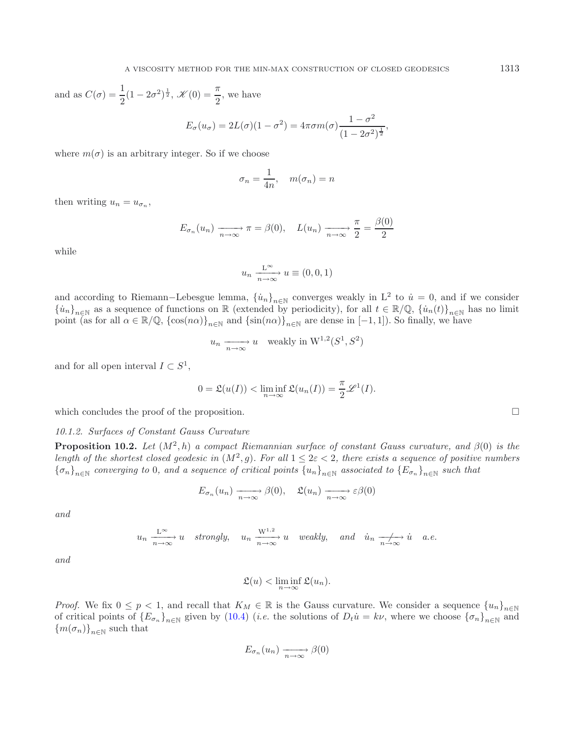and as 
$$
C(\sigma) = \frac{1}{2}(1 - 2\sigma^2)^{\frac{1}{2}}
$$
,  $\mathcal{K}(0) = \frac{\pi}{2}$ , we have  

$$
E_{\sigma}(u_{\sigma}) = 2L(\sigma)(1 - \sigma^2) = 4\pi\sigma m(\sigma)\frac{1 - \sigma^2}{(1 - 2\sigma^2)^{\frac{1}{2}}},
$$

where  $m(\sigma)$  is an arbitrary integer. So if we choose

$$
\sigma_n = \frac{1}{4n}, \quad m(\sigma_n) = n
$$

then writing  $u_n = u_{\sigma_n}$ ,

$$
E_{\sigma_n}(u_n) \xrightarrow[n \to \infty]{} \pi = \beta(0), \quad L(u_n) \xrightarrow[n \to \infty]{} \frac{\pi}{2} = \frac{\beta(0)}{2}
$$

while

$$
u_n \xrightarrow[n \to \infty]{\mathcal{L}^{\infty}} u \equiv (0,0,1)
$$

and according to Riemann–Lebesgue lemma,  $\{\dot{u}_n\}_{n\in\mathbb{N}}$  converges weakly in L<sup>2</sup> to  $\dot{u}=0$ , and if we consider  ${\lbrace \dot{u}_n \rbrace}_{n\in\mathbb{N}}$  as a sequence of functions on R (extended by periodicity), for all  $t \in \mathbb{R}/\mathbb{Q}, {\lbrace \dot{u}_n(t) \rbrace}_{n\in\mathbb{N}}$  has no limit point (as for all  $\alpha \in \mathbb{R}/\mathbb{Q}$ ,  $\{\cos(n\alpha)\}_{n\in\mathbb{N}}$  and  $\{\sin(n\alpha)\}_{n\in\mathbb{N}}$  are dense in  $[-1, 1]$ ). So finally, we have

$$
u_n \xrightarrow[n \to \infty]{} u \quad \text{weakly in } W^{1,2}(S^1, S^2)
$$

and for all open interval  $I \subset S^1$ ,

$$
0 = \mathfrak{L}(u(I)) < \liminf_{n \to \infty} \mathfrak{L}(u_n(I)) = \frac{\pi}{2} \mathcal{L}^1(I).
$$

which concludes the proof of the proposition.

*10.1.2. Surfaces of Constant Gauss Curvature*

**Proposition 10.2.** *Let*  $(M^2, h)$  *a compact Riemannian surface of constant Gauss curvature, and*  $\beta(0)$  *is the length of the shortest closed geodesic in*  $(M^2, g)$ *. For all*  $1 \leq 2\varepsilon < 2$ *, there exists a sequence of positive numbers*  ${\{\sigma_n\}}_{n\in\mathbb{N}}$  *converging to* 0*, and a sequence of critical points*  ${u_n\}_{n\in\mathbb{N}}$  *associated to*  ${E_{\sigma_n}}_{n\in\mathbb{N}}$  *such that* 

$$
E_{\sigma_n}(u_n) \xrightarrow[n \to \infty]{} \beta(0), \quad \mathfrak{L}(u_n) \xrightarrow[n \to \infty]{} \varepsilon \beta(0)
$$

*and*

$$
u_n \xrightarrow[n \to \infty]{L^{\infty}} u
$$
 strongly,  $u_n \xrightarrow[n \to \infty]{W^{1,2}} u$  weakly, and  $\dot{u}_n \xrightarrow[n \to \infty]{L^{\infty}} \dot{u}$  a.e.

*and*

$$
\mathfrak{L}(u) < \liminf_{n \to \infty} \mathfrak{L}(u_n).
$$

*Proof.* We fix  $0 \le p < 1$ , and recall that  $K_M \in \mathbb{R}$  is the Gauss curvature. We consider a sequence  ${u_n}_{n \in \mathbb{N}}$ of critical points of  ${E_{\sigma_n}}_{n\in\mathbb{N}}$  given by [\(10.4\)](#page-29-0) (*i.e.* the solutions of  $D_t\dot{u} = k\nu$ , where we choose  ${\{\sigma_n\}}_{n\in\mathbb{N}}$  and  $\{m(\sigma_n)\}_{n\in\mathbb{N}}$  such that

$$
E_{\sigma_n}(u_n) \xrightarrow[n \to \infty]{} \beta(0)
$$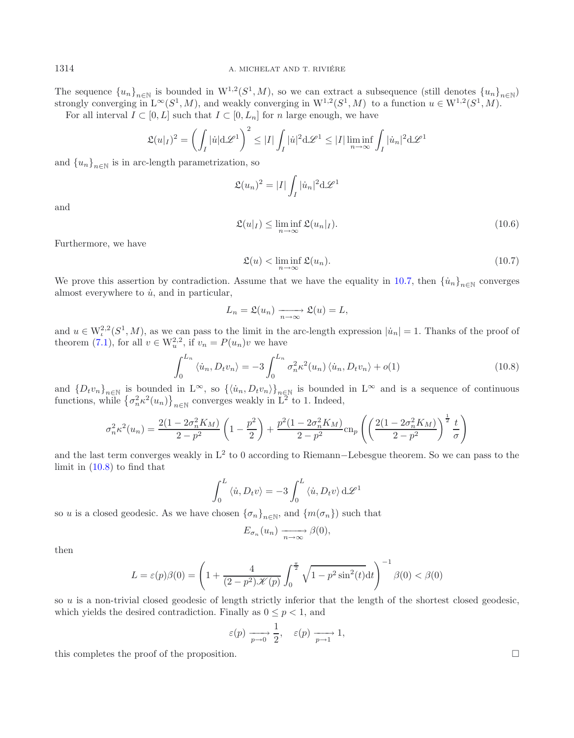The sequence  ${u_n}_{n \in \mathbb{N}}$  is bounded in  $W^{1,2}(S^1, M)$ , so we can extract a subsequence (still denotes  ${u_n}_{n \in \mathbb{N}}$ )<br>strongly converging in  $L^{\infty}(S^1, M)$ , and weakly converging in  $W^{1,2}(S^1, M)$  to a function  $u \in W$ For all interval  $I \subset [0, L]$  such that  $I \subset [0, L_n]$  for n large enough, we have

$$
\mathfrak{L}(u|_{I})^{2} = \left(\int_{I} |\dot{u}| d\mathscr{L}^{1}\right)^{2} \leq |I| \int_{I} |\dot{u}|^{2} d\mathscr{L}^{1} \leq |I| \liminf_{n \to \infty} \int_{I} |\dot{u}_{n}|^{2} d\mathscr{L}^{1}
$$

and  ${u_n}_{n\in\mathbb{N}}$  is in arc-length parametrization, so

<span id="page-32-0"></span>
$$
\mathfrak{L}(u_n)^2 = |I| \int_I |\dot{u}_n|^2 d\mathcal{L}^1
$$

and

$$
\mathfrak{L}(u|_{I}) \le \liminf_{n \to \infty} \mathfrak{L}(u_n|_{I}). \tag{10.6}
$$

Furthermore, we have

<span id="page-32-1"></span>
$$
\mathfrak{L}(u) < \liminf_{n \to \infty} \mathfrak{L}(u_n). \tag{10.7}
$$

We prove this assertion by contradiction. Assume that we have the equality in [10.7,](#page-32-0) then  $\{u_n\}_{n\in\mathbb{N}}$  converges almost everywhere to  $\dot{u}$ , and in particular,

$$
L_n = \mathfrak{L}(u_n) \xrightarrow[n \to \infty]{} \mathfrak{L}(u) = L,
$$

and  $u \in W^{2,2}_t(S^1, M)$ , as we can pass to the limit in the arc-length expression  $|\dot{u}_n| = 1$ . Thanks of the proof of theorem [\(7.1\)](#page-21-0), for all  $v \in W_n^{2,2}$ , if  $v_n = P(u_n)v$  we have

$$
\int_0^{L_n} \langle \dot{u}_n, D_t v_n \rangle = -3 \int_0^{L_n} \sigma_n^2 \kappa^2(u_n) \langle \dot{u}_n, D_t v_n \rangle + o(1)
$$
\n(10.8)

and  $\{D_t v_n\}_{n\in\mathbb{N}}$  is bounded in  $L^{\infty}$ , so  $\{\langle u_n, D_t v_n \rangle\}_{n\in\mathbb{N}}$  is bounded in  $L^{\infty}$  and is a sequence of continuous functions, while  $\{\sigma_n^2 \kappa^2(u_n)\}_{n\in\mathbb{N}}$  converges weakly in  $L^2$  to 1. Indeed,

$$
\sigma_n^2 \kappa^2(u_n) = \frac{2(1 - 2\sigma_n^2 K_M)}{2 - p^2} \left(1 - \frac{p^2}{2}\right) + \frac{p^2 (1 - 2\sigma_n^2 K_M)}{2 - p^2} \text{cn}_p\left(\left(\frac{2(1 - 2\sigma_n^2 K_M)}{2 - p^2}\right)^{\frac{1}{2}} \frac{t}{\sigma}\right)
$$

and the last term converges weakly in L<sup>2</sup> to 0 according to Riemann−Lebesgue theorem. So we can pass to the limit in [\(10.8\)](#page-32-1) to find that

$$
\int_0^L \langle \dot{u}, D_t v \rangle = -3 \int_0^L \langle \dot{u}, D_t v \rangle d\mathcal{L}^1
$$

so u is a closed geodesic. As we have chosen  ${\{\sigma_n\}}_{n\in\mathbb{N}}$ , and  ${m(\sigma_n)}$  such that

$$
E_{\sigma_n}(u_n) \xrightarrow[n \to \infty]{} \beta(0),
$$

then

$$
L = \varepsilon(p)\beta(0) = \left(1 + \frac{4}{(2 - p^2)\mathcal{K}(p)} \int_0^{\frac{\pi}{2}} \sqrt{1 - p^2 \sin^2(t)} dt\right)^{-1} \beta(0) < \beta(0)
$$

so u is a non-trivial closed geodesic of length strictly inferior that the length of the shortest closed geodesic, which yields the desired contradiction. Finally as  $0 \leq p < 1$ , and

$$
\varepsilon(p) \xrightarrow[p \to 0]{} \frac{1}{2}, \quad \varepsilon(p) \xrightarrow[p \to 1]{} 1,
$$

this completes the proof of the proposition.  $\Box$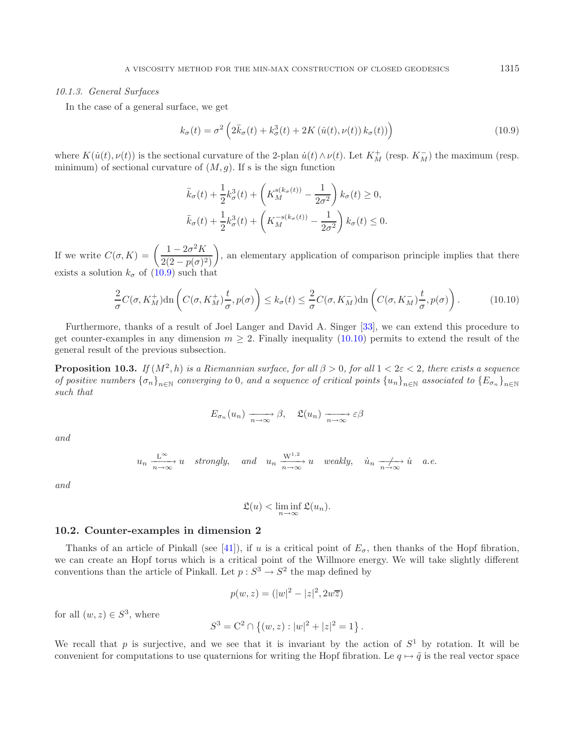#### *10.1.3. General Surfaces*

In the case of a general surface, we get

<span id="page-33-1"></span>
$$
k_{\sigma}(t) = \sigma^2 \left( 2\ddot{k}_{\sigma}(t) + k_{\sigma}^3(t) + 2K \left( \dot{u}(t), \nu(t) \right) k_{\sigma}(t) \right) \tag{10.9}
$$

where  $K(\dot{u}(t), \nu(t))$  is the sectional curvature of the 2-plan  $\dot{u}(t) \wedge \nu(t)$ . Let  $K_M^+$  (resp.  $K_M^-$ ) the maximum (resp. minimum) of sectional curvature of  $(M, g)$ . If s is the sign function

$$
\ddot{k}_{\sigma}(t) + \frac{1}{2}k_{\sigma}^{3}(t) + \left(K_{M}^{s(k_{\sigma}(t))} - \frac{1}{2\sigma^{2}}\right)k_{\sigma}(t) \ge 0,
$$
\n
$$
\ddot{k}_{\sigma}(t) + \frac{1}{2}k_{\sigma}^{3}(t) + \left(K_{M}^{-s(k_{\sigma}(t))} - \frac{1}{2\sigma^{2}}\right)k_{\sigma}(t) \le 0.
$$

If we write  $C(\sigma, K) = \left(\frac{1 - 2\sigma^2 K}{2(2 - p(\sigma)^2)}\right)$ ), an elementary application of comparison principle implies that there exists a solution  $k_{\sigma}$  of [\(10.9\)](#page-33-0) such that

$$
\frac{2}{\sigma}C(\sigma, K_M^+) \text{dn}\left(C(\sigma, K_M^+) \frac{t}{\sigma}, p(\sigma)\right) \le k_\sigma(t) \le \frac{2}{\sigma}C(\sigma, K_M^-) \text{dn}\left(C(\sigma, K_M^-) \frac{t}{\sigma}, p(\sigma)\right). \tag{10.10}
$$

Furthermore, thanks of a result of Joel Langer and David A. Singer [\[33\]](#page-42-31), we can extend this procedure to get counter-examples in any dimension  $m \geq 2$ . Finally inequality [\(10.10\)](#page-33-1) permits to extend the result of the general result of the previous subsection.

**Proposition 10.3.** *If*  $(M^2, h)$  *is a Riemannian surface, for all*  $\beta > 0$ *, for all*  $1 < 2\varepsilon < 2$ *, there exists a sequence of positive numbers*  ${\lbrace \sigma_n \rbrace}_{n \in \mathbb{N}}$  *converging to* 0*, and a sequence of critical points*  ${\lbrace u_n \rbrace}_{n \in \mathbb{N}}$  *associated to*  ${\lbrace E_{\sigma_n} \rbrace}_{n \in \mathbb{N}}$ *such that*

$$
E_{\sigma_n}(u_n) \xrightarrow[n \to \infty]{} \beta
$$
,  $\mathfrak{L}(u_n) \xrightarrow[n \to \infty]{} \varepsilon\beta$ 

*and*

$$
u_n \xrightarrow[n \to \infty]{L^{\infty}} u
$$
 strongly, and  $u_n \xrightarrow[n \to \infty]{W^{1,2}} u$  weakly,  $\dot{u}_n \xrightarrow[n \to \infty]{L^{\infty}} \dot{u}$  a.e.

*and*

$$
\mathfrak{L}(u) < \liminf_{n \to \infty} \mathfrak{L}(u_n).
$$

#### **10.2. Counter-examples in dimension 2**

Thanks of an article of Pinkall (see [\[41](#page-42-32)]), if u is a critical point of  $E_{\sigma}$ , then thanks of the Hopf fibration, we can create an Hopf torus which is a critical point of the Willmore energy. We will take slightly different conventions than the article of Pinkall. Let  $p : S^3 \to S^2$  the map defined by

$$
p(w, z) = (|w|^2 - |z|^2, 2w\overline{z})
$$

for all  $(w, z) \in S^3$ , where

$$
S^3 = \mathcal{C}^2 \cap \{(w, z) : |w|^2 + |z|^2 = 1\}.
$$

We recall that p is surjective, and we see that it is invariant by the action of  $S^1$  by rotation. It will be convenient for computations to use quaternions for writing the Hopf fibration. Le  $q \mapsto \tilde{q}$  is the real vector space

<span id="page-33-0"></span>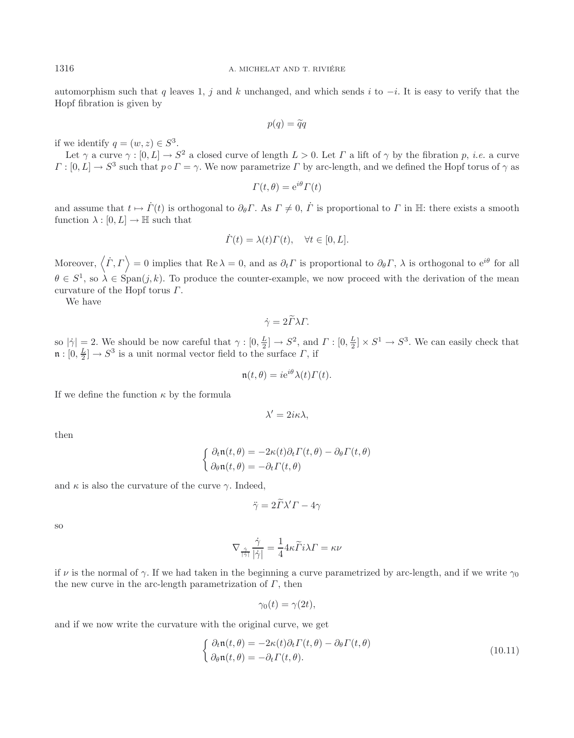automorphism such that q leaves 1, j and k unchanged, and which sends i to  $-i$ . It is easy to verify that the Hopf fibration is given by

$$
p(q) = \widetilde{q}q
$$

if we identify  $q = (w, z) \in S^3$ .

Let  $\gamma$  a curve  $\gamma : [0, L] \to S^2$  a closed curve of length  $L > 0$ . Let  $\Gamma$  a lift of  $\gamma$  by the fibration p, *i.e.* a curve  $\Gamma : [0, L] \to S^3$  such that  $p \circ \Gamma = \gamma$ . We now parametrize  $\Gamma$  by arc-length, and we defined the Hopf torus of  $\gamma$  as

$$
\Gamma(t,\theta) = e^{i\theta} \Gamma(t)
$$

and assume that  $t \mapsto \dot{\Gamma}(t)$  is orthogonal to  $\partial_{\theta} \Gamma$ . As  $\Gamma \neq 0$ ,  $\dot{\Gamma}$  is proportional to  $\Gamma$  in H: there exists a smooth function  $\lambda : [0, L] \to \mathbb{H}$  such that

$$
\dot{\Gamma}(t) = \lambda(t)\Gamma(t), \quad \forall t \in [0, L].
$$

Moreover,  $\langle \dot{\Gamma}, \Gamma \rangle = 0$  implies that Re  $\lambda = 0$ , and as  $\partial_t \Gamma$  is proportional to  $\partial_{\theta} \Gamma$ ,  $\lambda$  is orthogonal to  $e^{i\theta}$  for all  $\theta \in S^1$ , so  $\lambda \in \text{Span}(j, k)$ . To produce the counter-example, we now proceed with the derivation of the mean curvature of the Hopf torus Γ.

We have

$$
\dot{\gamma} = 2\tilde{\Gamma}\lambda\Gamma.
$$

so  $|\dot{\gamma}| = 2$ . We should be now careful that  $\gamma : [0, \frac{L}{2}] \to S^2$ , and  $\Gamma : [0, \frac{L}{2}] \times S^1 \to S^3$ . We can easily check that  $\mathfrak{n} : [0, \frac{L}{2}] \to S^3$  is a unit normal vector field to the surface  $\Gamma$ , if

$$
\mathfrak{n}(t,\theta) = ie^{i\theta}\lambda(t)\Gamma(t).
$$

If we define the function  $\kappa$  by the formula

$$
\lambda' = 2i\kappa\lambda,
$$

then

$$
\begin{cases} \partial_t \mathfrak{n}(t,\theta) = -2\kappa(t)\partial_t \Gamma(t,\theta) - \partial_\theta \Gamma(t,\theta) \\ \partial_\theta \mathfrak{n}(t,\theta) = -\partial_t \Gamma(t,\theta) \end{cases}
$$

and  $\kappa$  is also the curvature of the curve  $\gamma$ . Indeed,

$$
\ddot{\gamma} = 2\ddot{\Gamma}\lambda'\Gamma - 4\gamma
$$

so

$$
\nabla_{\frac{\dot{\gamma}}{|\dot{\gamma}|}}\frac{\dot{\gamma}}{|\dot{\gamma}|} = \frac{1}{4}4\kappa \widetilde{\Gamma}i\lambda \Gamma = \kappa \nu
$$

if v is the normal of  $\gamma$ . If we had taken in the beginning a curve parametrized by arc-length, and if we write  $\gamma_0$ the new curve in the arc-length parametrization of  $\Gamma$ , then

$$
\gamma_0(t) = \gamma(2t),
$$

and if we now write the curvature with the original curve, we get

$$
\begin{cases}\n\partial_t \mathfrak{n}(t,\theta) = -2\kappa(t)\partial_t \Gamma(t,\theta) - \partial_\theta \Gamma(t,\theta) \\
\partial_\theta \mathfrak{n}(t,\theta) = -\partial_t \Gamma(t,\theta).\n\end{cases}
$$
\n(10.11)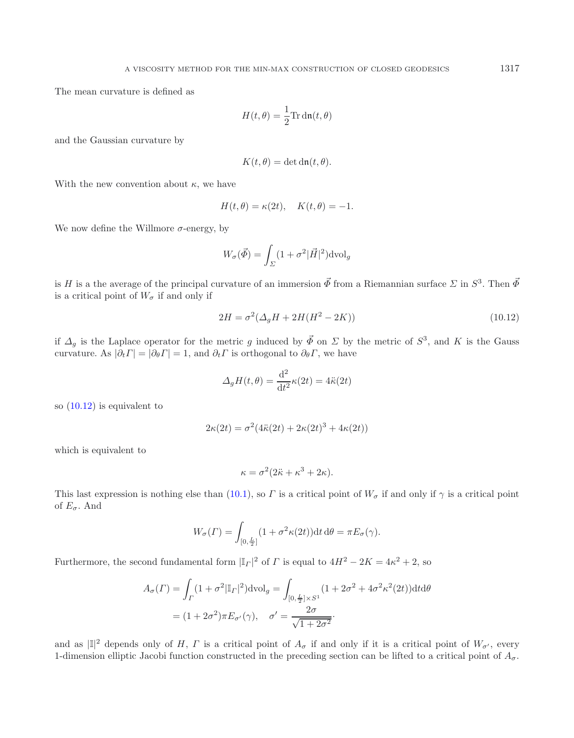The mean curvature is defined as

$$
H(t,\theta) = \frac{1}{2}\text{Tr}\,\text{dn}(t,\theta)
$$

and the Gaussian curvature by

<span id="page-35-0"></span>
$$
K(t,\theta) = \det \mathrm{dn}(t,\theta).
$$

With the new convention about  $\kappa$ , we have

$$
H(t, \theta) = \kappa(2t), \quad K(t, \theta) = -1.
$$

We now define the Willmore  $\sigma$ -energy, by

$$
W_{\sigma}(\vec{\Phi}) = \int_{\Sigma} (1 + \sigma^2 |\vec{H}|^2) \text{dvol}_g
$$

is H is a the average of the principal curvature of an immersion  $\vec{\Phi}$  from a Riemannian surface  $\Sigma$  in  $S^3$ . Then  $\vec{\Phi}$ is a critical point of  $W_{\sigma}$  if and only if

$$
2H = \sigma^2(\Delta_g H + 2H(H^2 - 2K))
$$
\n(10.12)

if  $\Delta_g$  is the Laplace operator for the metric g induced by  $\vec{\Phi}$  on  $\Sigma$  by the metric of  $S^3$ , and K is the Gauss curvature. As  $|\partial_t \Gamma| = |\partial_\theta \Gamma| = 1$ , and  $\partial_t \Gamma$  is orthogonal to  $\partial_\theta \Gamma$ , we have

$$
\Delta_g H(t, \theta) = \frac{\mathrm{d}^2}{\mathrm{d}t^2} \kappa(2t) = 4\ddot{\kappa}(2t)
$$

so [\(10.12\)](#page-35-0) is equivalent to

$$
2\kappa(2t) = \sigma^2(4\ddot{\kappa}(2t) + 2\kappa(2t)^3 + 4\kappa(2t))
$$

which is equivalent to

$$
\kappa = \sigma^2 (2\ddot{\kappa} + \kappa^3 + 2\kappa).
$$

This last expression is nothing else than [\(10.1\)](#page-28-1), so  $\Gamma$  is a critical point of  $W_{\sigma}$  if and only if  $\gamma$  is a critical point of  $E_{\sigma}$ . And

$$
W_{\sigma}(\varGamma)=\int_{[0,\frac{L}{2}]}(1+\sigma^2\kappa(2t))\mathrm{d}t\,\mathrm{d}\theta=\pi E_{\sigma}(\gamma).
$$

Furthermore, the second fundamental form  $|\mathbb{I}_\Gamma|^2$  of  $\Gamma$  is equal to  $4H^2 - 2K = 4\kappa^2 + 2$ , so

$$
A_{\sigma}(\Gamma) = \int_{\Gamma} (1 + \sigma^2 |\mathbb{I}_{\Gamma}|^2) \, \text{dvol}_g = \int_{[0, \frac{L}{2}] \times S^1} (1 + 2\sigma^2 + 4\sigma^2 \kappa^2 (2t)) \, \text{d}t \, \text{d}\theta
$$
\n
$$
= (1 + 2\sigma^2) \pi E_{\sigma'}(\gamma), \quad \sigma' = \frac{2\sigma}{\sqrt{1 + 2\sigma^2}}.
$$

and as  $|\mathbb{I}|^2$  depends only of H,  $\Gamma$  is a critical point of  $A_{\sigma}$  if and only if it is a critical point of  $W_{\sigma'}$ , every 1-dimension elliptic Jacobi function constructed in the preceding section can be lifted to a critical point of  $A_{\sigma}$ .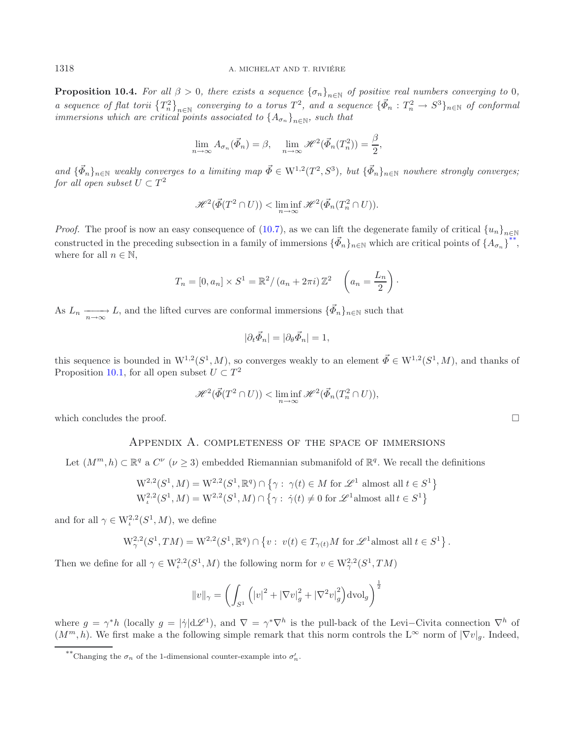**Proposition 10.4.** *For all*  $\beta > 0$ *, there exists a sequence*  ${\lbrace \sigma_n \rbrace}_{n \in \mathbb{N}}$  *of positive real numbers converging to* 0*, a sequence of flat torii*  $\{T_n^2\}_{n\in\mathbb{N}}$  *converging to a torus*  $T^2$ *, and a sequence*  $\{\vec{\Phi}_n : T_n^2 \to S^3\}_{n\in\mathbb{N}}$  *of conformal immersions which are critical points associated to*  $\{A_{\sigma_n}\}_{n\in\mathbb{N}}$ *, such that* 

$$
\lim_{n \to \infty} A_{\sigma_n}(\vec{\Phi}_n) = \beta, \quad \lim_{n \to \infty} \mathcal{H}^2(\vec{\Phi}_n(T_n^2)) = \frac{\beta}{2},
$$

 $and \{\vec{\Phi}_n\}_{n\in\mathbb{N}}$  *weakly converges to a limiting map*  $\vec{\Phi} \in W^{1,2}(T^2,S^3)$ *, but*  $\{\vec{\Phi}_n\}_{n\in\mathbb{N}}$  *nowhere strongly converges; for all open subset*  $U \subset T^2$ 

$$
\mathscr{H}^2(\vec{\Phi}(T^2\cap U)) < \liminf_{n\to\infty}\mathscr{H}^2(\vec{\Phi}_n(T^2_n\cap U)).
$$

*Proof.* The proof is now an easy consequence of [\(10.7\)](#page-32-0), as we can lift the degenerate family of critical  ${u_n}_{n\in\mathbb{N}}$ constructed in the preceding subsection in a family of immersions  $\{\vec{\Phi}_n\}_{n\in\mathbb{N}}$  which are critical points of  $\{A_{\sigma_n}\}^{**}$  $\{A_{\sigma_n}\}^{**}$  $\{A_{\sigma_n}\}^{**}$ , where for all  $n \in \mathbb{N}$ ,

$$
T_n = [0, a_n] \times S^1 = \mathbb{R}^2 / (a_n + 2\pi i) \mathbb{Z}^2 \quad \left(a_n = \frac{L_n}{2}\right).
$$

As  $L_n \longrightarrow L$ , and the lifted curves are conformal immersions  $\{\vec{\Phi}_n\}_{n\in\mathbb{N}}$  such that

$$
|\partial_t \vec{\Phi}_n| = |\partial_\theta \vec{\Phi}_n| = 1,
$$

this sequence is bounded in  $W^{1,2}(S^1, M)$ , so converges weakly to an element  $\vec{\Phi} \in W^{1,2}(S^1, M)$ , and thanks of Proposition [10.1,](#page-30-0) for all open subset  $U \subset T^2$ 

$$
\mathscr{H}^2(\vec{\varPhi}(T^2\cap U)) < \liminf_{n\to\infty}\mathscr{H}^2(\vec{\varPhi}_n(T^2_n\cap U)),
$$

which concludes the proof.  $\Box$ 

### Appendix A. completeness of the space of immersions

Let  $(M^m, h) \subset \mathbb{R}^q$  a  $C^{\nu}$   $(\nu \geq 3)$  embedded Riemannian submanifold of  $\mathbb{R}^q$ . We recall the definitions

$$
W^{2,2}(S^1, M) = W^{2,2}(S^1, \mathbb{R}^q) \cap \{ \gamma : \gamma(t) \in M \text{ for } \mathscr{L}^1 \text{ almost all } t \in S^1 \}
$$
  

$$
W^{2,2}_\iota(S^1, M) = W^{2,2}(S^1, M) \cap \{ \gamma : \dot{\gamma}(t) \neq 0 \text{ for } \mathscr{L}^1 \text{almost all } t \in S^1 \}
$$

<span id="page-36-0"></span>and for all  $\gamma \in W^{2,2}_t(S^1,M)$ , we define

$$
\mathrm{W}^{2,2}_{\gamma}(S^1,TM)=\mathrm{W}^{2,2}(S^1,\mathbb{R}^q)\cap\left\{v:\;v(t)\in T_{\gamma(t)}M\;\text{for}\;\mathscr{L}^1\text{almost all}\;t\in S^1\right\}.
$$

Then we define for all  $\gamma \in W^{2,2}_\iota(S^1,M)$  the following norm for  $v \in W^{2,2}_\gamma(S^1, TM)$ 

$$
||v||_{\gamma} = \left(\int_{S^1} (|v|^2 + |\nabla v|_g^2 + |\nabla^2 v|_g^2) \,dv\right)^{\frac{1}{2}}
$$

where  $g = \gamma^* h$  (locally  $g = |\dot{\gamma}| d\mathcal{L}^1$ ), and  $\nabla = \gamma^* \nabla^h$  is the pull-back of the Levi–Civita connection  $\nabla^h$  of  $(M^m, h)$ . We first make a the following simple remark that this norm controls the L∞ norm of  $|\nabla v|_q$ . Indeed,

<sup>\*\*</sup>Changing the  $\sigma_n$  of the 1-dimensional counter-example into  $\sigma'_n$ .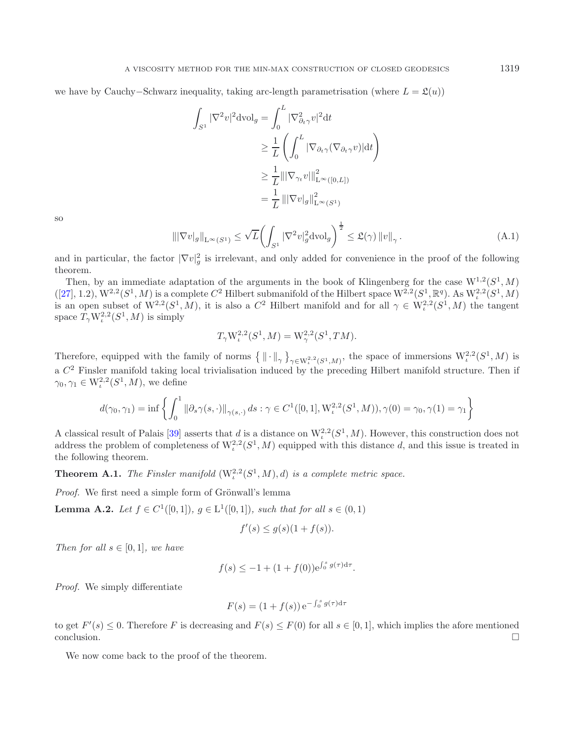<span id="page-37-1"></span>we have by Cauchy–Schwarz inequality, taking arc-length parametrisation (where  $L = \mathfrak{L}(u)$ )

$$
\int_{S^1} |\nabla^2 v|^2 \, \mathrm{d} \mathrm{vol}_g = \int_0^L |\nabla_{\partial_t \gamma}^2 v|^2 \, \mathrm{d} t
$$
\n
$$
\geq \frac{1}{L} \left( \int_0^L |\nabla_{\partial_t \gamma} (\nabla_{\partial_t \gamma} v)| \, \mathrm{d} t \right)
$$
\n
$$
\geq \frac{1}{L} || |\nabla_{\gamma_t} v| ||_{\mathcal{L}^\infty([0, L])}^2
$$
\n
$$
= \frac{1}{L} || |\nabla v|_g ||_{\mathcal{L}^\infty(S^1)}^2
$$

so

<span id="page-37-0"></span>
$$
\|\nabla v|_{g}\|_{\mathcal{L}^{\infty}(S^{1})} \leq \sqrt{L} \left( \int_{S^{1}} |\nabla^{2} v|_{g}^{2} \mathrm{d} v \mathrm{d}_{g} \right)^{\frac{1}{2}} \leq \mathfrak{L}(\gamma) \left\|v\right\|_{\gamma}.
$$
\n(A.1)

and in particular, the factor  $|\nabla v|_g^2$  is irrelevant, and only added for convenience in the proof of the following theorem.

Then, by an immediate adaptation of the arguments in the book of Klingenberg for the case  $W^{1,2}(S^1, M)$  $([27], 1.2), W^{2,2}(S^1, M)$  $([27], 1.2), W^{2,2}(S^1, M)$  $([27], 1.2), W^{2,2}(S^1, M)$  is a complete  $C^2$  Hilbert submanifold of the Hilbert space  $W^{2,2}(S^1, \mathbb{R}^q)$ . As  $W^{2,2}_\iota(S^1, M)$ is an open subset of  $W^{2,2}(S^1, M)$ , it is also a  $C^2$  Hilbert manifold and for all  $\gamma \in W^{2,2}_\iota(S^1, M)$  the tangent space  $T_{\gamma} W^{2,2}_t(S^1, M)$  is simply

$$
T_{\gamma} W_{\iota}^{2,2}(S^1, M) = W_{\gamma}^{2,2}(S^1, TM).
$$

Therefore, equipped with the family of norms  $\{\|\cdot\|_{\gamma}\}_{\gamma \in W^{2,2}_\iota(S^1,M)}$ , the space of immersions  $W^{2,2}_\iota(S^1,M)$  is a  $C<sup>2</sup>$  Finsler manifold taking local trivialisation induced by the preceding Hilbert manifold structure. Then if  $\gamma_0, \gamma_1 \in W^{2,2}_t(S^1,M)$ , we define

$$
d(\gamma_0,\gamma_1)=\inf\left\{\int_0^1\|\partial_s\gamma(s,\cdot)\|_{\gamma(s,\cdot)}\,ds:\gamma\in C^1([0,1],\mathcal{W}^{2,2}_\iota(S^1,M)), \gamma(0)=\gamma_0,\gamma(1)=\gamma_1\right\}
$$

A classical result of Palais [\[39\]](#page-42-34) asserts that d is a distance on  $W^{2,2}_\iota(S^1,M)$ . However, this construction does not address the problem of completeness of  $W^{2,2}_t(S^1, M)$  equipped with this distance d, and this issue is treated in the following theorem.

**Theorem A.1.** *The Finsler manifold*  $(W^{2,2}_t(S^1, M), d)$  *is a complete metric space.* 

*Proof.* We first need a simple form of Grönwall's lemma

**Lemma A.2.** *Let*  $f \in C^1([0,1])$ *,*  $g \in L^1([0,1])$ *, such that for all*  $s \in (0,1)$ 

$$
f'(s) \le g(s)(1 + f(s)).
$$

*Then for all*  $s \in [0,1]$ *, we have* 

$$
f(s) \le -1 + (1 + f(0))e^{\int_0^s g(\tau)d\tau}.
$$

*Proof.* We simply differentiate

$$
F(s) = (1 + f(s)) e^{-\int_0^s g(\tau) d\tau}
$$

to get  $F'(s) \leq 0$ . Therefore F is decreasing and  $F(s) \leq F(0)$  for all  $s \in [0,1]$ , which implies the afore mentioned  $\Box$ conclusion.  $\Box$ 

We now come back to the proof of the theorem.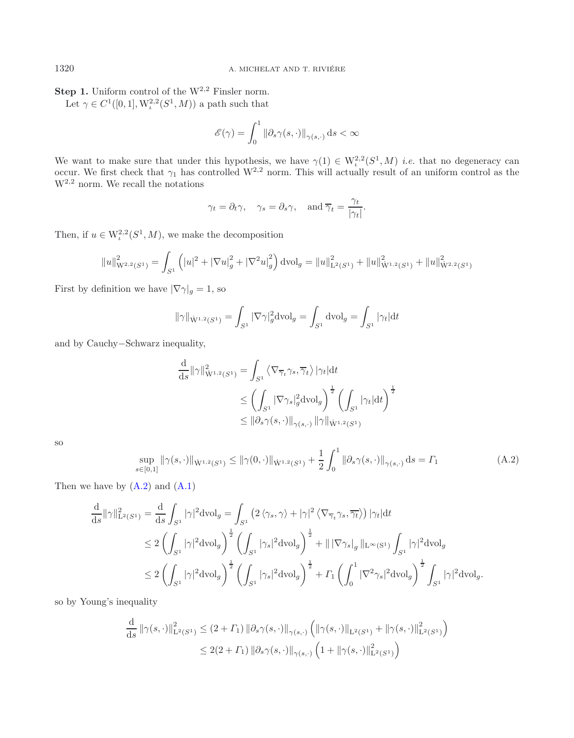**Step 1.** Uniform control of the W<sup>2,2</sup> Finsler norm.

Let  $\gamma \in C^1([0,1], \mathcal{W}_t^{2,2}(S^1, M))$  a path such that

$$
\mathscr{E}(\gamma)=\int_0^1\left\|\partial_s\gamma(s,\cdot)\right\|_{\gamma(s,\cdot)}\mathrm{d} s<\infty
$$

We want to make sure that under this hypothesis, we have  $\gamma(1) \in W^{2,2}_\iota(S^1,M)$  *i.e.* that no degeneracy can occur. We first check that  $\gamma_1$  has controlled W<sup>2,2</sup> norm. This will actually result of an uniform control as the  $W^{2,2}$  norm. We recall the notations

$$
\gamma_t = \partial_t \gamma
$$
,  $\gamma_s = \partial_s \gamma$ , and  $\overline{\gamma}_t = \frac{\gamma_t}{|\gamma_t|}$ .

Then, if  $u \in W^{2,2}_\iota(S^1,M)$ , we make the decomposition

$$
||u||_{\mathcal{W}^{2,2}(S^1)}^2 = \int_{S^1} (|u|^2 + |\nabla u|_g^2 + |\nabla^2 u|_g^2) \, dvol_g = ||u||_{\mathcal{L}^2(S^1)}^2 + ||u||_{\mathcal{W}^{1,2}(S^1)}^2 + ||u||_{\mathcal{W}^{2,2}(S^1)}^2
$$

First by definition we have  $|\nabla \gamma|_g = 1$ , so

$$
\|\gamma\|_{\dot{\mathcal{W}}^{1,2}(S^1)} = \int_{S^1} |\nabla \gamma|_g^2 \mathrm{dvol}_g = \int_{S^1} \mathrm{dvol}_g = \int_{S^1} |\gamma_t| \mathrm{d}t
$$

and by Cauchy−Schwarz inequality,

$$
\frac{\mathrm{d}}{\mathrm{d}s} ||\gamma||_{\dot{\mathbf{W}}^{1,2}(S^1)}^2 = \int_{S^1} \left\langle \nabla_{\overline{\gamma}_t} \gamma_s, \overline{\gamma}_t \right\rangle |\gamma_t| \mathrm{d}t
$$
\n
$$
\leq \left( \int_{S^1} |\nabla \gamma_s|_g^2 \mathrm{d} \mathrm{vol}_g \right)^{\frac{1}{2}} \left( \int_{S^1} |\gamma_t| \mathrm{d}t \right)^{\frac{1}{2}}
$$
\n
$$
\leq ||\partial_s \gamma(s, \cdot)||_{\gamma(s, \cdot)} ||\gamma||_{\dot{\mathbf{W}}^{1,2}(S^1)}
$$

so

$$
\sup_{s \in [0,1]} \|\gamma(s,\cdot)\|_{\dot{W}^{1,2}(S^1)} \le \|\gamma(0,\cdot)\|_{\dot{W}^{1,2}(S^1)} + \frac{1}{2} \int_0^1 \|\partial_s \gamma(s,\cdot)\|_{\gamma(s,\cdot)} ds = \Gamma_1
$$
\n(A.2)

Then we have by  $(A.2)$  and  $(A.1)$ 

$$
\begin{aligned} \frac{\mathrm{d}}{\mathrm{d}s} \| \gamma \|_{\mathrm{L}^2(S^1)}^2 &= \frac{\mathrm{d}}{\mathrm{d}s} \int_{S^1} | \gamma |^2 \mathrm{d} \mathrm{vol}_g = \int_{S^1} \left( 2 \left\langle \gamma_s, \gamma \right\rangle + | \gamma |^2 \left\langle \nabla_{\overline{\gamma}_t} \gamma_s, \overline{\gamma_t} \right\rangle \right) |\gamma_t| \mathrm{d} t \\ &\le 2 \left( \int_{S^1} | \gamma |^2 \mathrm{d} \mathrm{vol}_g \right)^{\frac{1}{2}} \left( \int_{S^1} | \gamma_s |^2 \mathrm{d} \mathrm{vol}_g \right)^{\frac{1}{2}} + \| |\nabla \gamma_s|_g \, \|_{\mathrm{L}^\infty(S^1)} \int_{S^1} | \gamma |^2 \mathrm{d} \mathrm{vol}_g \\ &\le 2 \left( \int_{S^1} | \gamma |^2 \mathrm{d} \mathrm{vol}_g \right)^{\frac{1}{2}} \left( \int_{S^1} | \gamma_s |^2 \mathrm{d} \mathrm{vol}_g \right)^{\frac{1}{2}} + \Gamma_1 \left( \int_0^1 |\nabla^2 \gamma_s |^2 \mathrm{d} \mathrm{vol}_g \right)^{\frac{1}{2}} \int_{S^1} | \gamma |^2 \mathrm{d} \mathrm{vol}_g. \end{aligned}
$$

so by Young's inequality

$$
\frac{\mathrm{d}}{\mathrm{d}s} \left\| \gamma(s, \cdot) \right\|_{\mathrm{L}^2(S^1)}^2 \le (2 + \Gamma_1) \left\| \partial_s \gamma(s, \cdot) \right\|_{\gamma(s, \cdot)} \left( \left\| \gamma(s, \cdot) \right\|_{\mathrm{L}^2(S^1)} + \left\| \gamma(s, \cdot) \right\|_{\mathrm{L}^2(S^1)}^2 \right)
$$
  

$$
\le 2(2 + \Gamma_1) \left\| \partial_s \gamma(s, \cdot) \right\|_{\gamma(s, \cdot)} \left( 1 + \left\| \gamma(s, \cdot) \right\|_{\mathrm{L}^2(S^1)}^2 \right)
$$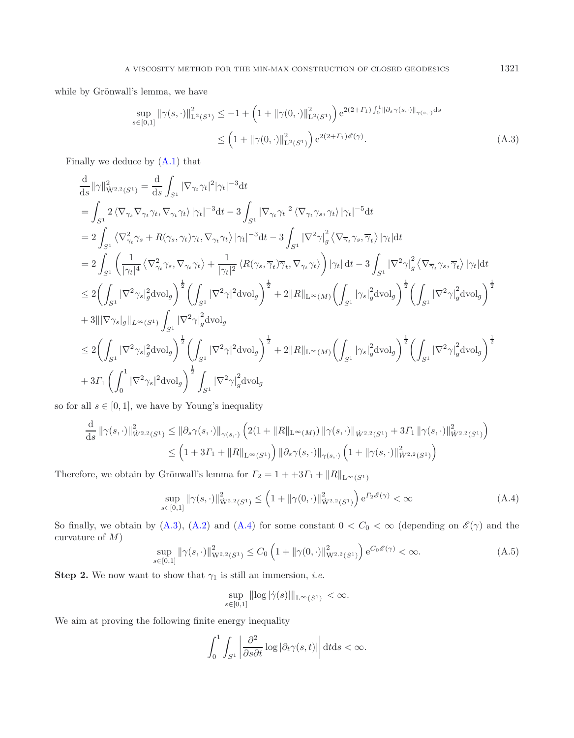while by Grönwall's lemma, we have

$$
\sup_{s \in [0,1]} ||\gamma(s,\cdot)||_{\mathcal{L}^2(S^1)}^2 \le -1 + \left(1 + ||\gamma(0,\cdot)||_{\mathcal{L}^2(S^1)}^2\right) e^{2(2+|\mathcal{L}|) \int_0^1 ||\partial_s \gamma(s,\cdot)||_{\gamma(s,\cdot)} ds}
$$
  

$$
\le \left(1 + ||\gamma(0,\cdot)||_{\mathcal{L}^2(S^1)}^2\right) e^{2(2+|\mathcal{L}|) \mathscr{E}(\gamma)}.
$$
 (A.3)

Finally we deduce by [\(A.1\)](#page-37-1) that

<span id="page-39-1"></span> $\mathbf{r}$ 

d

$$
\begin{aligned} &\frac{\mathrm{d}}{\mathrm{d}s}||\gamma||^2_{\dot{\mathbf{W}}^{2,2}(S^1)}=\frac{\mathrm{d}}{\mathrm{d}s}\int_{S^1}|\nabla_{\gamma t}\gamma_t|^2|\gamma_t|^{-3}\mathrm{d}t\\ &=\int_{S^1}2\left\langle\nabla_{\gamma_s}\nabla_{\gamma_t}\gamma_t,\nabla_{\gamma_t}\gamma_t\rangle\left|\gamma_t|^{-3}\mathrm{d}t-3\int_{S^1}|\nabla_{\gamma_t}\gamma_t|^2\left\langle\nabla_{\gamma_t}\gamma_s,\gamma_t\right\rangle|\gamma_t|^{-5}\mathrm{d}t\\ &=2\int_{S^1}\left\langle\nabla_{\gamma_t}^2\gamma_s+R(\gamma_s,\gamma_t)\gamma_t,\nabla_{\gamma_t}\gamma_t\rangle\left|\gamma_t|^{-3}\mathrm{d}t-3\int_{S^1}|\nabla^2\gamma|_g^2\left\langle\nabla_{\overline{\gamma}_t}\gamma_s,\overline{\gamma}_t\right\rangle\left|\gamma_t\right|\mathrm{d}t\\ &=2\int_{S^1}\left(\frac{1}{|\gamma_t|^4}\left\langle\nabla_{\gamma_t}^2\gamma_s,\nabla_{\gamma_t}\gamma_t\right\rangle+\frac{1}{|\gamma_t|^2}\left\langle R(\gamma_s,\overline{\gamma}_t)\overline{\gamma}_t,\nabla_{\gamma_t}\gamma_t\right\rangle\right)|\gamma_t|\,\mathrm{d}t-3\int_{S^1}|\nabla^2\gamma|_g^2\left\langle\nabla_{\overline{\gamma}_t}\gamma_s,\overline{\gamma}_t\right\rangle|\gamma_t|\mathrm{d}t\\ &\leq 2\Bigl(\int_{S^1}|\nabla^2\gamma_s|^2_g\mathrm{d}\mathrm{vol}_g\Bigl)^{\frac{1}{2}}\left(\int_{S^1}|\nabla^2\gamma|^2\mathrm{d}\mathrm{vol}_g\right)^{\frac{1}{2}}+2\|R\|_{\mathrm{L}^{\infty}(M)}\Bigl(\int_{S^1}|\gamma_s|^2_g\mathrm{d}\mathrm{vol}_g\Bigl)^{\frac{1}{2}}\left(\int_{S^1}|\nabla^2\gamma|_g^2\mathrm{d}\mathrm{vol}_g\right)^{\frac{1}{2}}\\ &+3\||\nabla\gamma_s|_g\||_{L^{\infty}(S^1)}\int_{S^1}|\nabla^2\gamma|_g^2\mathrm{d}\mathrm{vol}_g\Bigl)^{\frac{1}{2
$$

<span id="page-39-2"></span>so for all  $s \in [0, 1]$ , we have by Young's inequality

$$
\frac{d}{ds} \|\gamma(s,\cdot)\|_{\dot{W}^{2,2}(S^1)}^2 \leq \|\partial_s \gamma(s,\cdot)\|_{\gamma(s,\cdot)} \left(2(1+\|R\|_{\mathcal{L}^{\infty}(M)}) \|\gamma(s,\cdot)\|_{\dot{W}^{2,2}(S^1)} + 3\Gamma_1 \|\gamma(s,\cdot)\|_{\dot{W}^{2,2}(S^1)}^2\right) \n\leq \left(1 + 3\Gamma_1 + \|R\|_{\mathcal{L}^{\infty}(S^1)}\right) \|\partial_s \gamma(s,\cdot)\|_{\gamma(s,\cdot)} \left(1 + \|\gamma(s,\cdot)\|_{\dot{W}^{2,2}(S^1)}^2\right)
$$

Therefore, we obtain by Grönwall's lemma for  $\Gamma_2 = 1 + 3\Gamma_1 + ||R||_{\mathcal{L}^{\infty}(S^1)}$ 

$$
\sup_{s \in [0,1]} \|\gamma(s,\cdot)\|_{\dot{W}^{2,2}(S^1)}^2 \le \left(1 + \|\gamma(0,\cdot)\|_{\dot{W}^{2,2}(S^1)}^2\right) e^{I_2 \mathscr{E}(\gamma)} < \infty \tag{A.4}
$$

So finally, we obtain by  $(A.3)$ ,  $(A.2)$  and  $(A.4)$  for some constant  $0 < C_0 < \infty$  (depending on  $\mathscr{E}(\gamma)$  and the curvature of  $M$ )  $\overline{1}$  $\lambda$ 

$$
\sup_{s \in [0,1]} \|\gamma(s,\cdot)\|_{\mathcal{W}^{2,2}(S^1)}^2 \le C_0 \left(1 + \|\gamma(0,\cdot)\|_{\mathcal{W}^{2,2}(S^1)}^2\right) e^{C_0 \mathscr{E}(\gamma)} < \infty.
$$
\n(A.5)

**Step 2.** We now want to show that  $\gamma_1$  is still an immersion, *i.e.* 

$$
\sup_{s\in[0,1]}\|\log|\dot{\gamma}(s)|\|_{\mathcal{L}^{\infty}(S^1)}<\infty.
$$

We aim at proving the following finite energy inequality

$$
\int_0^1 \int_{S^1} \left| \frac{\partial^2}{\partial s \partial t} \log |\partial_t \gamma(s,t)| \right| dt ds < \infty.
$$

<span id="page-39-0"></span>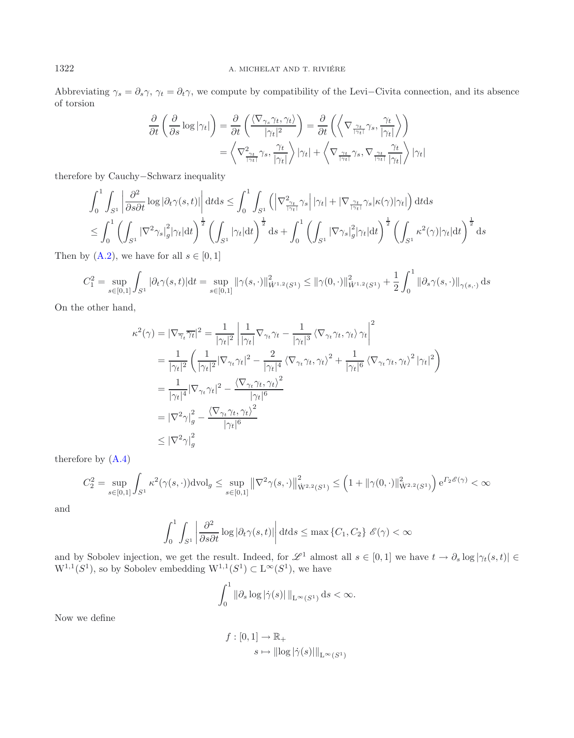Abbreviating  $\gamma_s = \partial_s \gamma$ ,  $\gamma_t = \partial_t \gamma$ , we compute by compatibility of the Levi–Civita connection, and its absence of torsion

$$
\frac{\partial}{\partial t} \left( \frac{\partial}{\partial s} \log |\gamma_t| \right) = \frac{\partial}{\partial t} \left( \frac{\langle \nabla_{\gamma_s} \gamma_t, \gamma_t \rangle}{|\gamma_t|^2} \right) = \frac{\partial}{\partial t} \left( \left\langle \nabla_{\frac{\gamma_t}{|\gamma_t|}} \gamma_s, \frac{\gamma_t}{|\gamma_t|} \right\rangle \right)
$$
\n
$$
= \left\langle \nabla_{\frac{\gamma_t}{|\gamma_t|}}^2 \gamma_s, \frac{\gamma_t}{|\gamma_t|} \right\rangle |\gamma_t| + \left\langle \nabla_{\frac{\gamma_t}{|\gamma_t|}} \gamma_s, \nabla_{\frac{\gamma_t}{|\gamma_t|}} \frac{\gamma_t}{|\gamma_t|} \right\rangle |\gamma_t|
$$

therefore by Cauchy−Schwarz inequality

$$
\int_0^1 \int_{S^1} \left| \frac{\partial^2}{\partial s \partial t} \log |\partial_t \gamma(s, t)| \right| dt ds \leq \int_0^1 \int_{S^1} \left( \left| \nabla^2_{\frac{\gamma_t}{|\gamma_t|}} \gamma_s \right| |\gamma_t| + \left| \nabla_{\frac{\gamma_t}{|\gamma_t|}} \gamma_s |\kappa(\gamma)| \gamma_t \right| \right) dt ds
$$
  
\n
$$
\leq \int_0^1 \left( \int_{S^1} \left| \nabla^2 \gamma_s \right|^2_g |\gamma_t| dt \right)^{\frac{1}{2}} \left( \int_{S^1} |\gamma_t| dt \right)^{\frac{1}{2}} ds + \int_0^1 \left( \int_{S^1} \left| \nabla \gamma_s \right|^2_g |\gamma_t| dt \right)^{\frac{1}{2}} \left( \int_{S^1} \kappa^2(\gamma) |\gamma_t| dt \right)^{\frac{1}{2}} ds
$$

Then by  $(A.2)$ , we have for all  $s \in [0,1]$ 

$$
C_1^2 = \sup_{s \in [0,1]} \int_{S^1} |\partial_t \gamma(s,t)| \mathrm{d}t = \sup_{s \in [0,1]} ||\gamma(s,\cdot)||^2_{\dot{W}^{1,2}(S^1)} \le ||\gamma(0,\cdot)||^2_{\dot{W}^{1,2}(S^1)} + \frac{1}{2} \int_0^1 ||\partial_s \gamma(s,\cdot)||_{\gamma(s,\cdot)} \, \mathrm{d}s
$$

On the other hand,

$$
\kappa^{2}(\gamma) = |\nabla_{\overline{\gamma}_{t}} \overline{\gamma}_{t}|^{2} = \frac{1}{|\gamma_{t}|^{2}} \left| \frac{1}{|\gamma_{t}|} \nabla_{\gamma_{t}} \gamma_{t} - \frac{1}{|\gamma_{t}|^{3}} \left\langle \nabla_{\gamma_{t}} \gamma_{t}, \gamma_{t} \right\rangle \gamma_{t} \right|^{2}
$$
\n
$$
= \frac{1}{|\gamma_{t}|^{2}} \left( \frac{1}{|\gamma_{t}|^{2}} |\nabla_{\gamma_{t}} \gamma_{t}|^{2} - \frac{2}{|\gamma_{t}|^{4}} \left\langle \nabla_{\gamma_{t}} \gamma_{t}, \gamma_{t} \right\rangle^{2} + \frac{1}{|\gamma_{t}|^{6}} \left\langle \nabla_{\gamma_{t}} \gamma_{t}, \gamma_{t} \right\rangle^{2} |\gamma_{t}|^{2} \right)
$$
\n
$$
= \frac{1}{|\gamma_{t}|^{4}} |\nabla_{\gamma_{t}} \gamma_{t}|^{2} - \frac{\left\langle \nabla_{\gamma_{t}} \gamma_{t}, \gamma_{t} \right\rangle^{2}}{|\gamma_{t}|^{6}}
$$
\n
$$
= |\nabla^{2} \gamma|_{g}^{2} - \frac{\left\langle \nabla_{\gamma_{t}} \gamma_{t}, \gamma_{t} \right\rangle^{2}}{|\gamma_{t}|^{6}}
$$
\n
$$
\leq |\nabla^{2} \gamma|_{g}^{2}
$$

therefore by [\(A.4\)](#page-39-1)

$$
C_2^2 = \sup_{s \in [0,1]} \int_{S^1} \kappa^2(\gamma(s,\cdot)) \, \mathrm{dvol}_g \le \sup_{s \in [0,1]} \left\| \nabla^2 \gamma(s,\cdot) \right\|_{\dot{W}^{2,2}(S^1)}^2 \le \left( 1 + \|\gamma(0,\cdot)\|_{\dot{W}^{2,2}(S^1)}^2 \right) e^{\Gamma_2 \mathscr{E}(\gamma)} < \infty
$$

and

$$
\int_0^1 \int_{S^1} \left| \frac{\partial^2}{\partial s \partial t} \log |\partial_t \gamma(s, t)| \right| dt ds \le \max \left\{ C_1, C_2 \right\} \mathcal{E}(\gamma) < \infty
$$

and by Sobolev injection, we get the result. Indeed, for  $\mathscr{L}^1$  almost all  $s \in [0,1]$  we have  $t \to \partial_s \log |\gamma_t(s,t)| \in$  $W^{1,1}(S^1)$ , so by Sobolev embedding  $W^{1,1}(S^1) \subset L^\infty(S^1)$ , we have

$$
\int_0^1 \|\partial_s \log |\dot{\gamma}(s)| \|_{\mathcal{L}^\infty(S^1)} \, ds < \infty.
$$

Now we define

$$
f: [0, 1] \to \mathbb{R}_{+}
$$

$$
s \mapsto ||\log |\dot{\gamma}(s)||_{L^{\infty}(S^1)}
$$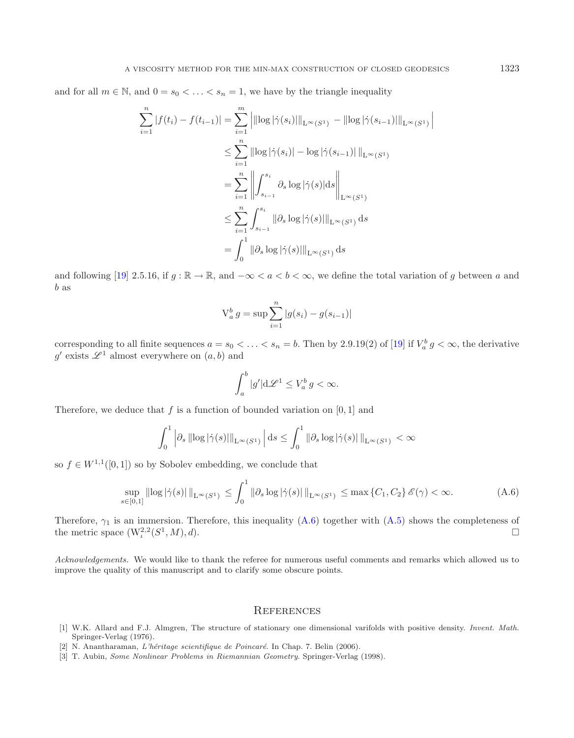and for all  $m \in \mathbb{N}$ , and  $0 = s_0 < \ldots < s_n = 1$ , we have by the triangle inequality

$$
\sum_{i=1}^{n} |f(t_i) - f(t_{i-1})| = \sum_{i=1}^{m} \left| ||\log|\dot{\gamma}(s_i)||_{L^{\infty}(S^1)} - ||\log|\dot{\gamma}(s_{i-1})||_{L^{\infty}(S^1)} \right|
$$
  
\n
$$
\leq \sum_{i=1}^{n} ||\log|\dot{\gamma}(s_i)| - \log|\dot{\gamma}(s_{i-1})||_{L^{\infty}(S^1)}
$$
  
\n
$$
= \sum_{i=1}^{n} \left\| \int_{s_{i-1}}^{s_i} \partial_s \log|\dot{\gamma}(s)| ds \right\|_{L^{\infty}(S^1)}
$$
  
\n
$$
\leq \sum_{i=1}^{n} \int_{s_{i-1}}^{s_i} ||\partial_s \log|\dot{\gamma}(s)||_{L^{\infty}(S^1)} ds
$$
  
\n
$$
= \int_{0}^{1} ||\partial_s \log|\dot{\gamma}(s)||_{L^{\infty}(S^1)} ds
$$

and following [\[19\]](#page-42-25) 2.5.16, if  $g : \mathbb{R} \to \mathbb{R}$ , and  $-\infty < a < b < \infty$ , we define the total variation of g between a and b as

<span id="page-41-2"></span>
$$
V_a^b g = \sup \sum_{i=1}^n |g(s_i) - g(s_{i-1})|
$$

corresponding to all finite sequences  $a = s_0 < \ldots < s_n = b$ . Then by 2.9.19(2) of [\[19\]](#page-42-25) if  $V_a^b g < \infty$ , the derivative g' exists  $\mathscr{L}^1$  almost everywhere on  $(a, b)$  and

$$
\int_a^b |g'| \mathrm{d} \mathscr{L}^1 \le V_a^b g < \infty.
$$

Therefore, we deduce that f is a function of bounded variation on  $[0, 1]$  and

$$
\int_0^1 \left| \partial_s \left\| \log |\dot{\gamma}(s)| \right\|_{\mathcal{L}^\infty(S^1)} \right| ds \leq \int_0^1 \left\| \partial_s \log |\dot{\gamma}(s)| \right\|_{\mathcal{L}^\infty(S^1)} < \infty
$$

so  $f \in W^{1,1}([0,1])$  so by Sobolev embedding, we conclude that

$$
\sup_{s \in [0,1]} \|\log |\dot{\gamma}(s)|\|_{\mathcal{L}^{\infty}(S^1)} \le \int_0^1 \|\partial_s \log |\dot{\gamma}(s)|\|_{\mathcal{L}^{\infty}(S^1)} \le \max \{C_1, C_2\} \mathscr{E}(\gamma) < \infty.
$$
 (A.6)

Therefore,  $\gamma_1$  is an immersion. Therefore, this inequality  $(A.6)$  together with  $(A.5)$  shows the completeness of the metric space  $(W^{2,2}_t(S^1, M), d)$ .

*Acknowledgements.* We would like to thank the referee for numerous useful comments and remarks which allowed us to improve the quality of this manuscript and to clarify some obscure points.

### **REFERENCES**

- [1] W.K. Allard and F.J. Almgren, The structure of stationary one dimensional varifolds with positive density. Invent. Math. Springer-Verlag (1976).
- <span id="page-41-0"></span>[2] N. Anantharaman, L'héritage scientifique de Poincaré. In Chap. 7. Belin (2006).
- <span id="page-41-1"></span>[3] T. Aubin, Some Nonlinear Problems in Riemannian Geometry. Springer-Verlag (1998).